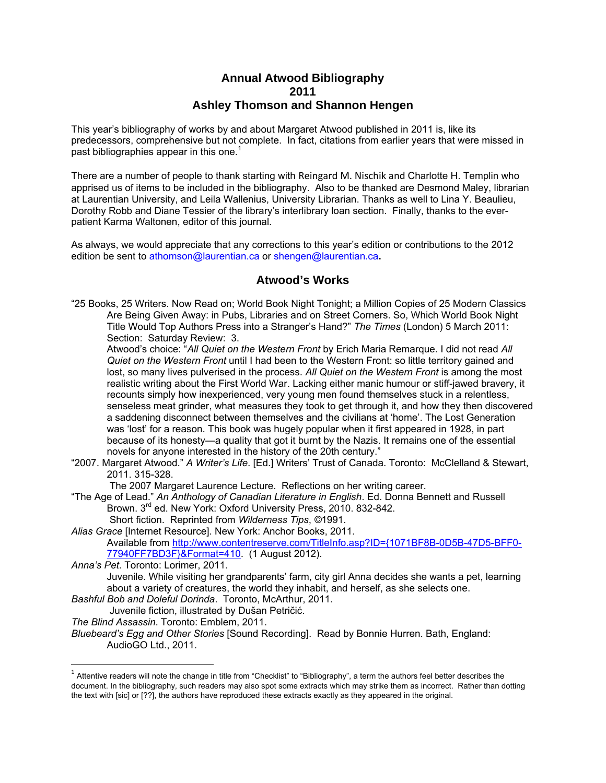# **Annual Atwood Bibliography 2011 Ashley Thomson and Shannon Hengen**

This year's bibliography of works by and about Margaret Atwood published in 2011 is, like its predecessors, comprehensive but not complete. In fact, citations from earlier years that were missed in past bibliographies appear in this one.<sup>1</sup>

There are a number of people to thank starting with Reingard M. Nischik and Charlotte H. Templin who apprised us of items to be included in the bibliography. Also to be thanked are Desmond Maley, librarian at Laurentian University, and Leila Wallenius, University Librarian. Thanks as well to Lina Y. Beaulieu, Dorothy Robb and Diane Tessier of the library's interlibrary loan section. Finally, thanks to the everpatient Karma Waltonen, editor of this journal.

As always, we would appreciate that any corrections to this year's edition or contributions to the 2012 edition be sent to athomson@laurentian.ca or shengen@laurentian.ca**.** 

# **Atwood's Works**

"25 Books, 25 Writers. Now Read on; World Book Night Tonight; a Million Copies of 25 Modern Classics Are Being Given Away: in Pubs, Libraries and on Street Corners. So, Which World Book Night Title Would Top Authors Press into a Stranger's Hand?" *The Times* (London) 5 March 2011: Section: Saturday Review: 3.

Atwood's choice: "*All Quiet on the Western Front* by Erich Maria Remarque. I did not read *All Quiet on the Western Front* until I had been to the Western Front: so little territory gained and lost, so many lives pulverised in the process. *All Quiet on the Western Front* is among the most realistic writing about the First World War. Lacking either manic humour or stiff-jawed bravery, it recounts simply how inexperienced, very young men found themselves stuck in a relentless, senseless meat grinder, what measures they took to get through it, and how they then discovered a saddening disconnect between themselves and the civilians at 'home'. The Lost Generation was 'lost' for a reason. This book was hugely popular when it first appeared in 1928, in part because of its honesty—a quality that got it burnt by the Nazis. It remains one of the essential novels for anyone interested in the history of the 20th century."

- "2007. Margaret Atwood." *A Writer's Life*. [Ed.] Writers' Trust of Canada. Toronto: McClelland & Stewart, 2011. 315-328.
	- The 2007 Margaret Laurence Lecture. Reflections on her writing career.
- "The Age of Lead." *An Anthology of Canadian Literature in English*. Ed. Donna Bennett and Russell Brown. 3<sup>rd</sup> ed. New York: Oxford University Press, 2010. 832-842.
	- Short fiction. Reprinted from *Wilderness Tips*, *©*1991.
- *Alias Grace* [Internet Resource]. New York: Anchor Books, 2011. Available from http://www.contentreserve.com/TitleInfo.asp?ID={1071BF8B-0D5B-47D5-BFF0- 77940FF7BD3F}&Format=410. (1 August 2012).

*Anna's Pet*. Toronto: Lorimer, 2011.

Juvenile. While visiting her grandparents' farm, city girl Anna decides she wants a pet, learning about a variety of creatures, the world they inhabit, and herself, as she selects one.

*Bashful Bob and Doleful Dorinda*. Toronto, McArthur, 2011.

Juvenile fiction, illustrated by Dušan Petričić.

*The Blind Assassin*. Toronto: Emblem, 2011.

*Bluebeard's Egg and Other Stories* [Sound Recording]. Read by Bonnie Hurren. Bath, England: AudioGO Ltd., 2011.

 $^1$  Attentive readers will note the change in title from "Checklist" to "Bibliography", a term the authors feel better describes the document. In the bibliography, such readers may also spot some extracts which may strike them as incorrect. Rather than dotting the text with [sic] or [??], the authors have reproduced these extracts exactly as they appeared in the original.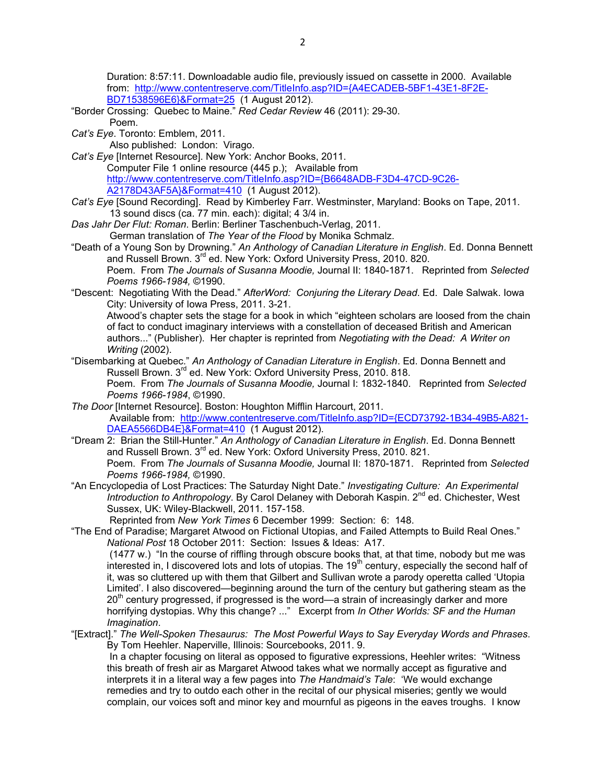Duration: 8:57:11. Downloadable audio file, previously issued on cassette in 2000. Available from: http://www.contentreserve.com/TitleInfo.asp?ID={A4ECADEB-5BF1-43E1-8F2E-BD71538596E6}&Format=25 (1 August 2012).

"Border Crossing: Quebec to Maine." *Red Cedar Review* 46 (2011): 29-30.

Poem.

*Cat's Eye*. Toronto: Emblem, 2011.

Also published: London: Virago.

- *Cat's Eye* [Internet Resource]. New York: Anchor Books, 2011. Computer File 1 online resource (445 p.); Available from http://www.contentreserve.com/TitleInfo.asp?ID={B6648ADB-F3D4-47CD-9C26- A2178D43AF5A}&Format=410 (1 August 2012).
- *Cat's Eye* [Sound Recording]. Read by Kimberley Farr. Westminster, Maryland: Books on Tape, 2011. 13 sound discs (ca. 77 min. each): digital; 4 3/4 in.

*Das Jahr Der Flut: Roman*. Berlin: Berliner Taschenbuch-Verlag, 2011. German translation of *The Year of the Flood* by Monika Schmalz.

- "Death of a Young Son by Drowning." *An Anthology of Canadian Literature in English*. Ed. Donna Bennett and Russell Brown. 3<sup>rd</sup> ed. New York: Oxford University Press, 2010. 820. Poem. From *The Journals of Susanna Moodie,* Journal II: 1840-1871. Reprinted from *Selected Poems 1966-1984,* ©1990.
- "Descent: Negotiating With the Dead." *AfterWord: Conjuring the Literary Dead*. Ed. Dale Salwak. Iowa City: University of Iowa Press, 2011. 3-21.

Atwood's chapter sets the stage for a book in which "eighteen scholars are loosed from the chain of fact to conduct imaginary interviews with a constellation of deceased British and American authors..." (Publisher). Her chapter is reprinted from *Negotiating with the Dead: A Writer on Writing* (2002).

- "Disembarking at Quebec." *An Anthology of Canadian Literature in English*. Ed. Donna Bennett and Russell Brown. 3<sup>rd</sup> ed. New York: Oxford University Press, 2010. 818. Poem. From *The Journals of Susanna Moodie,* Journal I: 1832-1840. Reprinted from *Selected Poems 1966-1984*, ©1990.
- *The Door* [Internet Resource]. Boston: Houghton Mifflin Harcourt, 2011. Available from: http://www.contentreserve.com/TitleInfo.asp?ID={ECD73792-1B34-49B5-A821-DAEA5566DB4E}&Format=410 (1 August 2012).
- "Dream 2: Brian the Still-Hunter." *An Anthology of Canadian Literature in English*. Ed. Donna Bennett and Russell Brown. 3<sup>rd</sup> ed. New York: Oxford University Press, 2010. 821. Poem. From *The Journals of Susanna Moodie,* Journal II: 1870-1871. Reprinted from *Selected Poems 1966-1984,* ©1990.
- "An Encyclopedia of Lost Practices: The Saturday Night Date." *Investigating Culture: An Experimental Introduction to Anthropology*. By Carol Delaney with Deborah Kaspin. 2<sup>nd</sup> ed. Chichester, West Sussex, UK: Wiley-Blackwell, 2011. 157-158.

Reprinted from *New York Times* 6 December 1999: Section: 6: 148.

"The End of Paradise; Margaret Atwood on Fictional Utopias, and Failed Attempts to Build Real Ones." *National Post* 18 October 2011: Section: Issues & Ideas: A17.

 (1477 w.) "In the course of riffling through obscure books that, at that time, nobody but me was interested in, I discovered lots and lots of utopias. The 19<sup>th</sup> century, especially the second half of it, was so cluttered up with them that Gilbert and Sullivan wrote a parody operetta called 'Utopia Limited'. I also discovered—beginning around the turn of the century but gathering steam as the  $20<sup>th</sup>$  century progressed, if progressed is the word—a strain of increasingly darker and more horrifying dystopias. Why this change? ..." Excerpt from *In Other Worlds: SF and the Human Imagination*.

#### "[Extract]." *The Well-Spoken Thesaurus: The Most Powerful Ways to Say Everyday Words and Phrases*. By Tom Heehler. Naperville, Illinois: Sourcebooks, 2011. 9.

 In a chapter focusing on literal as opposed to figurative expressions, Heehler writes: "Witness this breath of fresh air as Margaret Atwood takes what we normally accept as figurative and interprets it in a literal way a few pages into *The Handmaid's Tale*: 'We would exchange remedies and try to outdo each other in the recital of our physical miseries; gently we would complain, our voices soft and minor key and mournful as pigeons in the eaves troughs. I know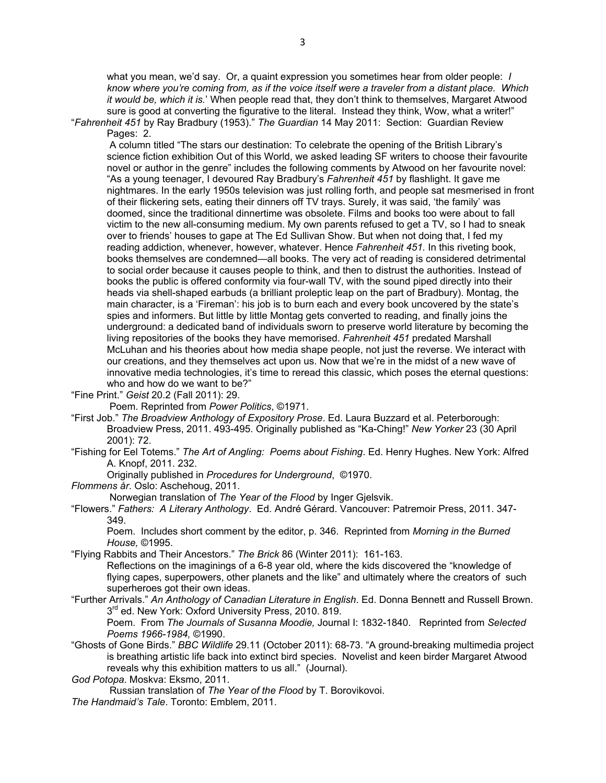what you mean, we'd say. Or, a quaint expression you sometimes hear from older people: *I know where you're coming from, as if the voice itself were a traveler from a distant place. Which it would be, which it is.*' When people read that, they don't think to themselves, Margaret Atwood sure is good at converting the figurative to the literal. Instead they think, Wow, what a writer!" "*Fahrenheit 451* by Ray Bradbury (1953)." *The Guardian* 14 May 2011: Section: Guardian Review

Pages: 2.

 A column titled "The stars our destination: To celebrate the opening of the British Library's science fiction exhibition Out of this World, we asked leading SF writers to choose their favourite novel or author in the genre" includes the following comments by Atwood on her favourite novel: "As a young teenager, I devoured Ray Bradbury's *Fahrenheit 451* by flashlight. It gave me nightmares. In the early 1950s television was just rolling forth, and people sat mesmerised in front of their flickering sets, eating their dinners off TV trays. Surely, it was said, 'the family' was doomed, since the traditional dinnertime was obsolete. Films and books too were about to fall victim to the new all-consuming medium. My own parents refused to get a TV, so I had to sneak over to friends' houses to gape at The Ed Sullivan Show. But when not doing that, I fed my reading addiction, whenever, however, whatever. Hence *Fahrenheit 451.* In this riveting book, books themselves are condemned—all books. The very act of reading is considered detrimental to social order because it causes people to think, and then to distrust the authorities. Instead of books the public is offered conformity via four-wall TV, with the sound piped directly into their heads via shell-shaped earbuds (a brilliant proleptic leap on the part of Bradbury). Montag, the main character, is a 'Fireman': his job is to burn each and every book uncovered by the state's spies and informers. But little by little Montag gets converted to reading, and finally joins the underground: a dedicated band of individuals sworn to preserve world literature by becoming the living repositories of the books they have memorised. *Fahrenheit 451* predated Marshall McLuhan and his theories about how media shape people, not just the reverse. We interact with our creations, and they themselves act upon us. Now that we're in the midst of a new wave of innovative media technologies, it's time to reread this classic, which poses the eternal questions: who and how do we want to be?"

"Fine Print." *Geist* 20.2 (Fall 2011): 29.

Poem. Reprinted from *Power Politics*, ©1971.

- "First Job." *The Broadview Anthology of Expository Prose*. Ed. Laura Buzzard et al. Peterborough: Broadview Press, 2011. 493-495. Originally published as "Ka-Ching!" *New Yorker* 23 (30 April 2001): 72.
- "Fishing for Eel Totems." *The Art of Angling: Poems about Fishing*. Ed. Henry Hughes. New York: Alfred A. Knopf, 2011. 232.
	- Originally published in *Procedures for Underground*, ©1970.

*Flommens år*. Oslo: Aschehoug, 2011.

Norwegian translation of *The Year of the Flood* by Inger Gjelsvik.

"Flowers." *Fathers: A Literary Anthology*. Ed. André Gérard. Vancouver: Patremoir Press, 2011. 347- 349.

Poem. Includes short comment by the editor, p. 346. Reprinted from *Morning in the Burned House,* ©1995.

"Flying Rabbits and Their Ancestors." *The Brick* 86 (Winter 2011): 161-163.

Reflections on the imaginings of a 6-8 year old, where the kids discovered the "knowledge of flying capes, superpowers, other planets and the like" and ultimately where the creators of such superheroes got their own ideas.

"Further Arrivals." *An Anthology of Canadian Literature in English*. Ed. Donna Bennett and Russell Brown. 3<sup>rd</sup> ed. New York: Oxford University Press, 2010. 819.

Poem. From *The Journals of Susanna Moodie,* Journal I: 1832-1840. Reprinted from *Selected Poems 1966-1984,* ©1990.

"Ghosts of Gone Birds." *BBC Wildlife* 29.11 (October 2011): 68-73. "A ground-breaking multimedia project is breathing artistic life back into extinct bird species. Novelist and keen birder Margaret Atwood reveals why this exhibition matters to us all." (Journal).

*God Potopa*. Moskva: Eksmo, 2011.

Russian translation of *The Year of the Flood* by T. Borovikovoi.

*The Handmaid's Tale*. Toronto: Emblem, 2011.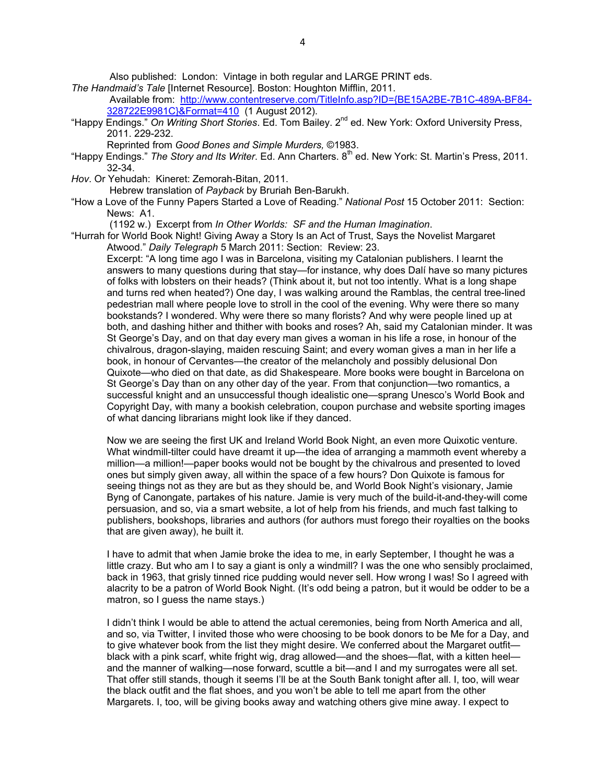Also published: London: Vintage in both regular and LARGE PRINT eds.

- *The Handmaid's Tale* [Internet Resource]. Boston: Houghton Mifflin, 2011. Available from: http://www.contentreserve.com/TitleInfo.asp?ID={BE15A2BE-7B1C-489A-BF84-328722E9981C}&Format=410 (1 August 2012).
- "Happy Endings." On Writing Short Stories. Ed. Tom Bailey. 2<sup>nd</sup> ed. New York: Oxford University Press, 2011. 229-232.
	- Reprinted from *Good Bones and Simple Murders,* ©1983.
- "Happy Endings." *The Story and Its Writer*. Ed. Ann Charters. 8<sup>th</sup> ed. New York: St. Martin's Press, 2011. 32-34.
- *Hov*. Or Yehudah: Kineret: Zemorah-Bitan, 2011.

Hebrew translation of *Payback* by Bruriah Ben-Barukh.

"How a Love of the Funny Papers Started a Love of Reading." *National Post* 15 October 2011: Section: News: A1.

(1192 w.) Excerpt from *In Other Worlds: SF and the Human Imagination*.

"Hurrah for World Book Night! Giving Away a Story Is an Act of Trust, Says the Novelist Margaret Atwood." *Daily Telegraph* 5 March 2011: Section: Review: 23.

Excerpt: "A long time ago I was in Barcelona, visiting my Catalonian publishers. I learnt the answers to many questions during that stay—for instance, why does Dalí have so many pictures of folks with lobsters on their heads? (Think about it, but not too intently. What is a long shape and turns red when heated?) One day, I was walking around the Ramblas, the central tree-lined pedestrian mall where people love to stroll in the cool of the evening. Why were there so many bookstands? I wondered. Why were there so many florists? And why were people lined up at both, and dashing hither and thither with books and roses? Ah, said my Catalonian minder. It was St George's Day, and on that day every man gives a woman in his life a rose, in honour of the chivalrous, dragon-slaying, maiden rescuing Saint; and every woman gives a man in her life a book, in honour of Cervantes—the creator of the melancholy and possibly delusional Don Quixote—who died on that date, as did Shakespeare. More books were bought in Barcelona on St George's Day than on any other day of the year. From that conjunction—two romantics, a successful knight and an unsuccessful though idealistic one—sprang Unesco's World Book and Copyright Day, with many a bookish celebration, coupon purchase and website sporting images of what dancing librarians might look like if they danced.

Now we are seeing the first UK and Ireland World Book Night, an even more Quixotic venture. What windmill-tilter could have dreamt it up—the idea of arranging a mammoth event whereby a million—a million!—paper books would not be bought by the chivalrous and presented to loved ones but simply given away, all within the space of a few hours? Don Quixote is famous for seeing things not as they are but as they should be, and World Book Night's visionary, Jamie Byng of Canongate, partakes of his nature. Jamie is very much of the build-it-and-they-will come persuasion, and so, via a smart website, a lot of help from his friends, and much fast talking to publishers, bookshops, libraries and authors (for authors must forego their royalties on the books that are given away), he built it.

I have to admit that when Jamie broke the idea to me, in early September, I thought he was a little crazy. But who am I to say a giant is only a windmill? I was the one who sensibly proclaimed, back in 1963, that grisly tinned rice pudding would never sell. How wrong I was! So I agreed with alacrity to be a patron of World Book Night. (It's odd being a patron, but it would be odder to be a matron, so I guess the name stays.)

I didn't think I would be able to attend the actual ceremonies, being from North America and all, and so, via Twitter, I invited those who were choosing to be book donors to be Me for a Day, and to give whatever book from the list they might desire. We conferred about the Margaret outfit black with a pink scarf, white fright wig, drag allowed—and the shoes—flat, with a kitten heel and the manner of walking—nose forward, scuttle a bit—and I and my surrogates were all set. That offer still stands, though it seems I'll be at the South Bank tonight after all. I, too, will wear the black outfit and the flat shoes, and you won't be able to tell me apart from the other Margarets. I, too, will be giving books away and watching others give mine away. I expect to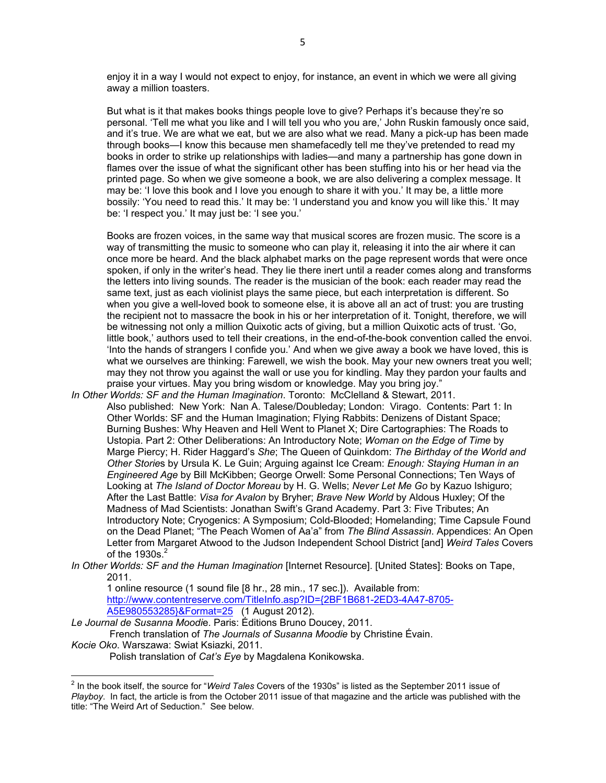enjoy it in a way I would not expect to enjoy, for instance, an event in which we were all giving away a million toasters.

But what is it that makes books things people love to give? Perhaps it's because they're so personal. 'Tell me what you like and I will tell you who you are,' John Ruskin famously once said, and it's true. We are what we eat, but we are also what we read. Many a pick-up has been made through books—I know this because men shamefacedly tell me they've pretended to read my books in order to strike up relationships with ladies—and many a partnership has gone down in flames over the issue of what the significant other has been stuffing into his or her head via the printed page. So when we give someone a book, we are also delivering a complex message. It may be: 'I love this book and I love you enough to share it with you.' It may be, a little more bossily: 'You need to read this.' It may be: 'I understand you and know you will like this.' It may be: 'I respect you.' It may just be: 'I see you.'

Books are frozen voices, in the same way that musical scores are frozen music. The score is a way of transmitting the music to someone who can play it, releasing it into the air where it can once more be heard. And the black alphabet marks on the page represent words that were once spoken, if only in the writer's head. They lie there inert until a reader comes along and transforms the letters into living sounds. The reader is the musician of the book: each reader may read the same text, just as each violinist plays the same piece, but each interpretation is different. So when you give a well-loved book to someone else, it is above all an act of trust: you are trusting the recipient not to massacre the book in his or her interpretation of it. Tonight, therefore, we will be witnessing not only a million Quixotic acts of giving, but a million Quixotic acts of trust. 'Go, little book,' authors used to tell their creations, in the end-of-the-book convention called the envoi. 'Into the hands of strangers I confide you.' And when we give away a book we have loved, this is what we ourselves are thinking: Farewell, we wish the book. May your new owners treat you well; may they not throw you against the wall or use you for kindling. May they pardon your faults and praise your virtues. May you bring wisdom or knowledge. May you bring joy."

*In Other Worlds: SF and the Human Imagination*. Toronto: McClelland & Stewart, 2011. Also published: New York: Nan A. Talese/Doubleday; London: Virago. Contents: Part 1: In Other Worlds: SF and the Human Imagination; Flying Rabbits: Denizens of Distant Space; Burning Bushes: Why Heaven and Hell Went to Planet X; Dire Cartographies: The Roads to Ustopia. Part 2: Other Deliberations: An Introductory Note; *Woman on the Edge of Time* by Marge Piercy; H. Rider Haggard's *She*; The Queen of Quinkdom: *The Birthday of the World and Other Storie*s by Ursula K. Le Guin; Arguing against Ice Cream: *Enough: Staying Human in an Engineered Age* by Bill McKibben; George Orwell: Some Personal Connections; Ten Ways of Looking at *The Island of Doctor Moreau* by H. G. Wells; *Never Let Me Go* by Kazuo Ishiguro; After the Last Battle: *Visa for Avalon* by Bryher; *Brave New World* by Aldous Huxley; Of the Madness of Mad Scientists: Jonathan Swift's Grand Academy. Part 3: Five Tributes; An Introductory Note; Cryogenics: A Symposium; Cold-Blooded; Homelanding; Time Capsule Found on the Dead Planet; "The Peach Women of Aa'a" from *The Blind Assassin*. Appendices: An Open Letter from Margaret Atwood to the Judson Independent School District [and] *Weird Tales* Covers of the 1930s. $2$ 

*In Other Worlds: SF and the Human Imagination* [Internet Resource]. [United States]: Books on Tape, 2011.

1 online resource (1 sound file [8 hr., 28 min., 17 sec.]). Available from: http://www.contentreserve.com/TitleInfo.asp?ID={2BF1B681-2ED3-4A47-8705- A5E980553285}&Format=25 (1 August 2012).

*Le Journal de Susanna Moodi*e. Paris: Éditions Bruno Doucey, 2011. French translation of *The Journals of Susanna Moodie* by Christine Évain.

*Kocie Oko*. Warszawa: Swiat Ksiazki, 2011.

Polish translation of *Cat's Eye* by Magdalena Konikowska.

<sup>2</sup> In the book itself, the source for "*Weird Tales* Covers of the 1930s" is listed as the September 2011 issue of *Playboy*. In fact, the article is from the October 2011 issue of that magazine and the article was published with the title: "The Weird Art of Seduction." See below.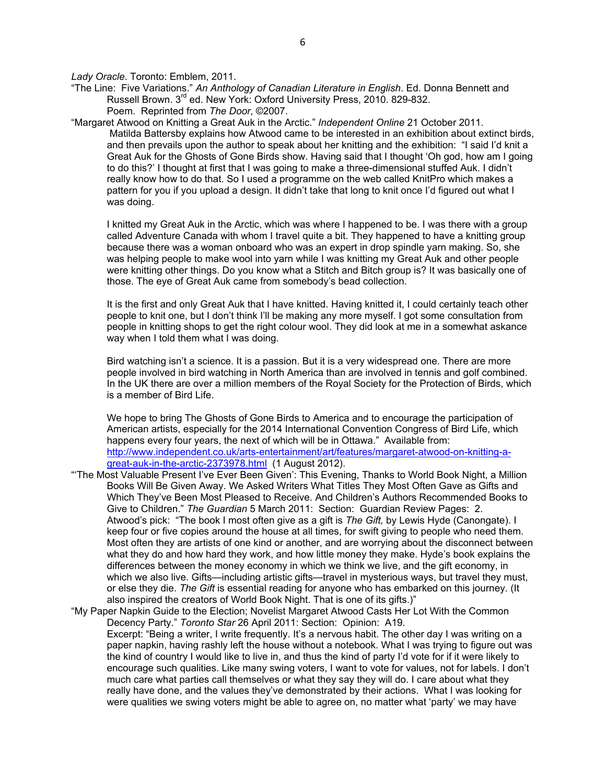*Lady Oracle*. Toronto: Emblem, 2011.

"The Line: Five Variations." *An Anthology of Canadian Literature in English*. Ed. Donna Bennett and Russell Brown. 3<sup>rd</sup> ed. New York: Oxford University Press, 2010. 829-832. Poem. Reprinted from *The Door*, ©2007.

"Margaret Atwood on Knitting a Great Auk in the Arctic." *Independent Online* 21 October 2011.

 Matilda Battersby explains how Atwood came to be interested in an exhibition about extinct birds, and then prevails upon the author to speak about her knitting and the exhibition: "I said I'd knit a Great Auk for the Ghosts of Gone Birds show. Having said that I thought 'Oh god, how am I going to do this?' I thought at first that I was going to make a three-dimensional stuffed Auk. I didn't really know how to do that. So I used a programme on the web called KnitPro which makes a pattern for you if you upload a design. It didn't take that long to knit once I'd figured out what I was doing.

I knitted my Great Auk in the Arctic, which was where I happened to be. I was there with a group called Adventure Canada with whom I travel quite a bit. They happened to have a knitting group because there was a woman onboard who was an expert in drop spindle yarn making. So, she was helping people to make wool into yarn while I was knitting my Great Auk and other people were knitting other things. Do you know what a Stitch and Bitch group is? It was basically one of those. The eye of Great Auk came from somebody's bead collection.

It is the first and only Great Auk that I have knitted. Having knitted it, I could certainly teach other people to knit one, but I don't think I'll be making any more myself. I got some consultation from people in knitting shops to get the right colour wool. They did look at me in a somewhat askance way when I told them what I was doing.

Bird watching isn't a science. It is a passion. But it is a very widespread one. There are more people involved in bird watching in North America than are involved in tennis and golf combined. In the UK there are over a million members of the Royal Society for the Protection of Birds, which is a member of Bird Life.

We hope to bring The Ghosts of Gone Birds to America and to encourage the participation of American artists, especially for the 2014 International Convention Congress of Bird Life, which happens every four years, the next of which will be in Ottawa." Available from: http://www.independent.co.uk/arts-entertainment/art/features/margaret-atwood-on-knitting-agreat-auk-in-the-arctic-2373978.html (1 August 2012).

- "'The Most Valuable Present I've Ever Been Given': This Evening, Thanks to World Book Night, a Million Books Will Be Given Away. We Asked Writers What Titles They Most Often Gave as Gifts and Which They've Been Most Pleased to Receive. And Children's Authors Recommended Books to Give to Children." *The Guardian* 5 March 2011: Section: Guardian Review Pages: 2. Atwood's pick: "The book I most often give as a gift is *The Gift,* by Lewis Hyde (Canongate). I keep four or five copies around the house at all times, for swift giving to people who need them. Most often they are artists of one kind or another, and are worrying about the disconnect between what they do and how hard they work, and how little money they make. Hyde's book explains the differences between the money economy in which we think we live, and the gift economy, in which we also live. Gifts—including artistic gifts—travel in mysterious ways, but travel they must, or else they die. *The Gift* is essential reading for anyone who has embarked on this journey. (It also inspired the creators of World Book Night. That is one of its gifts.)"
- "My Paper Napkin Guide to the Election; Novelist Margaret Atwood Casts Her Lot With the Common Decency Party." *Toronto Star* 26 April 2011: Section: Opinion: A19. Excerpt: "Being a writer, I write frequently. It's a nervous habit. The other day I was writing on a paper napkin, having rashly left the house without a notebook. What I was trying to figure out was the kind of country I would like to live in, and thus the kind of party I'd vote for if it were likely to encourage such qualities. Like many swing voters, I want to vote for values, not for labels. I don't much care what parties call themselves or what they say they will do. I care about what they really have done, and the values they've demonstrated by their actions. What I was looking for were qualities we swing voters might be able to agree on, no matter what 'party' we may have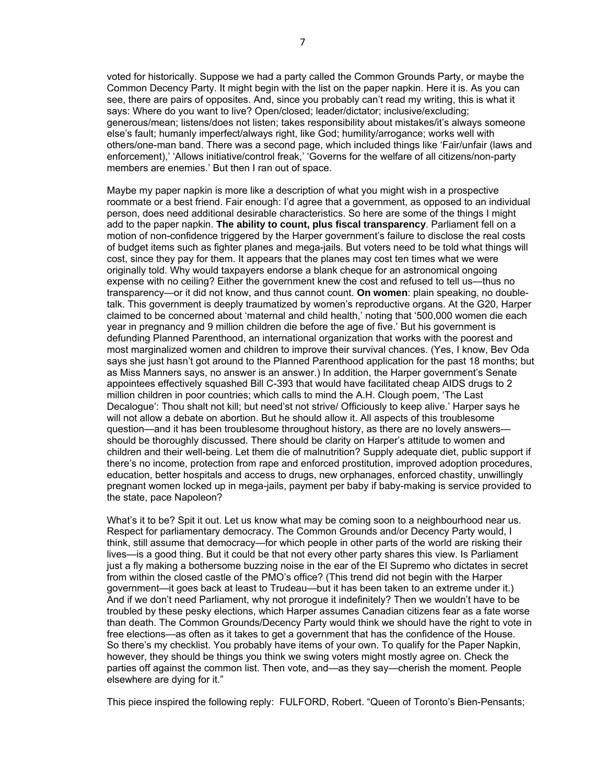voted for historically. Suppose we had a party called the Common Grounds Party, or maybe the Common Decency Party. It might begin with the list on the paper napkin. Here it is. As you can see, there are pairs of opposites. And, since you probably can't read my writing, this is what it says: Where do you want to live? Open/closed; leader/dictator; inclusive/excluding; generous/mean; listens/does not listen; takes responsibility about mistakes/it's always someone else's fault; humanly imperfect/always right, like God; humility/arrogance; works well with others/one-man band. There was a second page, which included things like 'Fair/unfair (laws and enforcement),' 'Allows initiative/control freak,' 'Governs for the welfare of all citizens/non-party members are enemies.' But then I ran out of space.

Maybe my paper napkin is more like a description of what you might wish in a prospective roommate or a best friend. Fair enough: I'd agree that a government, as opposed to an individual person, does need additional desirable characteristics. So here are some of the things I might add to the paper napkin. **The ability to count, plus fiscal transparency**. Parliament fell on a motion of non-confidence triggered by the Harper government's failure to disclose the real costs of budget items such as fighter planes and mega-jails. But voters need to be told what things will cost, since they pay for them. It appears that the planes may cost ten times what we were originally told. Why would taxpayers endorse a blank cheque for an astronomical ongoing expense with no ceiling? Either the government knew the cost and refused to tell us—thus no transparency—or it did not know, and thus cannot count. **On women**: plain speaking, no doubletalk. This government is deeply traumatized by women's reproductive organs. At the G20, Harper claimed to be concerned about 'maternal and child health,' noting that '500,000 women die each year in pregnancy and 9 million children die before the age of five.' But his government is defunding Planned Parenthood, an international organization that works with the poorest and most marginalized women and children to improve their survival chances. (Yes, I know, Bev Oda says she just hasn't got around to the Planned Parenthood application for the past 18 months; but as Miss Manners says, no answer is an answer.) In addition, the Harper government's Senate appointees effectively squashed Bill C-393 that would have facilitated cheap AIDS drugs to 2 million children in poor countries; which calls to mind the A.H. Clough poem, 'The Last Decalogue': Thou shalt not kill; but need'st not strive/ Officiously to keep alive.' Harper says he will not allow a debate on abortion. But he should allow it. All aspects of this troublesome question—and it has been troublesome throughout history, as there are no lovely answers should be thoroughly discussed. There should be clarity on Harper's attitude to women and children and their well-being. Let them die of malnutrition? Supply adequate diet, public support if there's no income, protection from rape and enforced prostitution, improved adoption procedures, education, better hospitals and access to drugs, new orphanages, enforced chastity, unwillingly pregnant women locked up in mega-jails, payment per baby if baby-making is service provided to the state, pace Napoleon?

What's it to be? Spit it out. Let us know what may be coming soon to a neighbourhood near us. Respect for parliamentary democracy. The Common Grounds and/or Decency Party would, I think, still assume that democracy—for which people in other parts of the world are risking their lives—is a good thing. But it could be that not every other party shares this view. Is Parliament just a fly making a bothersome buzzing noise in the ear of the El Supremo who dictates in secret from within the closed castle of the PMO's office? (This trend did not begin with the Harper government—it goes back at least to Trudeau—but it has been taken to an extreme under it.) And if we don't need Parliament, why not prorogue it indefinitely? Then we wouldn't have to be troubled by these pesky elections, which Harper assumes Canadian citizens fear as a fate worse than death. The Common Grounds/Decency Party would think we should have the right to vote in free elections—as often as it takes to get a government that has the confidence of the House. So there's my checklist. You probably have items of your own. To qualify for the Paper Napkin, however, they should be things you think we swing voters might mostly agree on. Check the parties off against the common list. Then vote, and—as they say—cherish the moment. People elsewhere are dying for it."

This piece inspired the following reply: FULFORD, Robert. "Queen of Toronto's Bien-Pensants;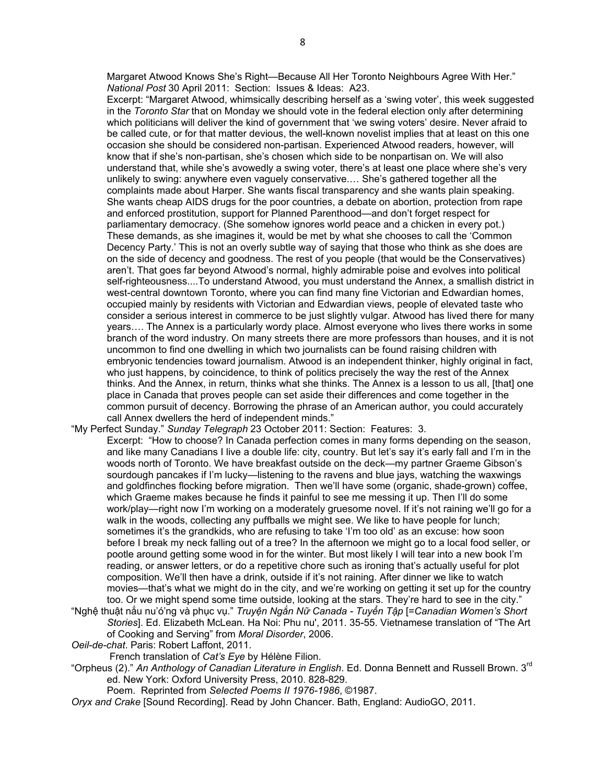Margaret Atwood Knows She's Right—Because All Her Toronto Neighbours Agree With Her." *National Post* 30 April 2011: Section: Issues & Ideas: A23.

Excerpt: "Margaret Atwood, whimsically describing herself as a 'swing voter', this week suggested in the *Toronto Star* that on Monday we should vote in the federal election only after determining which politicians will deliver the kind of government that 'we swing voters' desire. Never afraid to be called cute, or for that matter devious, the well-known novelist implies that at least on this one occasion she should be considered non-partisan. Experienced Atwood readers, however, will know that if she's non-partisan, she's chosen which side to be nonpartisan on. We will also understand that, while she's avowedly a swing voter, there's at least one place where she's very unlikely to swing: anywhere even vaguely conservative.… She's gathered together all the complaints made about Harper. She wants fiscal transparency and she wants plain speaking. She wants cheap AIDS drugs for the poor countries, a debate on abortion, protection from rape and enforced prostitution, support for Planned Parenthood—and don't forget respect for parliamentary democracy. (She somehow ignores world peace and a chicken in every pot.) These demands, as she imagines it, would be met by what she chooses to call the 'Common Decency Party.' This is not an overly subtle way of saying that those who think as she does are on the side of decency and goodness. The rest of you people (that would be the Conservatives) aren't. That goes far beyond Atwood's normal, highly admirable poise and evolves into political self-righteousness....To understand Atwood, you must understand the Annex, a smallish district in west-central downtown Toronto, where you can find many fine Victorian and Edwardian homes, occupied mainly by residents with Victorian and Edwardian views, people of elevated taste who consider a serious interest in commerce to be just slightly vulgar. Atwood has lived there for many years…. The Annex is a particularly wordy place. Almost everyone who lives there works in some branch of the word industry. On many streets there are more professors than houses, and it is not uncommon to find one dwelling in which two journalists can be found raising children with embryonic tendencies toward journalism. Atwood is an independent thinker, highly original in fact, who just happens, by coincidence, to think of politics precisely the way the rest of the Annex thinks. And the Annex, in return, thinks what she thinks. The Annex is a lesson to us all, [that] one place in Canada that proves people can set aside their differences and come together in the common pursuit of decency. Borrowing the phrase of an American author, you could accurately call Annex dwellers the herd of independent minds."

- "My Perfect Sunday." *Sunday Telegraph* 23 October 2011: Section: Features: 3. Excerpt: "How to choose? In Canada perfection comes in many forms depending on the season, and like many Canadians I live a double life: city, country. But let's say it's early fall and I'm in the woods north of Toronto. We have breakfast outside on the deck—my partner Graeme Gibson's sourdough pancakes if I'm lucky—listening to the ravens and blue jays, watching the waxwings and goldfinches flocking before migration. Then we'll have some (organic, shade-grown) coffee, which Graeme makes because he finds it painful to see me messing it up. Then I'll do some work/play—right now I'm working on a moderately gruesome novel. If it's not raining we'll go for a walk in the woods, collecting any puffballs we might see. We like to have people for lunch; sometimes it's the grandkids, who are refusing to take 'I'm too old' as an excuse: how soon before I break my neck falling out of a tree? In the afternoon we might go to a local food seller, or pootle around getting some wood in for the winter. But most likely I will tear into a new book I'm reading, or answer letters, or do a repetitive chore such as ironing that's actually useful for plot composition. We'll then have a drink, outside if it's not raining. After dinner we like to watch movies—that's what we might do in the city, and we're working on getting it set up for the country too. Or we might spend some time outside, looking at the stars. They're hard to see in the city."
- "Nghệ thuật nắu nu'ó'ng và phục vụ." *Truyện Ngắn Nữ Canada Tuyển Tập* [=*Canadian Women's Short Stories*]. Ed. Elizabeth McLean. Ha Noi: Phu nu', 2011. 35-55. Vietnamese translation of "The Art of Cooking and Serving" from *Moral Disorder*, 2006.
- *Oeil-de-chat*. Paris: Robert Laffont, 2011.

French translation of *Cat's Eye* by Hélène Filion.

- "Orpheus (2)." *An Anthology of Canadian Literature in English*. Ed. Donna Bennett and Russell Brown. 3rd ed. New York: Oxford University Press, 2010. 828-829.
	- Poem. Reprinted from *Selected Poems II 1976-1986*, ©1987.
- *Oryx and Crake* [Sound Recording]. Read by John Chancer. Bath, England: AudioGO, 2011.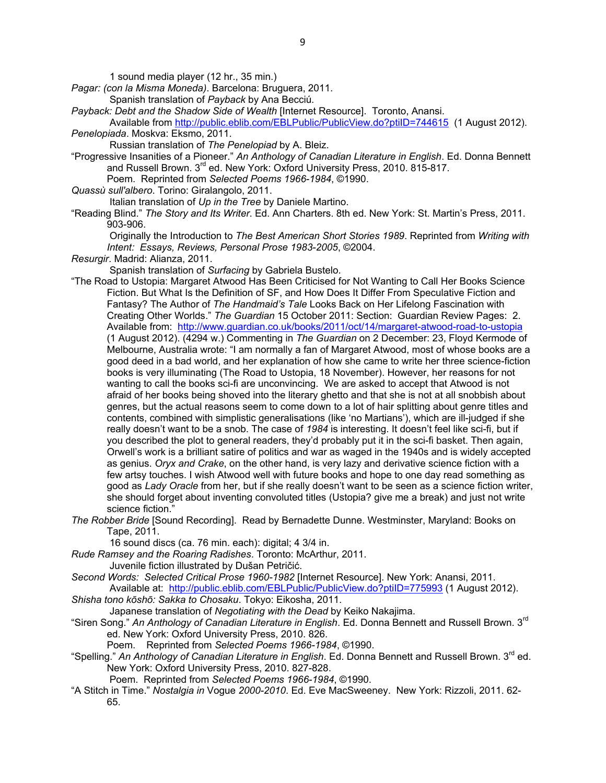1 sound media player (12 hr., 35 min.)

- *Pagar: (con la Misma Moneda)*. Barcelona: Bruguera, 2011.
	- Spanish translation of *Payback* by Ana Becciú.
- *Payback: Debt and the Shadow Side of Wealth* [Internet Resource]. Toronto, Anansi.
- Available from http://public.eblib.com/EBLPublic/PublicView.do?ptilD=744615 (1 August 2012). *Penelopiada*. Moskva: Eksmo, 2011.
	- Russian translation of *The Penelopiad* by A. Bleiz.
- "Progressive Insanities of a Pioneer." *An Anthology of Canadian Literature in English*. Ed. Donna Bennett and Russell Brown. 3<sup>rd</sup> ed. New York: Oxford University Press, 2010. 815-817.
- Poem. Reprinted from *Selected Poems 1966-1984*, ©1990.
- *Quassù sull'albero*. Torino: Giralangolo, 2011.
	- Italian translation of *Up in the Tree* by Daniele Martino.
- "Reading Blind." *The Story and Its Writer*. Ed. Ann Charters. 8th ed. New York: St. Martin's Press, 2011. 903-906.

 Originally the Introduction to *The Best American Short Stories 1989*. Reprinted from *Writing with Intent: Essays, Reviews, Personal Prose 1983-2005*, ©2004.

*Resurgir*. Madrid: Alianza, 2011.

Spanish translation of *Surfacing* by Gabriela Bustelo.

- "The Road to Ustopia: Margaret Atwood Has Been Criticised for Not Wanting to Call Her Books Science Fiction. But What Is the Definition of SF, and How Does It Differ From Speculative Fiction and Fantasy? The Author of *The Handmaid's Tale* Looks Back on Her Lifelong Fascination with Creating Other Worlds." *The Guardian* 15 October 2011: Section: Guardian Review Pages: 2. Available from: http://www.guardian.co.uk/books/2011/oct/14/margaret-atwood-road-to-ustopia (1 August 2012). (4294 w.) Commenting in *The Guardian* on 2 December: 23, Floyd Kermode of Melbourne, Australia wrote: "I am normally a fan of Margaret Atwood, most of whose books are a good deed in a bad world, and her explanation of how she came to write her three science-fiction books is very illuminating (The Road to Ustopia, 18 November). However, her reasons for not wanting to call the books sci-fi are unconvincing. We are asked to accept that Atwood is not afraid of her books being shoved into the literary ghetto and that she is not at all snobbish about genres, but the actual reasons seem to come down to a lot of hair splitting about genre titles and contents, combined with simplistic generalisations (like 'no Martians'), which are ill-judged if she really doesn't want to be a snob. The case of *1984* is interesting. It doesn't feel like sci-fi, but if you described the plot to general readers, they'd probably put it in the sci-fi basket. Then again, Orwell's work is a brilliant satire of politics and war as waged in the 1940s and is widely accepted as genius. *Oryx and Crake*, on the other hand, is very lazy and derivative science fiction with a few artsy touches. I wish Atwood well with future books and hope to one day read something as good as *Lady Oracle* from her, but if she really doesn't want to be seen as a science fiction writer, she should forget about inventing convoluted titles (Ustopia? give me a break) and just not write science fiction."
- *The Robber Bride* [Sound Recording]. Read by Bernadette Dunne. Westminster, Maryland: Books on Tape, 2011.

16 sound discs (ca. 76 min. each): digital; 4 3/4 in.

- *Rude Ramsey and the Roaring Radishes*. Toronto: McArthur, 2011. Juvenile fiction illustrated by Dušan Petričić.
- *Second Words: Selected Critical Prose 1960-1982* [Internet Resource]. New York: Anansi, 2011. Available at: http://public.eblib.com/EBLPublic/PublicView.do?ptiID=775993 (1 August 2012).
- *Shisha tono kōshō: Sakka to Chosaku*. Tokyo: Eikosha, 2011.
	- Japanese translation of *Negotiating with the Dead* by Keiko Nakajima.
- "Siren Song." *An Anthology of Canadian Literature in English*. Ed. Donna Bennett and Russell Brown. 3rd ed. New York: Oxford University Press, 2010. 826.
	- Poem. Reprinted from *Selected Poems 1966-1984*, ©1990.
- "Spelling." *An Anthology of Canadian Literature in English*. Ed. Donna Bennett and Russell Brown. 3rd ed. New York: Oxford University Press, 2010. 827-828.
	- Poem. Reprinted from *Selected Poems 1966-1984*, ©1990.
- "A Stitch in Time." *Nostalgia in* Vogue *2000-2010*. Ed. Eve MacSweeney. New York: Rizzoli, 2011. 62- 65.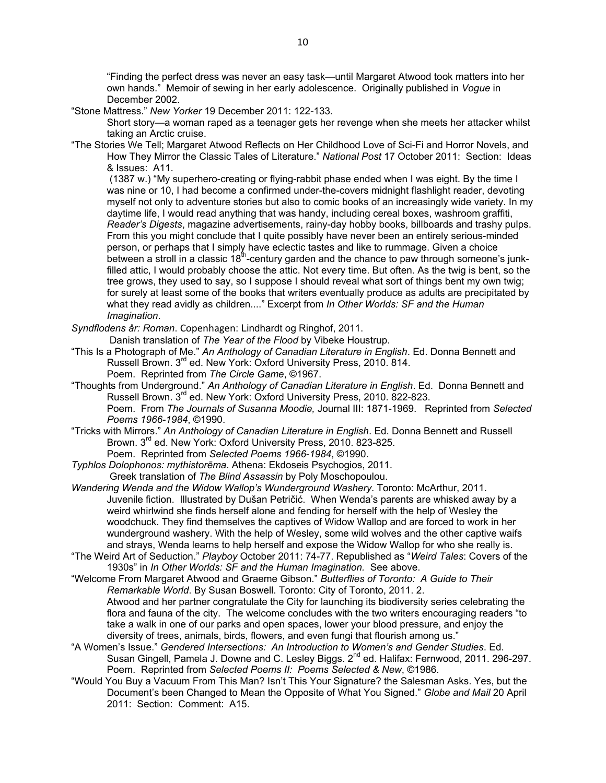"Finding the perfect dress was never an easy task—until Margaret Atwood took matters into her own hands." Memoir of sewing in her early adolescence. Originally published in *Vogue* in December 2002.

"Stone Mattress." *New Yorker* 19 December 2011: 122-133.

Short story—a woman raped as a teenager gets her revenge when she meets her attacker whilst taking an Arctic cruise.

"The Stories We Tell; Margaret Atwood Reflects on Her Childhood Love of Sci-Fi and Horror Novels, and How They Mirror the Classic Tales of Literature." *National Post* 17 October 2011: Section: Ideas & Issues: A11.

 (1387 w.) "My superhero-creating or flying-rabbit phase ended when I was eight. By the time I was nine or 10, I had become a confirmed under-the-covers midnight flashlight reader, devoting myself not only to adventure stories but also to comic books of an increasingly wide variety. In my daytime life, I would read anything that was handy, including cereal boxes, washroom graffiti, *Reader's Digests*, magazine advertisements, rainy-day hobby books, billboards and trashy pulps. From this you might conclude that I quite possibly have never been an entirely serious-minded person, or perhaps that I simply have eclectic tastes and like to rummage. Given a choice between a stroll in a classic  $18<sup>th</sup>$ -century garden and the chance to paw through someone's junkfilled attic, I would probably choose the attic. Not every time. But often. As the twig is bent, so the tree grows, they used to say, so I suppose I should reveal what sort of things bent my own twig; for surely at least some of the books that writers eventually produce as adults are precipitated by what they read avidly as children...." Excerpt from *In Other Worlds: SF and the Human Imagination*.

*Syndflodens år: Roman*. Copenhagen: Lindhardt og Ringhof, 2011.

- Danish translation of *The Year of the Flood* by Vibeke Houstrup.
- "This Is a Photograph of Me." *An Anthology of Canadian Literature in English*. Ed. Donna Bennett and Russell Brown. 3rd ed. New York: Oxford University Press, 2010. 814.
	- Poem. Reprinted from *The Circle Game*, ©1967.
- "Thoughts from Underground." *An Anthology of Canadian Literature in English*. Ed. Donna Bennett and Russell Brown. 3<sup>rd</sup> ed. New York: Oxford University Press, 2010. 822-823. Poem. From *The Journals of Susanna Moodie,* Journal III: 1871-1969. Reprinted from *Selected Poems 1966-1984*, ©1990.
- "Tricks with Mirrors." *An Anthology of Canadian Literature in English*. Ed. Donna Bennett and Russell Brown. 3<sup>rd</sup> ed. New York: Oxford University Press, 2010. 823-825. Poem. Reprinted from *Selected Poems 1966-1984*, ©1990.
- *Typhlos Dolophonos: mythistorēma*. Athena: Ekdoseis Psychogios, 2011.

Greek translation of *The Blind Assassin* by Poly Moschopoulou.

*Wandering Wenda and the Widow Wallop's Wunderground Washery*. Toronto: McArthur, 2011. Juvenile fiction. Illustrated by Dušan Petričić. When Wenda's parents are whisked away by a weird whirlwind she finds herself alone and fending for herself with the help of Wesley the woodchuck. They find themselves the captives of Widow Wallop and are forced to work in her wunderground washery. With the help of Wesley, some wild wolves and the other captive waifs and strays, Wenda learns to help herself and expose the Widow Wallop for who she really is.

- "The Weird Art of Seduction." *Playboy* October 2011: 74-77. Republished as "*Weird Tales*: Covers of the 1930s" in *In Other Worlds: SF and the Human Imagination.* See above.
- "Welcome From Margaret Atwood and Graeme Gibson." *Butterflies of Toronto: A Guide to Their Remarkable World*. By Susan Boswell. Toronto: City of Toronto, 2011. 2. Atwood and her partner congratulate the City for launching its biodiversity series celebrating the flora and fauna of the city. The welcome concludes with the two writers encouraging readers "to take a walk in one of our parks and open spaces, lower your blood pressure, and enjoy the diversity of trees, animals, birds, flowers, and even fungi that flourish among us."
- "A Women's Issue." *Gendered Intersections: An Introduction to Women's and Gender Studies*. Ed. Susan Gingell, Pamela J. Downe and C. Lesley Biggs. 2<sup>nd</sup> ed. Halifax: Fernwood, 2011. 296-297. Poem. Reprinted from *Selected Poems II: Poems Selected & New*, ©1986.
- "Would You Buy a Vacuum From This Man? Isn't This Your Signature? the Salesman Asks. Yes, but the Document's been Changed to Mean the Opposite of What You Signed." *Globe and Mail* 20 April 2011: Section: Comment: A15.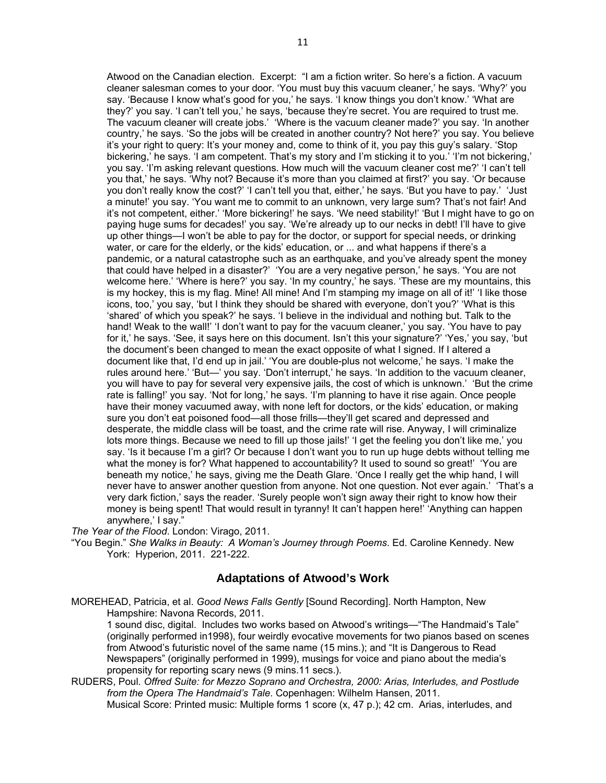Atwood on the Canadian election. Excerpt: "I am a fiction writer. So here's a fiction. A vacuum cleaner salesman comes to your door. 'You must buy this vacuum cleaner,' he says. 'Why?' you say. 'Because I know what's good for you,' he says. 'I know things you don't know.' 'What are they?' you say. 'I can't tell you,' he says, 'because they're secret. You are required to trust me. The vacuum cleaner will create jobs.' 'Where is the vacuum cleaner made?' you say. 'In another country,' he says. 'So the jobs will be created in another country? Not here?' you say. You believe it's your right to query: It's your money and, come to think of it, you pay this guy's salary. 'Stop bickering,' he says. 'I am competent. That's my story and I'm sticking it to you.' 'I'm not bickering,' you say. 'I'm asking relevant questions. How much will the vacuum cleaner cost me?' 'I can't tell you that,' he says. 'Why not? Because it's more than you claimed at first?' you say. 'Or because you don't really know the cost?' 'I can't tell you that, either,' he says. 'But you have to pay.' 'Just a minute!' you say. 'You want me to commit to an unknown, very large sum? That's not fair! And it's not competent, either.' 'More bickering!' he says. 'We need stability!' 'But I might have to go on paying huge sums for decades!' you say. 'We're already up to our necks in debt! I'll have to give up other things—I won't be able to pay for the doctor, or support for special needs, or drinking water, or care for the elderly, or the kids' education, or ... and what happens if there's a pandemic, or a natural catastrophe such as an earthquake, and you've already spent the money that could have helped in a disaster?' 'You are a very negative person,' he says. 'You are not welcome here.' 'Where is here?' you say. 'In my country,' he says. 'These are my mountains, this is my hockey, this is my flag. Mine! All mine! And I'm stamping my image on all of it!' 'I like those icons, too,' you say, 'but I think they should be shared with everyone, don't you?' 'What is this 'shared' of which you speak?' he says. 'I believe in the individual and nothing but. Talk to the hand! Weak to the wall!' 'I don't want to pay for the vacuum cleaner,' you say. 'You have to pay for it,' he says. 'See, it says here on this document. Isn't this your signature?' 'Yes,' you say, 'but the document's been changed to mean the exact opposite of what I signed. If I altered a document like that, I'd end up in jail.' 'You are double-plus not welcome,' he says. 'I make the rules around here.' 'But—' you say. 'Don't interrupt,' he says. 'In addition to the vacuum cleaner, you will have to pay for several very expensive jails, the cost of which is unknown.' 'But the crime rate is falling!' you say. 'Not for long,' he says. 'I'm planning to have it rise again. Once people have their money vacuumed away, with none left for doctors, or the kids' education, or making sure you don't eat poisoned food—all those frills—they'll get scared and depressed and desperate, the middle class will be toast, and the crime rate will rise. Anyway, I will criminalize lots more things. Because we need to fill up those jails!' 'I get the feeling you don't like me,' you say. 'Is it because I'm a girl? Or because I don't want you to run up huge debts without telling me what the money is for? What happened to accountability? It used to sound so great!' 'You are beneath my notice,' he says, giving me the Death Glare. 'Once I really get the whip hand, I will never have to answer another question from anyone. Not one question. Not ever again.' 'That's a very dark fiction,' says the reader. 'Surely people won't sign away their right to know how their money is being spent! That would result in tyranny! It can't happen here!' 'Anything can happen anywhere,' I say."

*The Year of the Flood*. London: Virago, 2011.

"You Begin." *She Walks in Beauty: A Woman's Journey through Poems*. Ed. Caroline Kennedy. New York: Hyperion, 2011. 221-222.

### **Adaptations of Atwood's Work**

MOREHEAD, Patricia, et al. *Good News Falls Gently* [Sound Recording]. North Hampton, New Hampshire: Navona Records, 2011.

1 sound disc, digital. Includes two works based on Atwood's writings—"The Handmaid's Tale" (originally performed in1998), four weirdly evocative movements for two pianos based on scenes from Atwood's futuristic novel of the same name (15 mins.); and "It is Dangerous to Read Newspapers" (originally performed in 1999), musings for voice and piano about the media's propensity for reporting scary news (9 mins.11 secs.).

RUDERS, Poul*. Offred Suite: for Mezzo Soprano and Orchestra, 2000: Arias, Interludes, and Postlude from the Opera The Handmaid's Tale*. Copenhagen: Wilhelm Hansen, 2011. Musical Score: Printed music: Multiple forms 1 score (x, 47 p.); 42 cm. Arias, interludes, and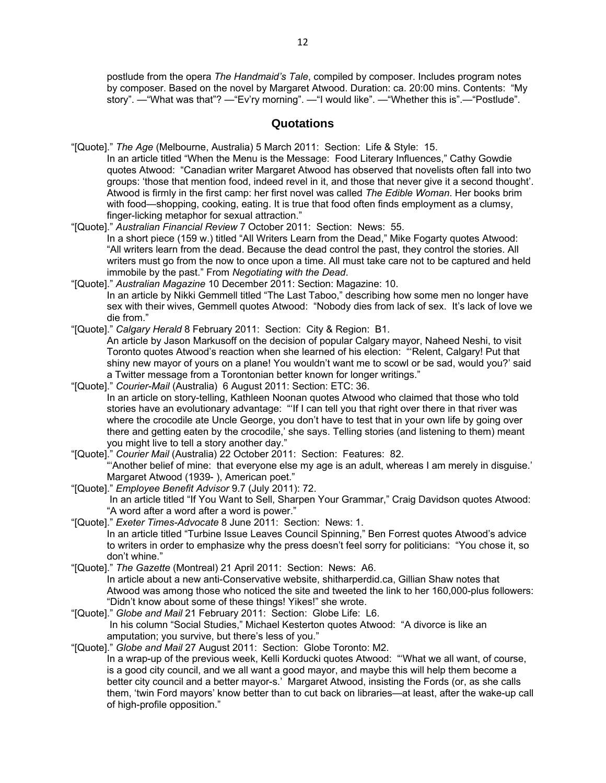postlude from the opera *The Handmaid's Tale*, compiled by composer. Includes program notes by composer. Based on the novel by Margaret Atwood. Duration: ca. 20:00 mins. Contents: "My story". —"What was that"? —"Ev'ry morning". —"I would like". —"Whether this is".—"Postlude".

## **Quotations**

- "[Quote]." *The Age* (Melbourne, Australia) 5 March 2011: Section: Life & Style: 15.
	- In an article titled "When the Menu is the Message: Food Literary Influences," Cathy Gowdie quotes Atwood: "Canadian writer Margaret Atwood has observed that novelists often fall into two groups: 'those that mention food, indeed revel in it, and those that never give it a second thought'. Atwood is firmly in the first camp: her first novel was called *The Edible Woman*. Her books brim with food—shopping, cooking, eating. It is true that food often finds employment as a clumsy, finger-licking metaphor for sexual attraction."
- "[Quote]." *Australian Financial Review* 7 October 2011: Section: News: 55.

In a short piece (159 w.) titled "All Writers Learn from the Dead," Mike Fogarty quotes Atwood: "All writers learn from the dead. Because the dead control the past, they control the stories. All writers must go from the now to once upon a time. All must take care not to be captured and held immobile by the past." From *Negotiating with the Dead*.

"[Quote]." *Australian Magazine* 10 December 2011: Section: Magazine: 10. In an article by Nikki Gemmell titled "The Last Taboo," describing how some men no longer have sex with their wives, Gemmell quotes Atwood: "Nobody dies from lack of sex. It's lack of love we die from."

"[Quote]." *Calgary Herald* 8 February 2011: Section: City & Region: B1.

An article by Jason Markusoff on the decision of popular Calgary mayor, Naheed Neshi, to visit Toronto quotes Atwood's reaction when she learned of his election: "'Relent, Calgary! Put that shiny new mayor of yours on a plane! You wouldn't want me to scowl or be sad, would you?' said a Twitter message from a Torontonian better known for longer writings."

"[Quote]." *Courier-Mail* (Australia) 6 August 2011: Section: ETC: 36. In an article on story-telling, Kathleen Noonan quotes Atwood who claimed that those who told stories have an evolutionary advantage: "'If I can tell you that right over there in that river was where the crocodile ate Uncle George, you don't have to test that in your own life by going over there and getting eaten by the crocodile,' she says. Telling stories (and listening to them) meant you might live to tell a story another day."

"[Quote]." *Courier Mail* (Australia) 22 October 2011: Section: Features: 82.

"'Another belief of mine: that everyone else my age is an adult, whereas I am merely in disguise.' Margaret Atwood (1939- ), American poet."

"[Quote]." *Employee Benefit Advisor* 9.7 (July 2011): 72.

 In an article titled "If You Want to Sell, Sharpen Your Grammar," Craig Davidson quotes Atwood: "A word after a word after a word is power."

"[Quote]." *Exeter Times-Advocate* 8 June 2011: Section: News: 1. In an article titled "Turbine Issue Leaves Council Spinning," Ben Forrest quotes Atwood's advice to writers in order to emphasize why the press doesn't feel sorry for politicians: "You chose it, so

don't whine."

"[Quote]." *The Gazette* (Montreal) 21 April 2011: Section: News: A6.

In article about a new anti-Conservative website, shitharperdid.ca, Gillian Shaw notes that Atwood was among those who noticed the site and tweeted the link to her 160,000-plus followers: "Didn't know about some of these things! Yikes!" she wrote.

"[Quote]." *Globe and Mail* 21 February 2011: Section: Globe Life: L6.

 In his column "Social Studies," Michael Kesterton quotes Atwood: "A divorce is like an amputation; you survive, but there's less of you."

"[Quote]." *Globe and Mail* 27 August 2011: Section: Globe Toronto: M2.

In a wrap-up of the previous week, Kelli Korducki quotes Atwood: "'What we all want, of course, is a good city council, and we all want a good mayor, and maybe this will help them become a better city council and a better mayor-s.' Margaret Atwood, insisting the Fords (or, as she calls them, 'twin Ford mayors' know better than to cut back on libraries—at least, after the wake-up call of high-profile opposition."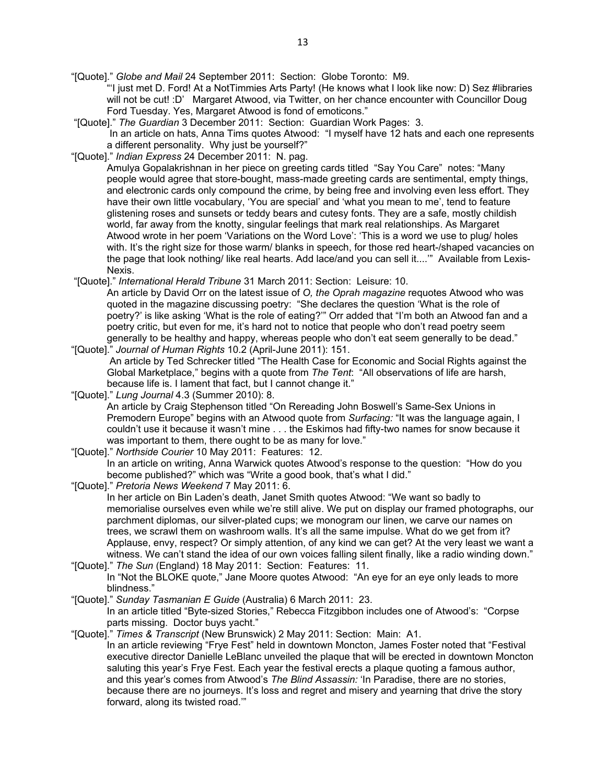"[Quote]." *Globe and Mail* 24 September 2011: Section: Globe Toronto: M9.

"'I just met D. Ford! At a NotTimmies Arts Party! (He knows what I look like now: D) Sez #libraries will not be cut! :D' Margaret Atwood, via Twitter, on her chance encounter with Councillor Doug Ford Tuesday. Yes, Margaret Atwood is fond of emoticons."

- "[Quote]." *The Guardian* 3 December 2011: Section: Guardian Work Pages: 3. In an article on hats, Anna Tims quotes Atwood: "I myself have 12 hats and each one represents a different personality. Why just be yourself?"
- "[Quote]." *Indian Express* 24 December 2011: N. pag.

Amulya Gopalakrishnan in her piece on greeting cards titled "Say You Care" notes: "Many people would agree that store-bought, mass-made greeting cards are sentimental, empty things, and electronic cards only compound the crime, by being free and involving even less effort. They have their own little vocabulary, 'You are special' and 'what you mean to me', tend to feature glistening roses and sunsets or teddy bears and cutesy fonts. They are a safe, mostly childish world, far away from the knotty, singular feelings that mark real relationships. As Margaret Atwood wrote in her poem 'Variations on the Word Love': 'This is a word we use to plug/ holes with. It's the right size for those warm/ blanks in speech, for those red heart-/shaped vacancies on the page that look nothing/ like real hearts. Add lace/and you can sell it....'" Available from Lexis-Nexis.

"[Quote]." *International Herald Tribune* 31 March 2011: Section: Leisure: 10.

An article by David Orr on the latest issue of *O, the Oprah magazine* requotes Atwood who was quoted in the magazine discussing poetry: "She declares the question 'What is the role of poetry?' is like asking 'What is the role of eating?'" Orr added that "I'm both an Atwood fan and a poetry critic, but even for me, it's hard not to notice that people who don't read poetry seem generally to be healthy and happy, whereas people who don't eat seem generally to be dead." "[Quote]." *Journal of Human Rights* 10.2 (April-June 2011): 151.

 An article by Ted Schrecker titled "The Health Case for Economic and Social Rights against the Global Marketplace," begins with a quote from *The Tent*: "All observations of life are harsh, because life is. I lament that fact, but I cannot change it."

"[Quote]." *Lung Journal* 4.3 (Summer 2010): 8. An article by Craig Stephenson titled "On Rereading John Boswell's Same-Sex Unions in Premodern Europe" begins with an Atwood quote from *Surfacing:* "It was the language again, I couldn't use it because it wasn't mine . . . the Eskimos had fifty-two names for snow because it was important to them, there ought to be as many for love."

"[Quote]." *Northside Courier* 10 May 2011: Features: 12.

In an article on writing, Anna Warwick quotes Atwood's response to the question: "How do you become published?" which was "Write a good book, that's what I did."

"[Quote]." *Pretoria News Weekend* 7 May 2011: 6.

In her article on Bin Laden's death, Janet Smith quotes Atwood: "We want so badly to memorialise ourselves even while we're still alive. We put on display our framed photographs, our parchment diplomas, our silver-plated cups; we monogram our linen, we carve our names on trees, we scrawl them on washroom walls. It's all the same impulse. What do we get from it? Applause, envy, respect? Or simply attention, of any kind we can get? At the very least we want a witness. We can't stand the idea of our own voices falling silent finally, like a radio winding down."

- "[Quote]." *The Sun* (England) 18 May 2011: Section: Features: 11. In "Not the BLOKE quote," Jane Moore quotes Atwood: "An eye for an eye only leads to more blindness."
- "[Quote]." *Sunday Tasmanian E Guide* (Australia) 6 March 2011: 23.

In an article titled "Byte-sized Stories," Rebecca Fitzgibbon includes one of Atwood's: "Corpse parts missing. Doctor buys yacht."

"[Quote]." *Times & Transcript* (New Brunswick) 2 May 2011: Section: Main: A1.

In an article reviewing "Frye Fest" held in downtown Moncton, James Foster noted that "Festival executive director Danielle LeBlanc unveiled the plaque that will be erected in downtown Moncton saluting this year's Frye Fest. Each year the festival erects a plaque quoting a famous author, and this year's comes from Atwood's *The Blind Assassin:* 'In Paradise, there are no stories, because there are no journeys. It's loss and regret and misery and yearning that drive the story forward, along its twisted road.'"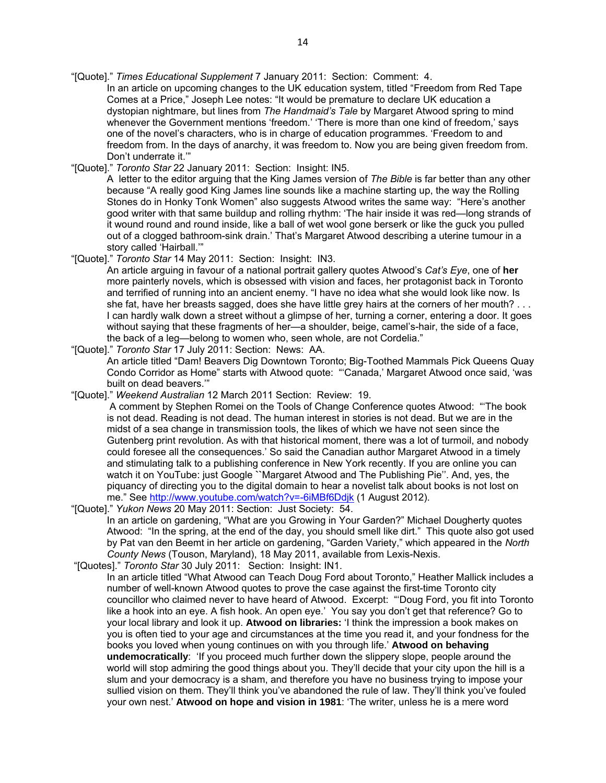"[Quote]." *Times Educational Supplement* 7 January 2011: Section: Comment: 4.

In an article on upcoming changes to the UK education system, titled "Freedom from Red Tape Comes at a Price," Joseph Lee notes: "It would be premature to declare UK education a dystopian nightmare, but lines from *The Handmaid's Tale* by Margaret Atwood spring to mind whenever the Government mentions 'freedom.' 'There is more than one kind of freedom,' says one of the novel's characters, who is in charge of education programmes. 'Freedom to and freedom from. In the days of anarchy, it was freedom to. Now you are being given freedom from. Don't underrate it.'"

"[Quote]." *Toronto Star* 22 January 2011: Section: Insight: IN5.

A letter to the editor arguing that the King James version of *The Bible* is far better than any other because "A really good King James line sounds like a machine starting up, the way the Rolling Stones do in Honky Tonk Women" also suggests Atwood writes the same way: "Here's another good writer with that same buildup and rolling rhythm: 'The hair inside it was red—long strands of it wound round and round inside, like a ball of wet wool gone berserk or like the guck you pulled out of a clogged bathroom-sink drain.' That's Margaret Atwood describing a uterine tumour in a story called 'Hairball.'"

"[Quote]." *Toronto Star* 14 May 2011: Section: Insight: IN3.

An article arguing in favour of a national portrait gallery quotes Atwood's *Cat's Eye*, one of **her**  more painterly novels, which is obsessed with vision and faces, her protagonist back in Toronto and terrified of running into an ancient enemy. "I have no idea what she would look like now. Is she fat, have her breasts sagged, does she have little grey hairs at the corners of her mouth? . . . I can hardly walk down a street without a glimpse of her, turning a corner, entering a door. It goes without saying that these fragments of her—a shoulder, beige, camel's-hair, the side of a face, the back of a leg—belong to women who, seen whole, are not Cordelia."

- "[Quote]." *Toronto Star* 17 July 2011: Section: News: AA. An article titled "Dam! Beavers Dig Downtown Toronto; Big-Toothed Mammals Pick Queens Quay Condo Corridor as Home" starts with Atwood quote: "'Canada,' Margaret Atwood once said, 'was built on dead beavers.'"
- "[Quote]." *Weekend Australian* 12 March 2011 Section: Review: 19.

 A comment by Stephen Romei on the Tools of Change Conference quotes Atwood: "'The book is not dead. Reading is not dead. The human interest in stories is not dead. But we are in the midst of a sea change in transmission tools, the likes of which we have not seen since the Gutenberg print revolution. As with that historical moment, there was a lot of turmoil, and nobody could foresee all the consequences.' So said the Canadian author Margaret Atwood in a timely and stimulating talk to a publishing conference in New York recently. If you are online you can watch it on YouTube: just Google **``**Margaret Atwood and The Publishing Pie''. And, yes, the piquancy of directing you to the digital domain to hear a novelist talk about books is not lost on me." See http://www.youtube.com/watch?v=-6iMBf6Ddjk (1 August 2012).

- "[Quote]." *Yukon News* 20 May 2011: Section: Just Society: 54. In an article on gardening, "What are you Growing in Your Garden?" Michael Dougherty quotes Atwood: "In the spring, at the end of the day, you should smell like dirt." This quote also got used by Pat van den Beemt in her article on gardening, "Garden Variety," which appeared in the *North County News* (Touson, Maryland), 18 May 2011, available from Lexis-Nexis.
- "[Quotes]." *Toronto Star* 30 July 2011: Section: Insight: IN1.
	- In an article titled "What Atwood can Teach Doug Ford about Toronto," Heather Mallick includes a number of well-known Atwood quotes to prove the case against the first-time Toronto city councillor who claimed never to have heard of Atwood. Excerpt: "'Doug Ford, you fit into Toronto like a hook into an eye. A fish hook. An open eye.' You say you don't get that reference? Go to your local library and look it up. **Atwood on libraries:** 'I think the impression a book makes on you is often tied to your age and circumstances at the time you read it, and your fondness for the books you loved when young continues on with you through life.' **Atwood on behaving undemocratically**: 'If you proceed much further down the slippery slope, people around the world will stop admiring the good things about you. They'll decide that your city upon the hill is a slum and your democracy is a sham, and therefore you have no business trying to impose your sullied vision on them. They'll think you've abandoned the rule of law. They'll think you've fouled your own nest.' **Atwood on hope and vision in 1981**: 'The writer, unless he is a mere word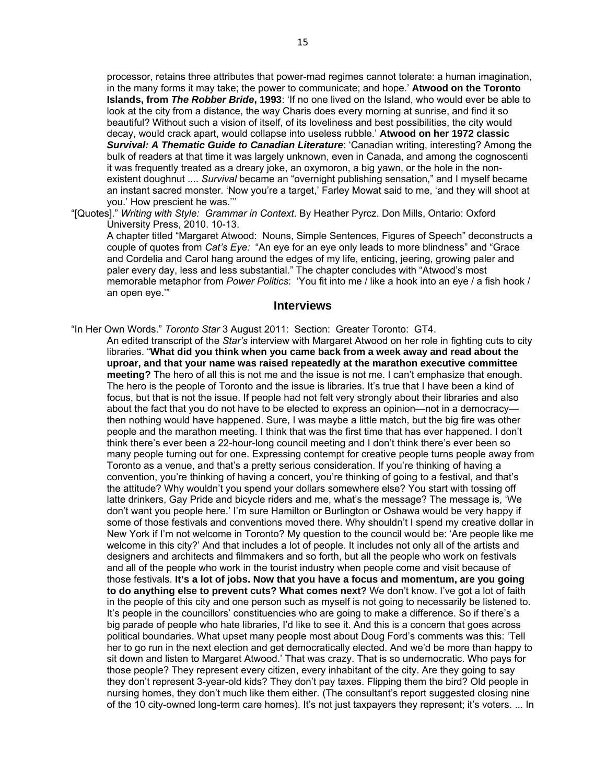processor, retains three attributes that power-mad regimes cannot tolerate: a human imagination, in the many forms it may take; the power to communicate; and hope.' **Atwood on the Toronto Islands, from** *The Robber Bride***, 1993**: 'If no one lived on the Island, who would ever be able to look at the city from a distance, the way Charis does every morning at sunrise, and find it so beautiful? Without such a vision of itself, of its loveliness and best possibilities, the city would decay, would crack apart, would collapse into useless rubble.' **Atwood on her 1972 classic**  *Survival: A Thematic Guide to Canadian Literature*: 'Canadian writing, interesting? Among the bulk of readers at that time it was largely unknown, even in Canada, and among the cognoscenti it was frequently treated as a dreary joke, an oxymoron, a big yawn, or the hole in the nonexistent doughnut .... *Survival* became an "overnight publishing sensation," and I myself became an instant sacred monster. 'Now you're a target,' Farley Mowat said to me, 'and they will shoot at you.' How prescient he was.'''

"[Quotes]." *Writing with Style: Grammar in Context*. By Heather Pyrcz. Don Mills, Ontario: Oxford University Press, 2010. 10-13.

A chapter titled "Margaret Atwood: Nouns, Simple Sentences, Figures of Speech" deconstructs a couple of quotes from *Cat's Eye:* "An eye for an eye only leads to more blindness" and "Grace and Cordelia and Carol hang around the edges of my life, enticing, jeering, growing paler and paler every day, less and less substantial." The chapter concludes with "Atwood's most memorable metaphor from *Power Politics*: 'You fit into me / like a hook into an eye / a fish hook / an open eye.'"

#### **Interviews**

"In Her Own Words." *Toronto Star* 3 August 2011: Section: Greater Toronto: GT4.

An edited transcript of the *Star's* interview with Margaret Atwood on her role in fighting cuts to city libraries. "**What did you think when you came back from a week away and read about the uproar, and that your name was raised repeatedly at the marathon executive committee meeting?** The hero of all this is not me and the issue is not me. I can't emphasize that enough. The hero is the people of Toronto and the issue is libraries. It's true that I have been a kind of focus, but that is not the issue. If people had not felt very strongly about their libraries and also about the fact that you do not have to be elected to express an opinion—not in a democracy then nothing would have happened. Sure, I was maybe a little match, but the big fire was other people and the marathon meeting. I think that was the first time that has ever happened. I don't think there's ever been a 22-hour-long council meeting and I don't think there's ever been so many people turning out for one. Expressing contempt for creative people turns people away from Toronto as a venue, and that's a pretty serious consideration. If you're thinking of having a convention, you're thinking of having a concert, you're thinking of going to a festival, and that's the attitude? Why wouldn't you spend your dollars somewhere else? You start with tossing off latte drinkers, Gay Pride and bicycle riders and me, what's the message? The message is, 'We don't want you people here.' I'm sure Hamilton or Burlington or Oshawa would be very happy if some of those festivals and conventions moved there. Why shouldn't I spend my creative dollar in New York if I'm not welcome in Toronto? My question to the council would be: 'Are people like me welcome in this city?' And that includes a lot of people. It includes not only all of the artists and designers and architects and filmmakers and so forth, but all the people who work on festivals and all of the people who work in the tourist industry when people come and visit because of those festivals. **It's a lot of jobs. Now that you have a focus and momentum, are you going to do anything else to prevent cuts? What comes next?** We don't know. I've got a lot of faith in the people of this city and one person such as myself is not going to necessarily be listened to. It's people in the councillors' constituencies who are going to make a difference. So if there's a big parade of people who hate libraries, I'd like to see it. And this is a concern that goes across political boundaries. What upset many people most about Doug Ford's comments was this: 'Tell her to go run in the next election and get democratically elected. And we'd be more than happy to sit down and listen to Margaret Atwood.' That was crazy. That is so undemocratic. Who pays for those people? They represent every citizen, every inhabitant of the city. Are they going to say they don't represent 3-year-old kids? They don't pay taxes. Flipping them the bird? Old people in nursing homes, they don't much like them either. (The consultant's report suggested closing nine of the 10 city-owned long-term care homes). It's not just taxpayers they represent; it's voters. ... In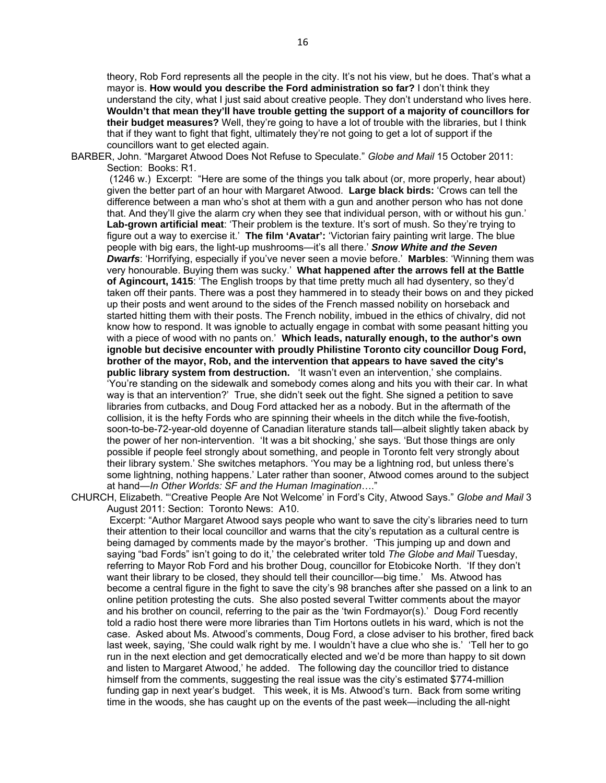theory, Rob Ford represents all the people in the city. It's not his view, but he does. That's what a mayor is. **How would you describe the Ford administration so far?** I don't think they understand the city, what I just said about creative people. They don't understand who lives here. **Wouldn't that mean they'll have trouble getting the support of a majority of councillors for their budget measures?** Well, they're going to have a lot of trouble with the libraries, but I think that if they want to fight that fight, ultimately they're not going to get a lot of support if the councillors want to get elected again.

BARBER, John. "Margaret Atwood Does Not Refuse to Speculate." *Globe and Mail* 15 October 2011: Section: Books: R1.

 (1246 w.) Excerpt: "Here are some of the things you talk about (or, more properly, hear about) given the better part of an hour with Margaret Atwood. **Large black birds:** 'Crows can tell the difference between a man who's shot at them with a gun and another person who has not done that. And they'll give the alarm cry when they see that individual person, with or without his gun.' **Lab-grown artificial meat**: 'Their problem is the texture. It's sort of mush. So they're trying to figure out a way to exercise it.' **The film 'Avatar':** 'Victorian fairy painting writ large. The blue people with big ears, the light-up mushrooms—it's all there.' *Snow White and the Seven Dwarfs*: 'Horrifying, especially if you've never seen a movie before.' **Marbles**: 'Winning them was very honourable. Buying them was sucky.' **What happened after the arrows fell at the Battle of Agincourt, 1415**: 'The English troops by that time pretty much all had dysentery, so they'd taken off their pants. There was a post they hammered in to steady their bows on and they picked up their posts and went around to the sides of the French massed nobility on horseback and started hitting them with their posts. The French nobility, imbued in the ethics of chivalry, did not know how to respond. It was ignoble to actually engage in combat with some peasant hitting you with a piece of wood with no pants on.' **Which leads, naturally enough, to the author's own ignoble but decisive encounter with proudly Philistine Toronto city councillor Doug Ford, brother of the mayor, Rob, and the intervention that appears to have saved the city's public library system from destruction.** 'It wasn't even an intervention,' she complains. 'You're standing on the sidewalk and somebody comes along and hits you with their car. In what way is that an intervention?' True, she didn't seek out the fight. She signed a petition to save libraries from cutbacks, and Doug Ford attacked her as a nobody. But in the aftermath of the collision, it is the hefty Fords who are spinning their wheels in the ditch while the five-footish, soon-to-be-72-year-old doyenne of Canadian literature stands tall—albeit slightly taken aback by the power of her non-intervention. 'It was a bit shocking,' she says. 'But those things are only possible if people feel strongly about something, and people in Toronto felt very strongly about their library system.' She switches metaphors. 'You may be a lightning rod, but unless there's some lightning, nothing happens.' Later rather than sooner, Atwood comes around to the subject at hand—*In Other Worlds: SF and the Human Imagination*…."

CHURCH, Elizabeth. "'Creative People Are Not Welcome' in Ford's City, Atwood Says." *Globe and Mail* 3 August 2011: Section: Toronto News: A10.

 Excerpt: "Author Margaret Atwood says people who want to save the city's libraries need to turn their attention to their local councillor and warns that the city's reputation as a cultural centre is being damaged by comments made by the mayor's brother. 'This jumping up and down and saying "bad Fords" isn't going to do it,' the celebrated writer told *The Globe and Mail* Tuesday, referring to Mayor Rob Ford and his brother Doug, councillor for Etobicoke North. 'If they don't want their library to be closed, they should tell their councillor—big time.' Ms. Atwood has become a central figure in the fight to save the city's 98 branches after she passed on a link to an online petition protesting the cuts. She also posted several Twitter comments about the mayor and his brother on council, referring to the pair as the 'twin Fordmayor(s).' Doug Ford recently told a radio host there were more libraries than Tim Hortons outlets in his ward, which is not the case. Asked about Ms. Atwood's comments, Doug Ford, a close adviser to his brother, fired back last week, saying, 'She could walk right by me. I wouldn't have a clue who she is.' 'Tell her to go run in the next election and get democratically elected and we'd be more than happy to sit down and listen to Margaret Atwood,' he added. The following day the councillor tried to distance himself from the comments, suggesting the real issue was the city's estimated \$774-million funding gap in next year's budget. This week, it is Ms. Atwood's turn. Back from some writing time in the woods, she has caught up on the events of the past week—including the all-night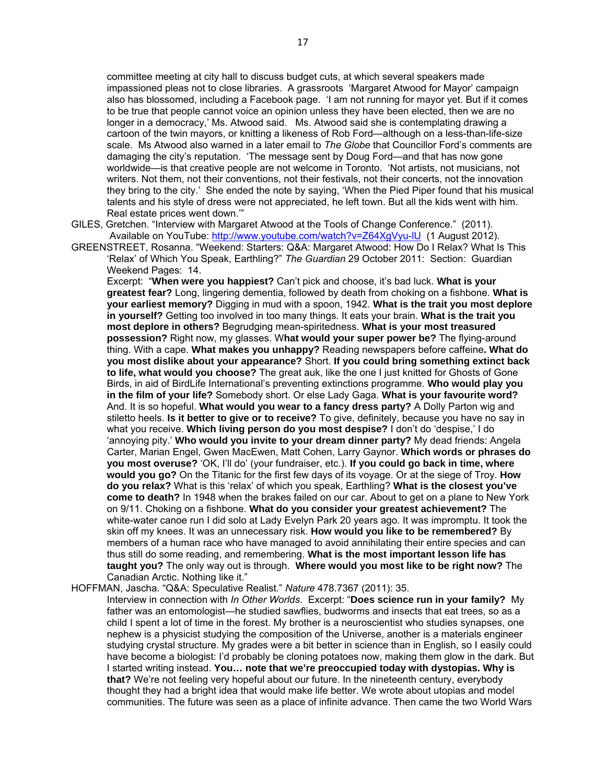committee meeting at city hall to discuss budget cuts, at which several speakers made impassioned pleas not to close libraries. A grassroots 'Margaret Atwood for Mayor' campaign also has blossomed, including a Facebook page. 'I am not running for mayor yet. But if it comes to be true that people cannot voice an opinion unless they have been elected, then we are no longer in a democracy,' Ms. Atwood said. Ms. Atwood said she is contemplating drawing a cartoon of the twin mayors, or knitting a likeness of Rob Ford—although on a less-than-life-size scale. Ms Atwood also warned in a later email to *The Globe* that Councillor Ford's comments are damaging the city's reputation. 'The message sent by Doug Ford—and that has now gone worldwide—is that creative people are not welcome in Toronto. 'Not artists, not musicians, not writers. Not them, not their conventions, not their festivals, not their concerts, not the innovation they bring to the city.' She ended the note by saying, 'When the Pied Piper found that his musical talents and his style of dress were not appreciated, he left town. But all the kids went with him. Real estate prices went down.'"

- GILES, Gretchen. "Interview with Margaret Atwood at the Tools of Change Conference." (2011). Available on YouTube: http://www.youtube.com/watch?v=Z64XgVyu-IU (1 August 2012).
- GREENSTREET, Rosanna. "Weekend: Starters: Q&A: Margaret Atwood: How Do I Relax? What Is This 'Relax' of Which You Speak, Earthling?" *The Guardian* 29 October 2011: Section: Guardian Weekend Pages: 14.

Excerpt: "**When were you happiest?** Can't pick and choose, it's bad luck. **What is your greatest fear?** Long, lingering dementia, followed by death from choking on a fishbone. **What is your earliest memory?** Digging in mud with a spoon, 1942. **What is the trait you most deplore in yourself?** Getting too involved in too many things. It eats your brain. **What is the trait you most deplore in others?** Begrudging mean-spiritedness. **What is your most treasured possession?** Right now, my glasses. W**hat would your super power be?** The flying-around thing. With a cape. **What makes you unhappy?** Reading newspapers before caffeine**. What do you most dislike about your appearance?** Short. **If you could bring something extinct back to life, what would you choose?** The great auk, like the one I just knitted for Ghosts of Gone Birds, in aid of BirdLife International's preventing extinctions programme. **Who would play you in the film of your life?** Somebody short. Or else Lady Gaga. **What is your favourite word?**  And. It is so hopeful. **What would you wear to a fancy dress party?** A Dolly Parton wig and stiletto heels. **Is it better to give or to receive?** To give, definitely, because you have no say in what you receive. **Which living person do you most despise?** I don't do 'despise,' I do 'annoying pity.' **Who would you invite to your dream dinner party?** My dead friends: Angela Carter, Marian Engel, Gwen MacEwen, Matt Cohen, Larry Gaynor. **Which words or phrases do you most overuse?** 'OK, I'll do' (your fundraiser, etc.). **If you could go back in time, where would you go?** On the Titanic for the first few days of its voyage. Or at the siege of Troy. **How do you relax?** What is this 'relax' of which you speak, Earthling? **What is the closest you've come to death?** In 1948 when the brakes failed on our car. About to get on a plane to New York on 9/11. Choking on a fishbone. **What do you consider your greatest achievement?** The white-water canoe run I did solo at Lady Evelyn Park 20 years ago. It was impromptu. It took the skin off my knees. It was an unnecessary risk. **How would you like to be remembered?** By members of a human race who have managed to avoid annihilating their entire species and can thus still do some reading, and remembering. **What is the most important lesson life has taught you?** The only way out is through. **Where would you most like to be right now?** The Canadian Arctic. Nothing like it."

HOFFMAN, Jascha. "Q&A: Speculative Realist." *Nature* 478.7367 (2011): 35.

Interview in connection with *In Other Worlds*. Excerpt: "**Does science run in your family?** My father was an entomologist—he studied sawflies, budworms and insects that eat trees, so as a child I spent a lot of time in the forest. My brother is a neuroscientist who studies synapses, one nephew is a physicist studying the composition of the Universe, another is a materials engineer studying crystal structure. My grades were a bit better in science than in English, so I easily could have become a biologist: I'd probably be cloning potatoes now, making them glow in the dark. But I started writing instead. **You… note that we're preoccupied today with dystopias. Why is that?** We're not feeling very hopeful about our future. In the nineteenth century, everybody thought they had a bright idea that would make life better. We wrote about utopias and model communities. The future was seen as a place of infinite advance. Then came the two World Wars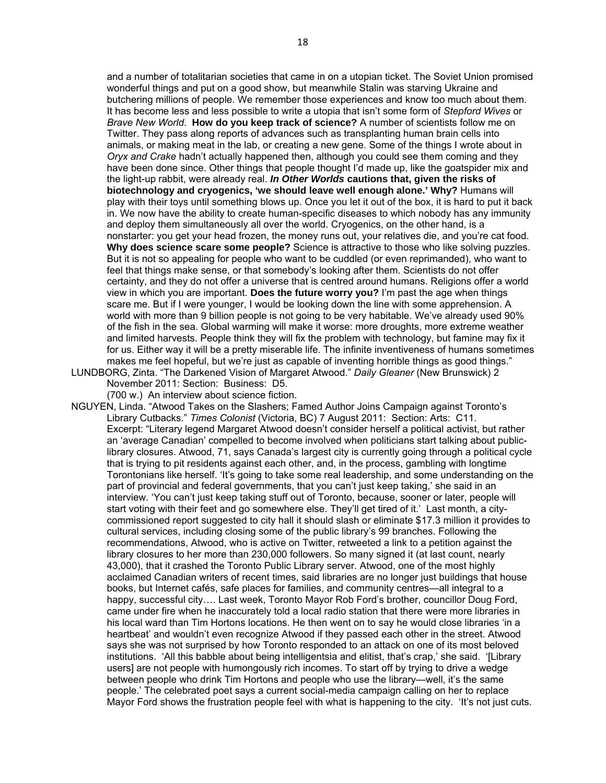and a number of totalitarian societies that came in on a utopian ticket. The Soviet Union promised wonderful things and put on a good show, but meanwhile Stalin was starving Ukraine and butchering millions of people. We remember those experiences and know too much about them. It has become less and less possible to write a utopia that isn't some form of *Stepford Wives* or *Brave New World*. **How do you keep track of science?** A number of scientists follow me on Twitter. They pass along reports of advances such as transplanting human brain cells into animals, or making meat in the lab, or creating a new gene. Some of the things I wrote about in *Oryx and Crake* hadn't actually happened then, although you could see them coming and they have been done since. Other things that people thought I'd made up, like the goatspider mix and the light-up rabbit, were already real. *In Other Worlds* **cautions that, given the risks of biotechnology and cryogenics, 'we should leave well enough alone.' Why?** Humans will play with their toys until something blows up. Once you let it out of the box, it is hard to put it back in. We now have the ability to create human-specific diseases to which nobody has any immunity and deploy them simultaneously all over the world. Cryogenics, on the other hand, is a nonstarter: you get your head frozen, the money runs out, your relatives die, and you're cat food. **Why does science scare some people?** Science is attractive to those who like solving puzzles. But it is not so appealing for people who want to be cuddled (or even reprimanded), who want to feel that things make sense, or that somebody's looking after them. Scientists do not offer certainty, and they do not offer a universe that is centred around humans. Religions offer a world view in which you are important. **Does the future worry you?** I'm past the age when things scare me. But if I were younger, I would be looking down the line with some apprehension. A world with more than 9 billion people is not going to be very habitable. We've already used 90% of the fish in the sea. Global warming will make it worse: more droughts, more extreme weather and limited harvests. People think they will fix the problem with technology, but famine may fix it for us. Either way it will be a pretty miserable life. The infinite inventiveness of humans sometimes makes me feel hopeful, but we're just as capable of inventing horrible things as good things."

LUNDBORG, Zinta. "The Darkened Vision of Margaret Atwood." *Daily Gleaner* (New Brunswick) 2 November 2011: Section: Business: D5.

(700 w.) An interview about science fiction.

NGUYEN, Linda. "Atwood Takes on the Slashers; Famed Author Joins Campaign against Toronto's Library Cutbacks." *Times Colonist* (Victoria, BC) 7 August 2011: Section: Arts: C11. Excerpt: "Literary legend Margaret Atwood doesn't consider herself a political activist, but rather an 'average Canadian' compelled to become involved when politicians start talking about publiclibrary closures. Atwood, 71, says Canada's largest city is currently going through a political cycle that is trying to pit residents against each other, and, in the process, gambling with longtime Torontonians like herself. 'It's going to take some real leadership, and some understanding on the part of provincial and federal governments, that you can't just keep taking,' she said in an interview. 'You can't just keep taking stuff out of Toronto, because, sooner or later, people will start voting with their feet and go somewhere else. They'll get tired of it.' Last month, a citycommissioned report suggested to city hall it should slash or eliminate \$17.3 million it provides to cultural services, including closing some of the public library's 99 branches. Following the recommendations, Atwood, who is active on Twitter, retweeted a link to a petition against the library closures to her more than 230,000 followers. So many signed it (at last count, nearly 43,000), that it crashed the Toronto Public Library server. Atwood, one of the most highly acclaimed Canadian writers of recent times, said libraries are no longer just buildings that house books, but Internet cafés, safe places for families, and community centres—all integral to a happy, successful city…. Last week, Toronto Mayor Rob Ford's brother, councillor Doug Ford, came under fire when he inaccurately told a local radio station that there were more libraries in his local ward than Tim Hortons locations. He then went on to say he would close libraries 'in a heartbeat' and wouldn't even recognize Atwood if they passed each other in the street. Atwood says she was not surprised by how Toronto responded to an attack on one of its most beloved institutions. 'All this babble about being intelligentsia and elitist, that's crap,' she said. '[Library users] are not people with humongously rich incomes. To start off by trying to drive a wedge between people who drink Tim Hortons and people who use the library—well, it's the same people.' The celebrated poet says a current social-media campaign calling on her to replace Mayor Ford shows the frustration people feel with what is happening to the city. 'It's not just cuts.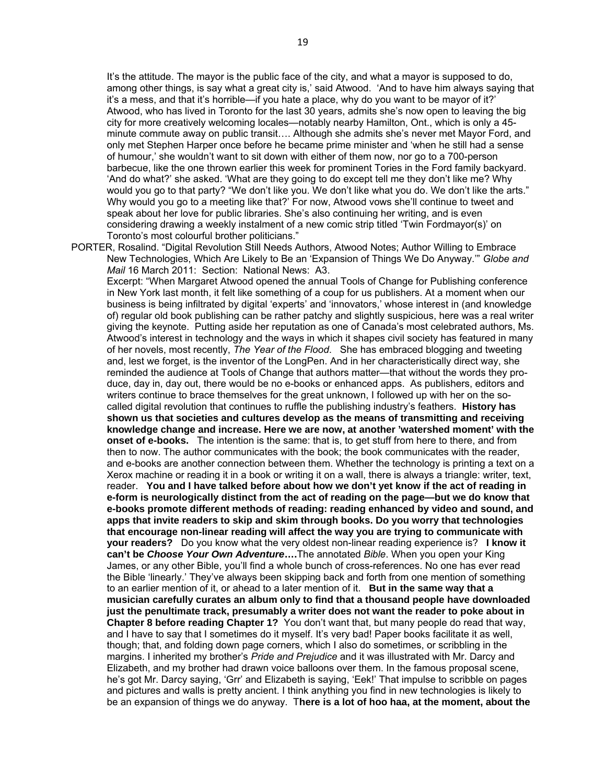It's the attitude. The mayor is the public face of the city, and what a mayor is supposed to do, among other things, is say what a great city is,' said Atwood. 'And to have him always saying that it's a mess, and that it's horrible—if you hate a place, why do you want to be mayor of it?' Atwood, who has lived in Toronto for the last 30 years, admits she's now open to leaving the big city for more creatively welcoming locales—notably nearby Hamilton, Ont., which is only a 45 minute commute away on public transit…. Although she admits she's never met Mayor Ford, and only met Stephen Harper once before he became prime minister and 'when he still had a sense of humour,' she wouldn't want to sit down with either of them now, nor go to a 700-person barbecue, like the one thrown earlier this week for prominent Tories in the Ford family backyard. 'And do what?' she asked. 'What are they going to do except tell me they don't like me? Why would you go to that party? "We don't like you. We don't like what you do. We don't like the arts." Why would you go to a meeting like that?' For now, Atwood vows she'll continue to tweet and speak about her love for public libraries. She's also continuing her writing, and is even considering drawing a weekly instalment of a new comic strip titled 'Twin Fordmayor(s)' on Toronto's most colourful brother politicians."

PORTER, Rosalind. "Digital Revolution Still Needs Authors, Atwood Notes; Author Willing to Embrace New Technologies, Which Are Likely to Be an 'Expansion of Things We Do Anyway.'" *Globe and Mail* 16 March 2011: Section: National News: A3.

Excerpt: "When Margaret Atwood opened the annual Tools of Change for Publishing conference in New York last month, it felt like something of a coup for us publishers. At a moment when our business is being infiltrated by digital 'experts' and 'innovators,' whose interest in (and knowledge of) regular old book publishing can be rather patchy and slightly suspicious, here was a real writer giving the keynote. Putting aside her reputation as one of Canada's most celebrated authors, Ms. Atwood's interest in technology and the ways in which it shapes civil society has featured in many of her novels, most recently, *The Year of the Flood*. She has embraced blogging and tweeting and, lest we forget, is the inventor of the LongPen. And in her characteristically direct way, she reminded the audience at Tools of Change that authors matter—that without the words they produce, day in, day out, there would be no e-books or enhanced apps. As publishers, editors and writers continue to brace themselves for the great unknown, I followed up with her on the socalled digital revolution that continues to ruffle the publishing industry's feathers. **History has shown us that societies and cultures develop as the means of transmitting and receiving knowledge change and increase. Here we are now, at another 'watershed moment' with the onset of e-books.** The intention is the same: that is, to get stuff from here to there, and from then to now. The author communicates with the book; the book communicates with the reader, and e-books are another connection between them. Whether the technology is printing a text on a Xerox machine or reading it in a book or writing it on a wall, there is always a triangle: writer, text, reader. **You and I have talked before about how we don't yet know if the act of reading in e-form is neurologically distinct from the act of reading on the page—but we do know that e-books promote different methods of reading: reading enhanced by video and sound, and apps that invite readers to skip and skim through books. Do you worry that technologies that encourage non-linear reading will affect the way you are trying to communicate with your readers?** Do you know what the very oldest non-linear reading experience is? **I know it can't be** *Choose Your Own Adventure***….**The annotated *Bible*. When you open your King James, or any other Bible, you'll find a whole bunch of cross-references. No one has ever read the Bible 'linearly.' They've always been skipping back and forth from one mention of something to an earlier mention of it, or ahead to a later mention of it. **But in the same way that a musician carefully curates an album only to find that a thousand people have downloaded just the penultimate track, presumably a writer does not want the reader to poke about in Chapter 8 before reading Chapter 1?** You don't want that, but many people do read that way, and I have to say that I sometimes do it myself. It's very bad! Paper books facilitate it as well, though; that, and folding down page corners, which I also do sometimes, or scribbling in the margins. I inherited my brother's *Pride and Prejudice* and it was illustrated with Mr. Darcy and Elizabeth, and my brother had drawn voice balloons over them. In the famous proposal scene, he's got Mr. Darcy saying, 'Grr' and Elizabeth is saying, 'Eek!' That impulse to scribble on pages and pictures and walls is pretty ancient. I think anything you find in new technologies is likely to be an expansion of things we do anyway. T**here is a lot of hoo haa, at the moment, about the**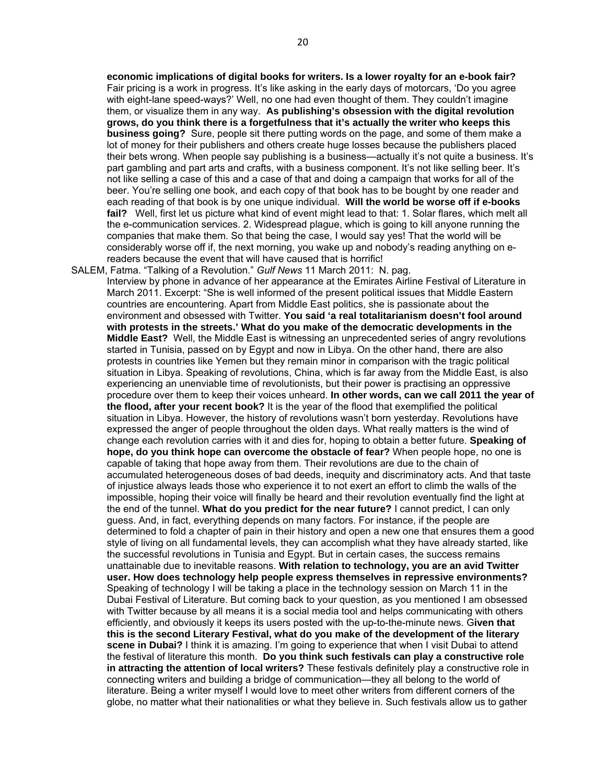**economic implications of digital books for writers. Is a lower royalty for an e-book fair?**  Fair pricing is a work in progress. It's like asking in the early days of motorcars, 'Do you agree with eight-lane speed-ways?' Well, no one had even thought of them. They couldn't imagine them, or visualize them in any way. **As publishing's obsession with the digital revolution grows, do you think there is a forgetfulness that it's actually the writer who keeps this business going?** Sure, people sit there putting words on the page, and some of them make a lot of money for their publishers and others create huge losses because the publishers placed their bets wrong. When people say publishing is a business—actually it's not quite a business. It's part gambling and part arts and crafts, with a business component. It's not like selling beer. It's not like selling a case of this and a case of that and doing a campaign that works for all of the beer. You're selling one book, and each copy of that book has to be bought by one reader and each reading of that book is by one unique individual. **Will the world be worse off if e-books fail?** Well, first let us picture what kind of event might lead to that: 1. Solar flares, which melt all the e-communication services. 2. Widespread plague, which is going to kill anyone running the companies that make them. So that being the case, I would say yes! That the world will be considerably worse off if, the next morning, you wake up and nobody's reading anything on ereaders because the event that will have caused that is horrific!

SALEM, Fatma. "Talking of a Revolution." *Gulf News* 11 March 2011: N. pag.

Interview by phone in advance of her appearance at the Emirates Airline Festival of Literature in March 2011. Excerpt: "She is well informed of the present political issues that Middle Eastern countries are encountering. Apart from Middle East politics, she is passionate about the environment and obsessed with Twitter. **You said 'a real totalitarianism doesn't fool around with protests in the streets.' What do you make of the democratic developments in the Middle East?** Well, the Middle East is witnessing an unprecedented series of angry revolutions started in Tunisia, passed on by Egypt and now in Libya. On the other hand, there are also protests in countries like Yemen but they remain minor in comparison with the tragic political situation in Libya. Speaking of revolutions, China, which is far away from the Middle East, is also experiencing an unenviable time of revolutionists, but their power is practising an oppressive procedure over them to keep their voices unheard. **In other words, can we call 2011 the year of the flood, after your recent book?** It is the year of the flood that exemplified the political situation in Libya. However, the history of revolutions wasn't born yesterday. Revolutions have expressed the anger of people throughout the olden days. What really matters is the wind of change each revolution carries with it and dies for, hoping to obtain a better future. **Speaking of hope, do you think hope can overcome the obstacle of fear?** When people hope, no one is capable of taking that hope away from them. Their revolutions are due to the chain of accumulated heterogeneous doses of bad deeds, inequity and discriminatory acts. And that taste of injustice always leads those who experience it to not exert an effort to climb the walls of the impossible, hoping their voice will finally be heard and their revolution eventually find the light at the end of the tunnel. **What do you predict for the near future?** I cannot predict, I can only guess. And, in fact, everything depends on many factors. For instance, if the people are determined to fold a chapter of pain in their history and open a new one that ensures them a good style of living on all fundamental levels, they can accomplish what they have already started, like the successful revolutions in Tunisia and Egypt. But in certain cases, the success remains unattainable due to inevitable reasons. **With relation to technology, you are an avid Twitter user. How does technology help people express themselves in repressive environments?**  Speaking of technology I will be taking a place in the technology session on March 11 in the Dubai Festival of Literature. But coming back to your question, as you mentioned I am obsessed with Twitter because by all means it is a social media tool and helps communicating with others efficiently, and obviously it keeps its users posted with the up-to-the-minute news. G**iven that this is the second Literary Festival, what do you make of the development of the literary scene in Dubai?** I think it is amazing. I'm going to experience that when I visit Dubai to attend the festival of literature this month. **Do you think such festivals can play a constructive role in attracting the attention of local writers?** These festivals definitely play a constructive role in connecting writers and building a bridge of communication—they all belong to the world of literature. Being a writer myself I would love to meet other writers from different corners of the globe, no matter what their nationalities or what they believe in. Such festivals allow us to gather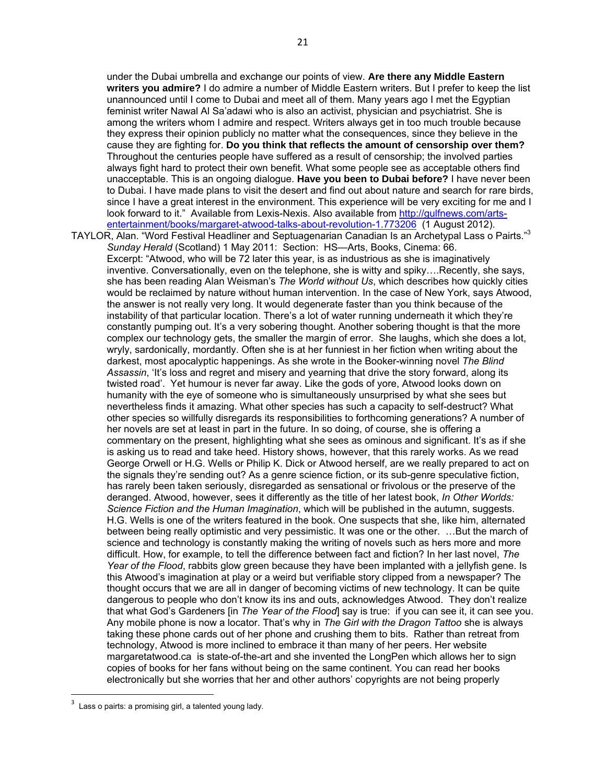under the Dubai umbrella and exchange our points of view. **Are there any Middle Eastern writers you admire?** I do admire a number of Middle Eastern writers. But I prefer to keep the list unannounced until I come to Dubai and meet all of them. Many years ago I met the Egyptian feminist writer Nawal Al Sa'adawi who is also an activist, physician and psychiatrist. She is among the writers whom I admire and respect. Writers always get in too much trouble because they express their opinion publicly no matter what the consequences, since they believe in the cause they are fighting for. **Do you think that reflects the amount of censorship over them?** Throughout the centuries people have suffered as a result of censorship; the involved parties always fight hard to protect their own benefit. What some people see as acceptable others find unacceptable. This is an ongoing dialogue. **Have you been to Dubai before?** I have never been to Dubai. I have made plans to visit the desert and find out about nature and search for rare birds, since I have a great interest in the environment. This experience will be very exciting for me and I look forward to it." Available from Lexis-Nexis. Also available from http://gulfnews.com/artsentertainment/books/margaret-atwood-talks-about-revolution-1.773206 (1 August 2012).

TAYLOR, Alan. "Word Festival Headliner and Septuagenarian Canadian Is an Archetypal Lass o Pairts."<sup>3</sup> *Sunday Herald* (Scotland) 1 May 2011: Section: HS—Arts, Books, Cinema: 66. Excerpt: "Atwood, who will be 72 later this year, is as industrious as she is imaginatively inventive. Conversationally, even on the telephone, she is witty and spiky….Recently, she says, she has been reading Alan Weisman's *The World without Us*, which describes how quickly cities would be reclaimed by nature without human intervention. In the case of New York, says Atwood, the answer is not really very long. It would degenerate faster than you think because of the instability of that particular location. There's a lot of water running underneath it which they're constantly pumping out. It's a very sobering thought. Another sobering thought is that the more complex our technology gets, the smaller the margin of error. She laughs, which she does a lot, wryly, sardonically, mordantly. Often she is at her funniest in her fiction when writing about the darkest, most apocalyptic happenings. As she wrote in the Booker-winning novel *The Blind Assassin*, 'It's loss and regret and misery and yearning that drive the story forward, along its twisted road'. Yet humour is never far away. Like the gods of yore, Atwood looks down on humanity with the eye of someone who is simultaneously unsurprised by what she sees but nevertheless finds it amazing. What other species has such a capacity to self-destruct? What other species so willfully disregards its responsibilities to forthcoming generations? A number of her novels are set at least in part in the future. In so doing, of course, she is offering a commentary on the present, highlighting what she sees as ominous and significant. It's as if she is asking us to read and take heed. History shows, however, that this rarely works. As we read George Orwell or H.G. Wells or Philip K. Dick or Atwood herself, are we really prepared to act on the signals they're sending out? As a genre science fiction, or its sub-genre speculative fiction, has rarely been taken seriously, disregarded as sensational or frivolous or the preserve of the deranged. Atwood, however, sees it differently as the title of her latest book, *In Other Worlds: Science Fiction and the Human Imagination*, which will be published in the autumn, suggests. H.G. Wells is one of the writers featured in the book. One suspects that she, like him, alternated between being really optimistic and very pessimistic. It was one or the other. …But the march of science and technology is constantly making the writing of novels such as hers more and more difficult. How, for example, to tell the difference between fact and fiction? In her last novel, *The Year of the Flood*, rabbits glow green because they have been implanted with a jellyfish gene. Is this Atwood's imagination at play or a weird but verifiable story clipped from a newspaper? The thought occurs that we are all in danger of becoming victims of new technology. It can be quite dangerous to people who don't know its ins and outs, acknowledges Atwood. They don't realize that what God's Gardeners [in *The Year of the Flood*] say is true: if you can see it, it can see you. Any mobile phone is now a locator. That's why in *The Girl with the Dragon Tattoo* she is always taking these phone cards out of her phone and crushing them to bits. Rather than retreat from technology, Atwood is more inclined to embrace it than many of her peers. Her website margaretatwood.ca is state-of-the-art and she invented the LongPen which allows her to sign copies of books for her fans without being on the same continent. You can read her books electronically but she worries that her and other authors' copyrights are not being properly

Lass o pairts: a promising girl, a talented young lady.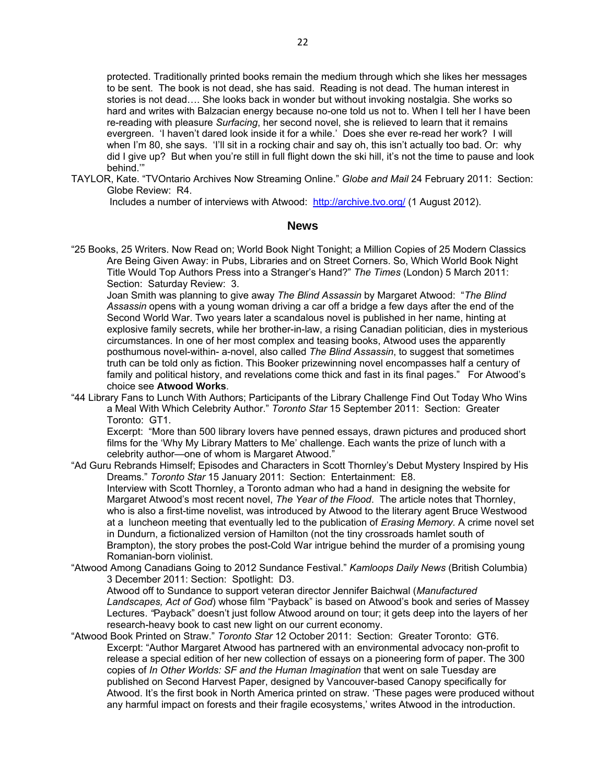protected. Traditionally printed books remain the medium through which she likes her messages to be sent. The book is not dead, she has said. Reading is not dead. The human interest in stories is not dead…. She looks back in wonder but without invoking nostalgia. She works so hard and writes with Balzacian energy because no-one told us not to. When I tell her I have been re-reading with pleasure *Surfacing*, her second novel, she is relieved to learn that it remains evergreen. 'I haven't dared look inside it for a while.' Does she ever re-read her work? I will when I'm 80, she says. 'I'll sit in a rocking chair and say oh, this isn't actually too bad. Or: why did I give up? But when you're still in full flight down the ski hill, it's not the time to pause and look behind.'"

TAYLOR, Kate. "TVOntario Archives Now Streaming Online." *Globe and Mail* 24 February 2011: Section: Globe Review: R4.

Includes a number of interviews with Atwood: http://archive.tvo.org/ (1 August 2012).

#### **News**

"25 Books, 25 Writers. Now Read on; World Book Night Tonight; a Million Copies of 25 Modern Classics Are Being Given Away: in Pubs, Libraries and on Street Corners. So, Which World Book Night Title Would Top Authors Press into a Stranger's Hand?" *The Times* (London) 5 March 2011: Section: Saturday Review: 3.

Joan Smith was planning to give away *The Blind Assassin* by Margaret Atwood: "*The Blind Assassin* opens with a young woman driving a car off a bridge a few days after the end of the Second World War. Two years later a scandalous novel is published in her name, hinting at explosive family secrets, while her brother-in-law, a rising Canadian politician, dies in mysterious circumstances. In one of her most complex and teasing books, Atwood uses the apparently posthumous novel-within- a-novel, also called *The Blind Assassin*, to suggest that sometimes truth can be told only as fiction. This Booker prizewinning novel encompasses half a century of family and political history, and revelations come thick and fast in its final pages." For Atwood's choice see **Atwood Works**.

"44 Library Fans to Lunch With Authors; Participants of the Library Challenge Find Out Today Who Wins a Meal With Which Celebrity Author." *Toronto Star* 15 September 2011: Section: Greater Toronto: GT1.

Excerpt: "More than 500 library lovers have penned essays, drawn pictures and produced short films for the 'Why My Library Matters to Me' challenge. Each wants the prize of lunch with a celebrity author—one of whom is Margaret Atwood."

- "Ad Guru Rebrands Himself; Episodes and Characters in Scott Thornley's Debut Mystery Inspired by His Dreams." *Toronto Star* 15 January 2011: Section: Entertainment: E8. Interview with Scott Thornley, a Toronto adman who had a hand in designing the website for Margaret Atwood's most recent novel, *The Year of the Flood*. The article notes that Thornley, who is also a first-time novelist, was introduced by Atwood to the literary agent Bruce Westwood at a luncheon meeting that eventually led to the publication of *Erasing Memory.* A crime novel set in Dundurn, a fictionalized version of Hamilton (not the tiny crossroads hamlet south of Brampton), the story probes the post-Cold War intrigue behind the murder of a promising young Romanian-born violinist.
- "Atwood Among Canadians Going to 2012 Sundance Festival." *Kamloops Daily News* (British Columbia) 3 December 2011: Section: Spotlight: D3.

Atwood off to Sundance to support veteran director Jennifer Baichwal (*Manufactured Landscapes, Act of God*) whose film "Payback" is based on Atwood's book and series of Massey Lectures. *"*Payback" doesn't just follow Atwood around on tour; it gets deep into the layers of her research-heavy book to cast new light on our current economy.

"Atwood Book Printed on Straw." *Toronto Star* 12 October 2011: Section: Greater Toronto: GT6. Excerpt: "Author Margaret Atwood has partnered with an environmental advocacy non-profit to release a special edition of her new collection of essays on a pioneering form of paper. The 300 copies of *In Other Worlds: SF and the Human Imagination* that went on sale Tuesday are published on Second Harvest Paper, designed by Vancouver-based Canopy specifically for Atwood. It's the first book in North America printed on straw. 'These pages were produced without any harmful impact on forests and their fragile ecosystems,' writes Atwood in the introduction.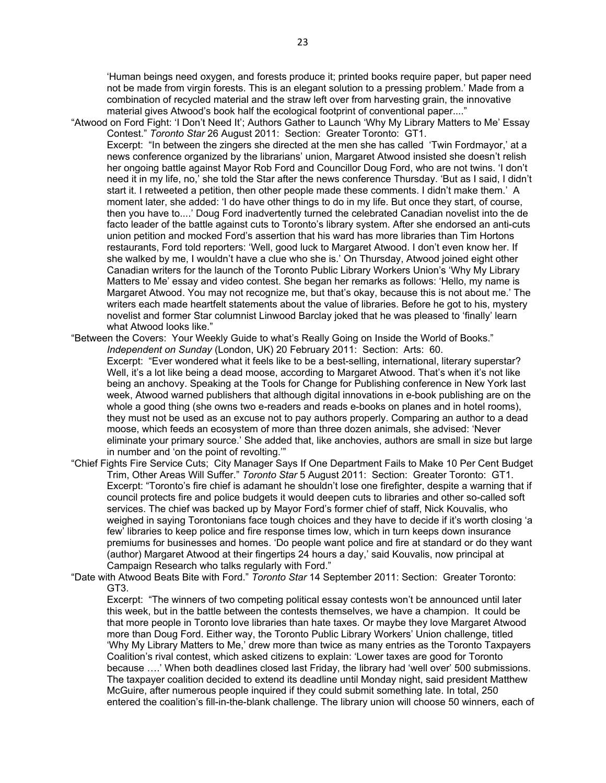'Human beings need oxygen, and forests produce it; printed books require paper, but paper need not be made from virgin forests. This is an elegant solution to a pressing problem.' Made from a combination of recycled material and the straw left over from harvesting grain, the innovative material gives Atwood's book half the ecological footprint of conventional paper...."

"Atwood on Ford Fight: 'I Don't Need It'; Authors Gather to Launch 'Why My Library Matters to Me' Essay Contest." *Toronto Star* 26 August 2011: Section: Greater Toronto: GT1. Excerpt: "In between the zingers she directed at the men she has called 'Twin Fordmayor,' at a news conference organized by the librarians' union, Margaret Atwood insisted she doesn't relish her ongoing battle against Mayor Rob Ford and Councillor Doug Ford, who are not twins. 'I don't need it in my life, no,' she told the Star after the news conference Thursday. 'But as I said, I didn't start it. I retweeted a petition, then other people made these comments. I didn't make them.' A moment later, she added: 'I do have other things to do in my life. But once they start, of course, then you have to....' Doug Ford inadvertently turned the celebrated Canadian novelist into the de facto leader of the battle against cuts to Toronto's library system. After she endorsed an anti-cuts union petition and mocked Ford's assertion that his ward has more libraries than Tim Hortons restaurants, Ford told reporters: 'Well, good luck to Margaret Atwood. I don't even know her. If she walked by me, I wouldn't have a clue who she is.' On Thursday, Atwood joined eight other Canadian writers for the launch of the Toronto Public Library Workers Union's 'Why My Library Matters to Me' essay and video contest. She began her remarks as follows: 'Hello, my name is Margaret Atwood. You may not recognize me, but that's okay, because this is not about me.' The writers each made heartfelt statements about the value of libraries. Before he got to his, mystery novelist and former Star columnist Linwood Barclay joked that he was pleased to 'finally' learn what Atwood looks like."

"Between the Covers: Your Weekly Guide to what's Really Going on Inside the World of Books." *Independent on Sunday* (London, UK) 20 February 2011: Section: Arts: 60.

Excerpt: "Ever wondered what it feels like to be a best-selling, international, literary superstar? Well, it's a lot like being a dead moose, according to Margaret Atwood. That's when it's not like being an anchovy. Speaking at the Tools for Change for Publishing conference in New York last week, Atwood warned publishers that although digital innovations in e-book publishing are on the whole a good thing (she owns two e-readers and reads e-books on planes and in hotel rooms), they must not be used as an excuse not to pay authors properly. Comparing an author to a dead moose, which feeds an ecosystem of more than three dozen animals, she advised: 'Never eliminate your primary source.' She added that, like anchovies, authors are small in size but large in number and 'on the point of revolting.'"

- "Chief Fights Fire Service Cuts; City Manager Says If One Department Fails to Make 10 Per Cent Budget Trim, Other Areas Will Suffer." *Toronto Star* 5 August 2011: Section: Greater Toronto: GT1. Excerpt: "Toronto's fire chief is adamant he shouldn't lose one firefighter, despite a warning that if council protects fire and police budgets it would deepen cuts to libraries and other so-called soft services. The chief was backed up by Mayor Ford's former chief of staff, Nick Kouvalis, who weighed in saying Torontonians face tough choices and they have to decide if it's worth closing 'a few' libraries to keep police and fire response times low, which in turn keeps down insurance premiums for businesses and homes. 'Do people want police and fire at standard or do they want (author) Margaret Atwood at their fingertips 24 hours a day,' said Kouvalis, now principal at Campaign Research who talks regularly with Ford."
- "Date with Atwood Beats Bite with Ford." *Toronto Star* 14 September 2011: Section: Greater Toronto: GT3.

Excerpt: "The winners of two competing political essay contests won't be announced until later this week, but in the battle between the contests themselves, we have a champion. It could be that more people in Toronto love libraries than hate taxes. Or maybe they love Margaret Atwood more than Doug Ford. Either way, the Toronto Public Library Workers' Union challenge, titled 'Why My Library Matters to Me,' drew more than twice as many entries as the Toronto Taxpayers Coalition's rival contest, which asked citizens to explain: 'Lower taxes are good for Toronto because ….' When both deadlines closed last Friday, the library had 'well over' 500 submissions. The taxpayer coalition decided to extend its deadline until Monday night, said president Matthew McGuire, after numerous people inquired if they could submit something late. In total, 250 entered the coalition's fill-in-the-blank challenge. The library union will choose 50 winners, each of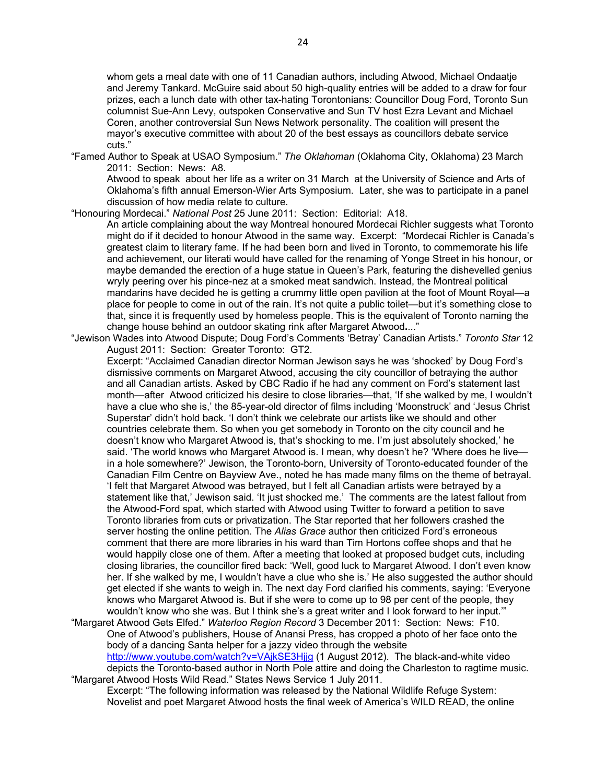whom gets a meal date with one of 11 Canadian authors, including Atwood, Michael Ondaatje and Jeremy Tankard. McGuire said about 50 high-quality entries will be added to a draw for four prizes, each a lunch date with other tax-hating Torontonians: Councillor Doug Ford, Toronto Sun columnist Sue-Ann Levy, outspoken Conservative and Sun TV host Ezra Levant and Michael Coren, another controversial Sun News Network personality. The coalition will present the mayor's executive committee with about 20 of the best essays as councillors debate service cuts."

"Famed Author to Speak at USAO Symposium." *The Oklahoman* (Oklahoma City, Oklahoma) 23 March 2011: Section: News: A8.

Atwood to speak about her life as a writer on 31 March at the University of Science and Arts of Oklahoma's fifth annual Emerson-Wier Arts Symposium. Later, she was to participate in a panel discussion of how media relate to culture.

"Honouring Mordecai." *National Post* 25 June 2011: Section: Editorial: A18.

An article complaining about the way Montreal honoured Mordecai Richler suggests what Toronto might do if it decided to honour Atwood in the same way. Excerpt: "Mordecai Richler is Canada's greatest claim to literary fame. If he had been born and lived in Toronto, to commemorate his life and achievement, our literati would have called for the renaming of Yonge Street in his honour, or maybe demanded the erection of a huge statue in Queen's Park, featuring the dishevelled genius wryly peering over his pince-nez at a smoked meat sandwich. Instead, the Montreal political mandarins have decided he is getting a crummy little open pavilion at the foot of Mount Royal—a place for people to come in out of the rain. It's not quite a public toilet—but it's something close to that, since it is frequently used by homeless people. This is the equivalent of Toronto naming the change house behind an outdoor skating rink after Margaret Atwood**.**..."

"Jewison Wades into Atwood Dispute; Doug Ford's Comments 'Betray' Canadian Artists." *Toronto Star* 12 August 2011: Section: Greater Toronto: GT2.

Excerpt: "Acclaimed Canadian director Norman Jewison says he was 'shocked' by Doug Ford's dismissive comments on Margaret Atwood, accusing the city councillor of betraying the author and all Canadian artists. Asked by CBC Radio if he had any comment on Ford's statement last month—after Atwood criticized his desire to close libraries—that, 'If she walked by me, I wouldn't have a clue who she is,' the 85-year-old director of films including 'Moonstruck' and 'Jesus Christ Superstar' didn't hold back. 'I don't think we celebrate our artists like we should and other countries celebrate them. So when you get somebody in Toronto on the city council and he doesn't know who Margaret Atwood is, that's shocking to me. I'm just absolutely shocked,' he said. 'The world knows who Margaret Atwood is. I mean, why doesn't he? 'Where does he live in a hole somewhere?' Jewison, the Toronto-born, University of Toronto-educated founder of the Canadian Film Centre on Bayview Ave., noted he has made many films on the theme of betrayal. 'I felt that Margaret Atwood was betrayed, but I felt all Canadian artists were betrayed by a statement like that,' Jewison said. 'It just shocked me.' The comments are the latest fallout from the Atwood-Ford spat, which started with Atwood using Twitter to forward a petition to save Toronto libraries from cuts or privatization. The Star reported that her followers crashed the server hosting the online petition. The *Alias Grace* author then criticized Ford's erroneous comment that there are more libraries in his ward than Tim Hortons coffee shops and that he would happily close one of them. After a meeting that looked at proposed budget cuts, including closing libraries, the councillor fired back: 'Well, good luck to Margaret Atwood. I don't even know her. If she walked by me, I wouldn't have a clue who she is.' He also suggested the author should get elected if she wants to weigh in. The next day Ford clarified his comments, saying: 'Everyone knows who Margaret Atwood is. But if she were to come up to 98 per cent of the people, they wouldn't know who she was. But I think she's a great writer and I look forward to her input.'"

"Margaret Atwood Gets Elfed." *Waterloo Region Record* 3 December 2011: Section: News: F10. One of Atwood's publishers, House of Anansi Press, has cropped a photo of her face onto the body of a dancing Santa helper for a jazzy video through the website http://www.youtube.com/watch?v=VAjkSE3Hjjg (1 August 2012). The black-and-white video

depicts the Toronto-based author in North Pole attire and doing the Charleston to ragtime music. "Margaret Atwood Hosts Wild Read." States News Service 1 July 2011.

Excerpt: "The following information was released by the National Wildlife Refuge System: Novelist and poet Margaret Atwood hosts the final week of America's WILD READ, the online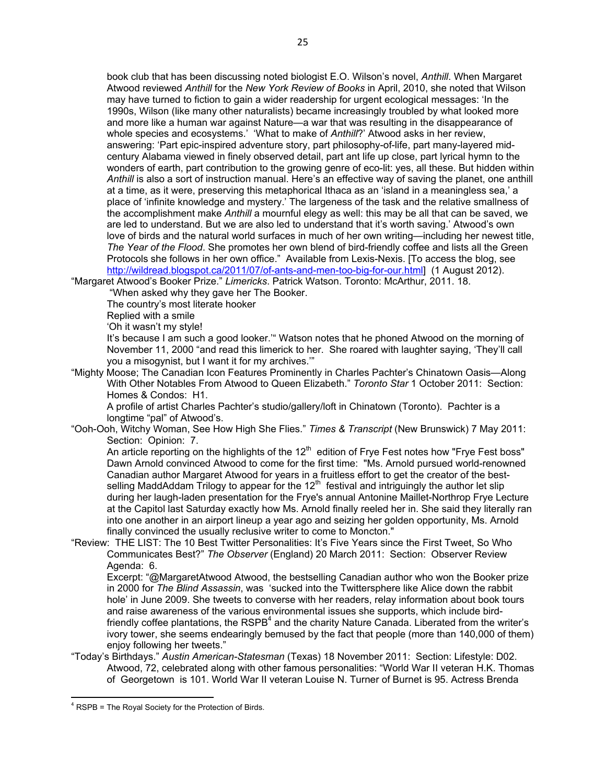book club that has been discussing noted biologist E.O. Wilson's novel, *Anthill*. When Margaret Atwood reviewed *Anthill* for the *New York Review of Books* in April, 2010, she noted that Wilson may have turned to fiction to gain a wider readership for urgent ecological messages: 'In the 1990s, Wilson (like many other naturalists) became increasingly troubled by what looked more and more like a human war against Nature—a war that was resulting in the disappearance of whole species and ecosystems.' 'What to make of *Anthill*?' Atwood asks in her review, answering: 'Part epic-inspired adventure story, part philosophy-of-life, part many-layered midcentury Alabama viewed in finely observed detail, part ant life up close, part lyrical hymn to the wonders of earth, part contribution to the growing genre of eco-lit: yes, all these. But hidden within *Anthill* is also a sort of instruction manual. Here's an effective way of saving the planet, one anthill at a time, as it were, preserving this metaphorical Ithaca as an 'island in a meaningless sea,' a place of 'infinite knowledge and mystery.' The largeness of the task and the relative smallness of the accomplishment make *Anthill* a mournful elegy as well: this may be all that can be saved, we are led to understand. But we are also led to understand that it's worth saving.' Atwood's own love of birds and the natural world surfaces in much of her own writing—including her newest title, *The Year of the Flood*. She promotes her own blend of bird-friendly coffee and lists all the Green Protocols she follows in her own office." Available from Lexis-Nexis. [To access the blog, see http://wildread.blogspot.ca/2011/07/of-ants-and-men-too-big-for-our.html] (1 August 2012).

"Margaret Atwood's Booker Prize." *Limericks*. Patrick Watson. Toronto: McArthur, 2011. 18.

"When asked why they gave her The Booker.

The country's most literate hooker

Replied with a smile

'Oh it wasn't my style!

It's because I am such a good looker.'" Watson notes that he phoned Atwood on the morning of November 11, 2000 "and read this limerick to her. She roared with laughter saying, 'They'll call you a misogynist, but I want it for my archives.'"

"Mighty Moose; The Canadian Icon Features Prominently in Charles Pachter's Chinatown Oasis—Along With Other Notables From Atwood to Queen Elizabeth." *Toronto Star* 1 October 2011: Section: Homes & Condos: H1.

A profile of artist Charles Pachter's studio/gallery/loft in Chinatown (Toronto). Pachter is a longtime "pal" of Atwood's.

"Ooh-Ooh, Witchy Woman, See How High She Flies." *Times & Transcript* (New Brunswick) 7 May 2011: Section: Opinion: 7.

An article reporting on the highlights of the  $12<sup>th</sup>$  edition of Frye Fest notes how "Frye Fest boss" Dawn Arnold convinced Atwood to come for the first time: "Ms. Arnold pursued world-renowned Canadian author Margaret Atwood for years in a fruitless effort to get the creator of the bestselling MaddAddam Trilogy to appear for the 12<sup>th</sup> festival and intriguingly the author let slip during her laugh-laden presentation for the Frye's annual Antonine Maillet-Northrop Frye Lecture at the Capitol last Saturday exactly how Ms. Arnold finally reeled her in. She said they literally ran into one another in an airport lineup a year ago and seizing her golden opportunity, Ms. Arnold finally convinced the usually reclusive writer to come to Moncton."

"Review: THE LIST: The 10 Best Twitter Personalities: It's Five Years since the First Tweet, So Who Communicates Best?" *The Observer* (England) 20 March 2011: Section: Observer Review Agenda: 6.

Excerpt: "@MargaretAtwood Atwood, the bestselling Canadian author who won the Booker prize in 2000 for *The Blind Assassin*, was 'sucked into the Twittersphere like Alice down the rabbit hole' in June 2009. She tweets to converse with her readers, relay information about book tours and raise awareness of the various environmental issues she supports, which include birdfriendly coffee plantations, the RSPB<sup>4</sup> and the charity Nature Canada. Liberated from the writer's ivory tower, she seems endearingly bemused by the fact that people (more than 140,000 of them) enjoy following her tweets."

"Today's Birthdays." *Austin American-Statesman* (Texas) 18 November 2011: Section: Lifestyle: D02. Atwood, 72, celebrated along with other famous personalities: "World War II veteran H.K. Thomas of Georgetown is 101. World War II veteran Louise N. Turner of Burnet is 95. Actress Brenda

 $4$  RSPB = The Royal Society for the Protection of Birds.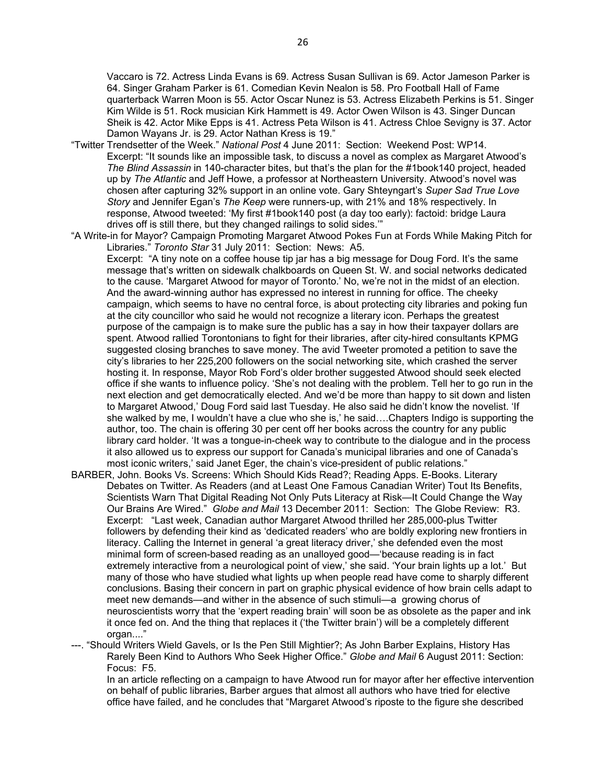Vaccaro is 72. Actress Linda Evans is 69. Actress Susan Sullivan is 69. Actor Jameson Parker is 64. Singer Graham Parker is 61. Comedian Kevin Nealon is 58. Pro Football Hall of Fame quarterback Warren Moon is 55. Actor Oscar Nunez is 53. Actress Elizabeth Perkins is 51. Singer Kim Wilde is 51. Rock musician Kirk Hammett is 49. Actor Owen Wilson is 43. Singer Duncan Sheik is 42. Actor Mike Epps is 41. Actress Peta Wilson is 41. Actress Chloe Sevigny is 37. Actor Damon Wayans Jr. is 29. Actor Nathan Kress is 19."

- "Twitter Trendsetter of the Week." *National Post* 4 June 2011: Section: Weekend Post: WP14. Excerpt: "It sounds like an impossible task, to discuss a novel as complex as Margaret Atwood's *The Blind Assassin* in 140-character bites, but that's the plan for the #1book140 project, headed up by *The Atlantic* and Jeff Howe, a professor at Northeastern University. Atwood's novel was chosen after capturing 32% support in an online vote. Gary Shteyngart's *Super Sad True Love Story* and Jennifer Egan's *The Keep* were runners-up, with 21% and 18% respectively. In response, Atwood tweeted: 'My first #1book140 post (a day too early): factoid: bridge Laura drives off is still there, but they changed railings to solid sides.'"
- "A Write-in for Mayor? Campaign Promoting Margaret Atwood Pokes Fun at Fords While Making Pitch for Libraries." *Toronto Star* 31 July 2011: Section: News: A5.

Excerpt: "A tiny note on a coffee house tip jar has a big message for Doug Ford. It's the same message that's written on sidewalk chalkboards on Queen St. W. and social networks dedicated to the cause. 'Margaret Atwood for mayor of Toronto.' No, we're not in the midst of an election. And the award-winning author has expressed no interest in running for office. The cheeky campaign, which seems to have no central force, is about protecting city libraries and poking fun at the city councillor who said he would not recognize a literary icon. Perhaps the greatest purpose of the campaign is to make sure the public has a say in how their taxpayer dollars are spent. Atwood rallied Torontonians to fight for their libraries, after city-hired consultants KPMG suggested closing branches to save money. The avid Tweeter promoted a petition to save the city's libraries to her 225,200 followers on the social networking site, which crashed the server hosting it. In response, Mayor Rob Ford's older brother suggested Atwood should seek elected office if she wants to influence policy. 'She's not dealing with the problem. Tell her to go run in the next election and get democratically elected. And we'd be more than happy to sit down and listen to Margaret Atwood,' Doug Ford said last Tuesday. He also said he didn't know the novelist. 'If she walked by me, I wouldn't have a clue who she is,' he said….Chapters Indigo is supporting the author, too. The chain is offering 30 per cent off her books across the country for any public library card holder. 'It was a tongue-in-cheek way to contribute to the dialogue and in the process it also allowed us to express our support for Canada's municipal libraries and one of Canada's most iconic writers,' said Janet Eger, the chain's vice-president of public relations."

- BARBER, John. Books Vs. Screens: Which Should Kids Read?; Reading Apps. E-Books. Literary Debates on Twitter. As Readers (and at Least One Famous Canadian Writer) Tout Its Benefits, Scientists Warn That Digital Reading Not Only Puts Literacy at Risk—It Could Change the Way Our Brains Are Wired." *Globe and Mail* 13 December 2011: Section: The Globe Review: R3. Excerpt: "Last week, Canadian author Margaret Atwood thrilled her 285,000-plus Twitter followers by defending their kind as 'dedicated readers' who are boldly exploring new frontiers in literacy. Calling the Internet in general 'a great literacy driver,' she defended even the most minimal form of screen-based reading as an unalloyed good—'because reading is in fact extremely interactive from a neurological point of view,' she said. 'Your brain lights up a lot.' But many of those who have studied what lights up when people read have come to sharply different conclusions. Basing their concern in part on graphic physical evidence of how brain cells adapt to meet new demands—and wither in the absence of such stimuli—a growing chorus of neuroscientists worry that the 'expert reading brain' will soon be as obsolete as the paper and ink it once fed on. And the thing that replaces it ('the Twitter brain') will be a completely different organ...."
- ---. "Should Writers Wield Gavels, or Is the Pen Still Mightier?; As John Barber Explains, History Has Rarely Been Kind to Authors Who Seek Higher Office." *Globe and Mail* 6 August 2011: Section: Focus: F5.

In an article reflecting on a campaign to have Atwood run for mayor after her effective intervention on behalf of public libraries, Barber argues that almost all authors who have tried for elective office have failed, and he concludes that "Margaret Atwood's riposte to the figure she described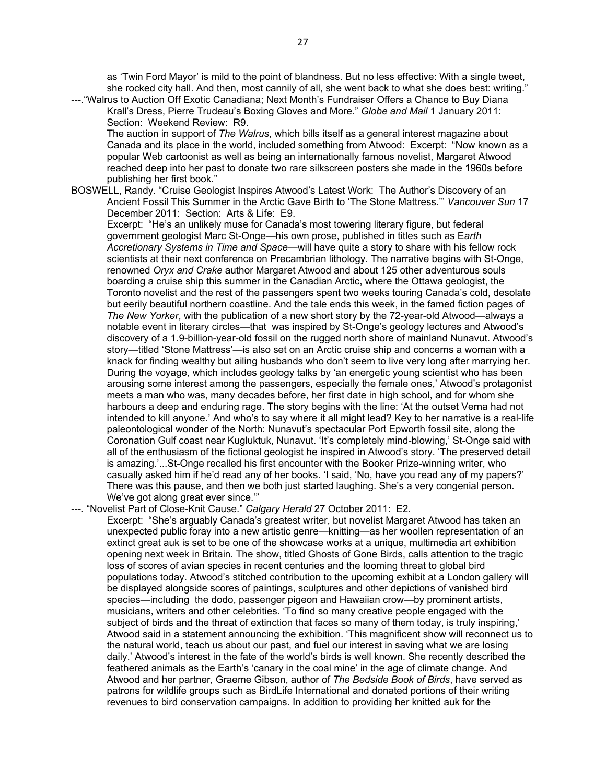as 'Twin Ford Mayor' is mild to the point of blandness. But no less effective: With a single tweet, she rocked city hall. And then, most cannily of all, she went back to what she does best: writing." ---."Walrus to Auction Off Exotic Canadiana; Next Month's Fundraiser Offers a Chance to Buy Diana

Krall's Dress, Pierre Trudeau's Boxing Gloves and More." *Globe and Mail* 1 January 2011: Section: Weekend Review: R9.

The auction in support of *The Walrus*, which bills itself as a general interest magazine about Canada and its place in the world, included something from Atwood: Excerpt: "Now known as a popular Web cartoonist as well as being an internationally famous novelist, Margaret Atwood reached deep into her past to donate two rare silkscreen posters she made in the 1960s before publishing her first book."

BOSWELL, Randy. "Cruise Geologist Inspires Atwood's Latest Work: The Author's Discovery of an Ancient Fossil This Summer in the Arctic Gave Birth to 'The Stone Mattress.'" *Vancouver Sun* 17 December 2011: Section: Arts & Life: E9.

Excerpt: "He's an unlikely muse for Canada's most towering literary figure, but federal government geologist Marc St-Onge—his own prose, published in titles such as E*arth Accretionary Systems in Time and Space—*will have quite a story to share with his fellow rock scientists at their next conference on Precambrian lithology. The narrative begins with St-Onge, renowned *Oryx and Crake* author Margaret Atwood and about 125 other adventurous souls boarding a cruise ship this summer in the Canadian Arctic, where the Ottawa geologist, the Toronto novelist and the rest of the passengers spent two weeks touring Canada's cold, desolate but eerily beautiful northern coastline. And the tale ends this week, in the famed fiction pages of *The New Yorker*, with the publication of a new short story by the 72-year-old Atwood—always a notable event in literary circles—that was inspired by St-Onge's geology lectures and Atwood's discovery of a 1.9-billion-year-old fossil on the rugged north shore of mainland Nunavut. Atwood's story—titled 'Stone Mattress'—is also set on an Arctic cruise ship and concerns a woman with a knack for finding wealthy but ailing husbands who don't seem to live very long after marrying her. During the voyage, which includes geology talks by 'an energetic young scientist who has been arousing some interest among the passengers, especially the female ones,' Atwood's protagonist meets a man who was, many decades before, her first date in high school, and for whom she harbours a deep and enduring rage. The story begins with the line: 'At the outset Verna had not intended to kill anyone.' And who's to say where it all might lead? Key to her narrative is a real-life paleontological wonder of the North: Nunavut's spectacular Port Epworth fossil site, along the Coronation Gulf coast near Kugluktuk, Nunavut. 'It's completely mind-blowing,' St-Onge said with all of the enthusiasm of the fictional geologist he inspired in Atwood's story. 'The preserved detail is amazing.'...St-Onge recalled his first encounter with the Booker Prize-winning writer, who casually asked him if he'd read any of her books. 'I said, 'No, have you read any of my papers?' There was this pause, and then we both just started laughing. She's a very congenial person. We've got along great ever since."

---. "Novelist Part of Close-Knit Cause." *Calgary Herald* 27 October 2011: E2.

Excerpt: "She's arguably Canada's greatest writer, but novelist Margaret Atwood has taken an unexpected public foray into a new artistic genre—knitting—as her woollen representation of an extinct great auk is set to be one of the showcase works at a unique, multimedia art exhibition opening next week in Britain. The show, titled Ghosts of Gone Birds, calls attention to the tragic loss of scores of avian species in recent centuries and the looming threat to global bird populations today. Atwood's stitched contribution to the upcoming exhibit at a London gallery will be displayed alongside scores of paintings, sculptures and other depictions of vanished bird species—including the dodo, passenger pigeon and Hawaiian crow—by prominent artists, musicians, writers and other celebrities. 'To find so many creative people engaged with the subject of birds and the threat of extinction that faces so many of them today, is truly inspiring,' Atwood said in a statement announcing the exhibition. 'This magnificent show will reconnect us to the natural world, teach us about our past, and fuel our interest in saving what we are losing daily.' Atwood's interest in the fate of the world's birds is well known. She recently described the feathered animals as the Earth's 'canary in the coal mine' in the age of climate change. And Atwood and her partner, Graeme Gibson, author of *The Bedside Book of Birds*, have served as patrons for wildlife groups such as BirdLife International and donated portions of their writing revenues to bird conservation campaigns. In addition to providing her knitted auk for the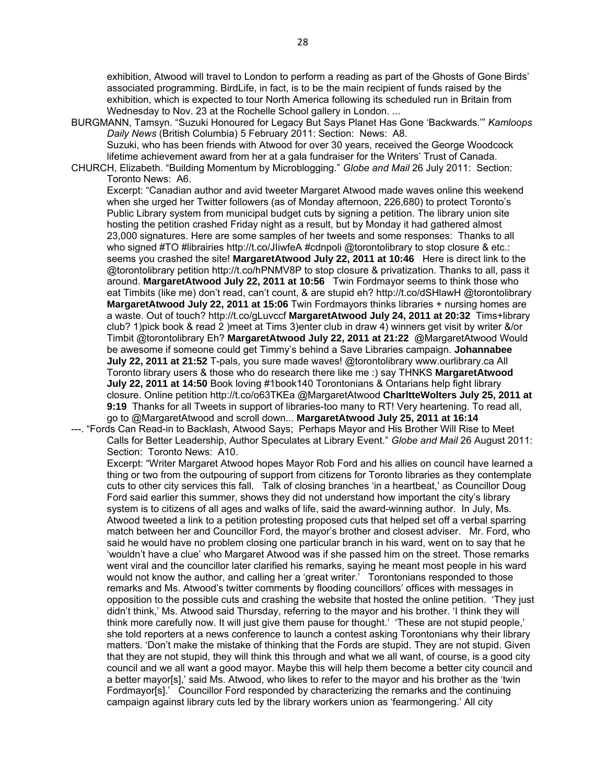exhibition, Atwood will travel to London to perform a reading as part of the Ghosts of Gone Birds' associated programming. BirdLife, in fact, is to be the main recipient of funds raised by the exhibition, which is expected to tour North America following its scheduled run in Britain from Wednesday to Nov. 23 at the Rochelle School gallery in London. ...

- BURGMANN, Tamsyn. "Suzuki Honoured for Legacy But Says Planet Has Gone 'Backwards.'" *Kamloops Daily News* (British Columbia) 5 February 2011: Section: News: A8. Suzuki, who has been friends with Atwood for over 30 years, received the George Woodcock lifetime achievement award from her at a gala fundraiser for the Writers' Trust of Canada.
- CHURCH, Elizabeth. "Building Momentum by Microblogging." *Globe and Mail* 26 July 2011: Section: Toronto News: A6.

Excerpt: "Canadian author and avid tweeter Margaret Atwood made waves online this weekend when she urged her Twitter followers (as of Monday afternoon, 226,680) to protect Toronto's Public Library system from municipal budget cuts by signing a petition. The library union site hosting the petition crashed Friday night as a result, but by Monday it had gathered almost 23,000 signatures. Here are some samples of her tweets and some responses: Thanks to all who signed #TO #librairies http://t.co/JIiwfeA #cdnpoli @torontolibrary to stop closure & etc.: seems you crashed the site! **MargaretAtwood July 22, 2011 at 10:46** Here is direct link to the @torontolibrary petition http://t.co/hPNMV8P to stop closure & privatization. Thanks to all, pass it around. **MargaretAtwood July 22, 2011 at 10:56** Twin Fordmayor seems to think those who eat Timbits (like me) don't read, can't count, & are stupid eh? http://t.co/dSHlawH @torontolibrary **MargaretAtwood July 22, 2011 at 15:06** Twin Fordmayors thinks libraries + nursing homes are a waste. Out of touch? http://t.co/gLuvccf **MargaretAtwood July 24, 2011 at 20:32** Tims+library club? 1)pick book & read 2 )meet at Tims 3)enter club in draw 4) winners get visit by writer &/or Timbit @torontolibrary Eh? **MargaretAtwood July 22, 2011 at 21:22** @MargaretAtwood Would be awesome if someone could get Timmy's behind a Save Libraries campaign. **Johannabee July 22, 2011 at 21:52** T-pals, you sure made waves! @torontolibrary www.ourlibrary.ca All Toronto library users & those who do research there like me :) say THNKS **MargaretAtwood July 22, 2011 at 14:50** Book loving #1book140 Torontonians & Ontarians help fight library closure. Online petition http://t.co/o63TKEa @MargaretAtwood **CharltteWolters July 25, 2011 at 9:19** Thanks for all Tweets in support of libraries-too many to RT! Very heartening. To read all, go to @MargaretAtwood and scroll down... **MargaretAtwood July 25, 2011 at 16:14** 

---. "Fords Can Read-in to Backlash, Atwood Says; Perhaps Mayor and His Brother Will Rise to Meet Calls for Better Leadership, Author Speculates at Library Event." *Globe and Mail* 26 August 2011: Section: Toronto News: A10.

Excerpt: "Writer Margaret Atwood hopes Mayor Rob Ford and his allies on council have learned a thing or two from the outpouring of support from citizens for Toronto libraries as they contemplate cuts to other city services this fall. Talk of closing branches 'in a heartbeat,' as Councillor Doug Ford said earlier this summer, shows they did not understand how important the city's library system is to citizens of all ages and walks of life, said the award-winning author. In July, Ms. Atwood tweeted a link to a petition protesting proposed cuts that helped set off a verbal sparring match between her and Councillor Ford, the mayor's brother and closest adviser. Mr. Ford, who said he would have no problem closing one particular branch in his ward, went on to say that he 'wouldn't have a clue' who Margaret Atwood was if she passed him on the street. Those remarks went viral and the councillor later clarified his remarks, saying he meant most people in his ward would not know the author, and calling her a 'great writer.' Torontonians responded to those remarks and Ms. Atwood's twitter comments by flooding councillors' offices with messages in opposition to the possible cuts and crashing the website that hosted the online petition. 'They just didn't think,' Ms. Atwood said Thursday, referring to the mayor and his brother. 'I think they will think more carefully now. It will just give them pause for thought.' 'These are not stupid people,' she told reporters at a news conference to launch a contest asking Torontonians why their library matters. 'Don't make the mistake of thinking that the Fords are stupid. They are not stupid. Given that they are not stupid, they will think this through and what we all want, of course, is a good city council and we all want a good mayor. Maybe this will help them become a better city council and a better mayor[s],' said Ms. Atwood, who likes to refer to the mayor and his brother as the 'twin Fordmayor[s].' Councillor Ford responded by characterizing the remarks and the continuing campaign against library cuts led by the library workers union as 'fearmongering.' All city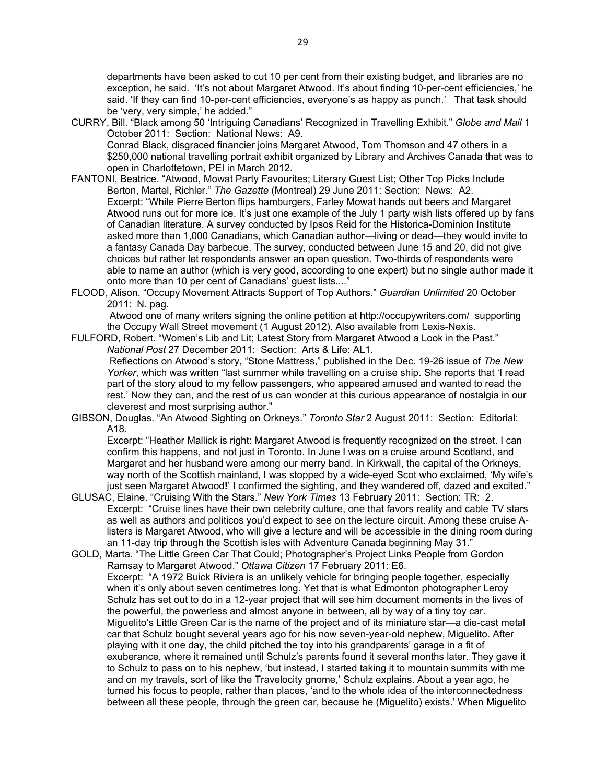departments have been asked to cut 10 per cent from their existing budget, and libraries are no exception, he said. 'It's not about Margaret Atwood. It's about finding 10-per-cent efficiencies,' he said. 'If they can find 10-per-cent efficiencies, everyone's as happy as punch.' That task should be 'very, very simple,' he added."

- CURRY, Bill. "Black among 50 'Intriguing Canadians' Recognized in Travelling Exhibit." *Globe and Mail* 1 October 2011: Section: National News: A9. Conrad Black, disgraced financier joins Margaret Atwood, Tom Thomson and 47 others in a \$250,000 national travelling portrait exhibit organized by Library and Archives Canada that was to open in Charlottetown, PEI in March 2012.
- FANTONI, Beatrice. "Atwood, Mowat Party Favourites; Literary Guest List; Other Top Picks Include Berton, Martel, Richler." *The Gazette* (Montreal) 29 June 2011: Section: News: A2. Excerpt: "While Pierre Berton flips hamburgers, Farley Mowat hands out beers and Margaret Atwood runs out for more ice. It's just one example of the July 1 party wish lists offered up by fans of Canadian literature. A survey conducted by Ipsos Reid for the Historica-Dominion Institute asked more than 1,000 Canadians, which Canadian author—living or dead—they would invite to a fantasy Canada Day barbecue. The survey, conducted between June 15 and 20, did not give choices but rather let respondents answer an open question. Two-thirds of respondents were able to name an author (which is very good, according to one expert) but no single author made it onto more than 10 per cent of Canadians' guest lists...."
- FLOOD, Alison. "Occupy Movement Attracts Support of Top Authors." *Guardian Unlimited* 20 October 2011: N. pag.

 Atwood one of many writers signing the online petition at http://occupywriters.com/ supporting the Occupy Wall Street movement (1 August 2012). Also available from Lexis-Nexis.

FULFORD, Robert. "Women's Lib and Lit; Latest Story from Margaret Atwood a Look in the Past." *National Post* 27 December 2011: Section: Arts & Life: AL1.

 Reflections on Atwood's story, "Stone Mattress," published in the Dec. 19-26 issue of *The New Yorker*, which was written "last summer while travelling on a cruise ship. She reports that 'I read part of the story aloud to my fellow passengers, who appeared amused and wanted to read the rest.' Now they can, and the rest of us can wonder at this curious appearance of nostalgia in our cleverest and most surprising author."

GIBSON, Douglas. "An Atwood Sighting on Orkneys." *Toronto Star* 2 August 2011: Section: Editorial: A18.

Excerpt: "Heather Mallick is right: Margaret Atwood is frequently recognized on the street. I can confirm this happens, and not just in Toronto. In June I was on a cruise around Scotland, and Margaret and her husband were among our merry band. In Kirkwall, the capital of the Orkneys, way north of the Scottish mainland, I was stopped by a wide-eyed Scot who exclaimed, 'My wife's just seen Margaret Atwood**!**' I confirmed the sighting, and they wandered off, dazed and excited."

GLUSAC, Elaine. "Cruising With the Stars." *New York Times* 13 February 2011: Section: TR: 2. Excerpt: "Cruise lines have their own celebrity culture, one that favors reality and cable TV stars as well as authors and politicos you'd expect to see on the lecture circuit. Among these cruise Alisters is Margaret Atwood, who will give a lecture and will be accessible in the dining room during an 11-day trip through the Scottish isles with Adventure Canada beginning May 31."

GOLD, Marta. "The Little Green Car That Could; Photographer's Project Links People from Gordon Ramsay to Margaret Atwood." *Ottawa Citizen* 17 February 2011: E6. Excerpt: "A 1972 Buick Riviera is an unlikely vehicle for bringing people together, especially when it's only about seven centimetres long. Yet that is what Edmonton photographer Leroy Schulz has set out to do in a 12-year project that will see him document moments in the lives of the powerful, the powerless and almost anyone in between, all by way of a tiny toy car. Miguelito's Little Green Car is the name of the project and of its miniature star—a die-cast metal car that Schulz bought several years ago for his now seven-year-old nephew, Miguelito. After playing with it one day, the child pitched the toy into his grandparents' garage in a fit of exuberance, where it remained until Schulz's parents found it several months later. They gave it to Schulz to pass on to his nephew, 'but instead, I started taking it to mountain summits with me and on my travels, sort of like the Travelocity gnome,' Schulz explains. About a year ago, he turned his focus to people, rather than places, 'and to the whole idea of the interconnectedness between all these people, through the green car, because he (Miguelito) exists.' When Miguelito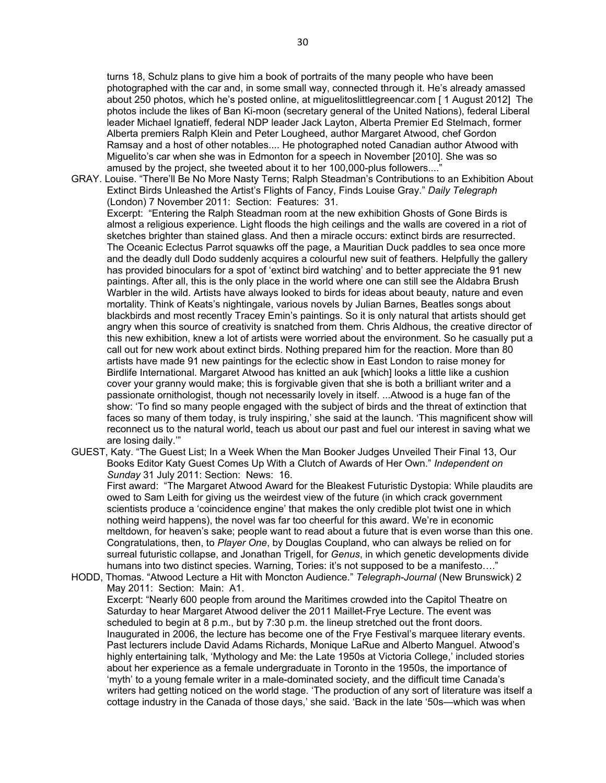turns 18, Schulz plans to give him a book of portraits of the many people who have been photographed with the car and, in some small way, connected through it. He's already amassed about 250 photos, which he's posted online, at miguelitoslittlegreencar.com [ 1 August 2012] The photos include the likes of Ban Ki-moon (secretary general of the United Nations), federal Liberal leader Michael Ignatieff, federal NDP leader Jack Layton, Alberta Premier Ed Stelmach, former Alberta premiers Ralph Klein and Peter Lougheed, author Margaret Atwood, chef Gordon Ramsay and a host of other notables.... He photographed noted Canadian author Atwood with Miguelito's car when she was in Edmonton for a speech in November [2010]. She was so amused by the project, she tweeted about it to her 100,000-plus followers...."

GRAY. Louise. "There'll Be No More Nasty Terns; Ralph Steadman's Contributions to an Exhibition About Extinct Birds Unleashed the Artist's Flights of Fancy, Finds Louise Gray." *Daily Telegraph* (London) 7 November 2011: Section: Features: 31.

Excerpt: "Entering the Ralph Steadman room at the new exhibition Ghosts of Gone Birds is almost a religious experience. Light floods the high ceilings and the walls are covered in a riot of sketches brighter than stained glass. And then a miracle occurs: extinct birds are resurrected. The Oceanic Eclectus Parrot squawks off the page, a Mauritian Duck paddles to sea once more and the deadly dull Dodo suddenly acquires a colourful new suit of feathers. Helpfully the gallery has provided binoculars for a spot of 'extinct bird watching' and to better appreciate the 91 new paintings. After all, this is the only place in the world where one can still see the Aldabra Brush Warbler in the wild. Artists have always looked to birds for ideas about beauty, nature and even mortality. Think of Keats's nightingale, various novels by Julian Barnes, Beatles songs about blackbirds and most recently Tracey Emin's paintings. So it is only natural that artists should get angry when this source of creativity is snatched from them. Chris Aldhous, the creative director of this new exhibition, knew a lot of artists were worried about the environment. So he casually put a call out for new work about extinct birds. Nothing prepared him for the reaction. More than 80 artists have made 91 new paintings for the eclectic show in East London to raise money for Birdlife International. Margaret Atwood has knitted an auk [which] looks a little like a cushion cover your granny would make; this is forgivable given that she is both a brilliant writer and a passionate ornithologist, though not necessarily lovely in itself. ...Atwood is a huge fan of the show: 'To find so many people engaged with the subject of birds and the threat of extinction that faces so many of them today, is truly inspiring,' she said at the launch. 'This magnificent show will reconnect us to the natural world, teach us about our past and fuel our interest in saving what we are losing daily.'"

GUEST, Katy. "The Guest List; In a Week When the Man Booker Judges Unveiled Their Final 13, Our Books Editor Katy Guest Comes Up With a Clutch of Awards of Her Own." *Independent on Sunday* 31 July 2011: Section: News: 16.

First award: "The Margaret Atwood Award for the Bleakest Futuristic Dystopia: While plaudits are owed to Sam Leith for giving us the weirdest view of the future (in which crack government scientists produce a 'coincidence engine' that makes the only credible plot twist one in which nothing weird happens), the novel was far too cheerful for this award. We're in economic meltdown, for heaven's sake; people want to read about a future that is even worse than this one. Congratulations, then, to *Player One*, by Douglas Coupland, who can always be relied on for surreal futuristic collapse, and Jonathan Trigell, for *Genus*, in which genetic developments divide humans into two distinct species. Warning, Tories: it's not supposed to be a manifesto...."

HODD, Thomas. "Atwood Lecture a Hit with Moncton Audience." *Telegraph-Journal* (New Brunswick) 2 May 2011: Section: Main: A1. Excerpt: "Nearly 600 people from around the Maritimes crowded into the Capitol Theatre on Saturday to hear Margaret Atwood deliver the 2011 Maillet-Frye Lecture. The event was scheduled to begin at 8 p.m., but by 7:30 p.m. the lineup stretched out the front doors. Inaugurated in 2006, the lecture has become one of the Frye Festival's marquee literary events. Past lecturers include David Adams Richards, Monique LaRue and Alberto Manguel. Atwood's highly entertaining talk, 'Mythology and Me: the Late 1950s at Victoria College,' included stories about her experience as a female undergraduate in Toronto in the 1950s, the importance of 'myth' to a young female writer in a male-dominated society, and the difficult time Canada's writers had getting noticed on the world stage. 'The production of any sort of literature was itself a cottage industry in the Canada of those days,' she said. 'Back in the late '50s—which was when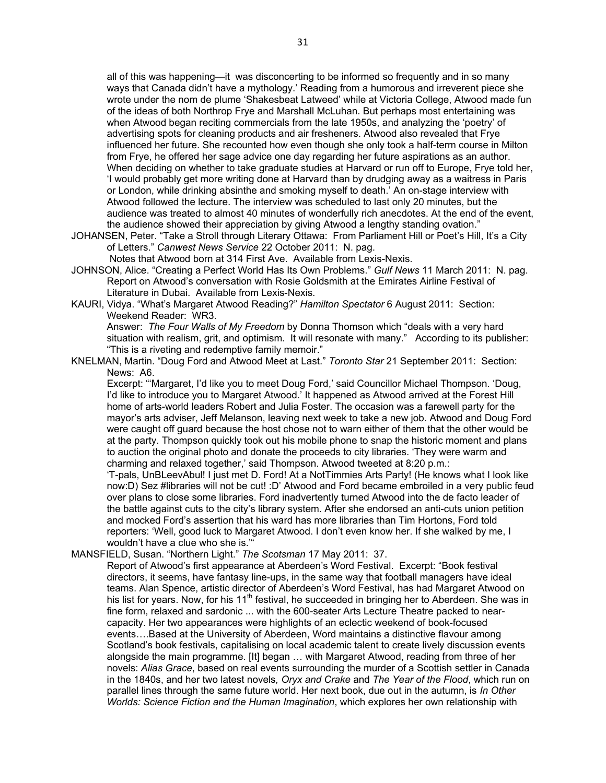all of this was happening—it was disconcerting to be informed so frequently and in so many ways that Canada didn't have a mythology.' Reading from a humorous and irreverent piece she wrote under the nom de plume 'Shakesbeat Latweed' while at Victoria College, Atwood made fun of the ideas of both Northrop Frye and Marshall McLuhan. But perhaps most entertaining was when Atwood began reciting commercials from the late 1950s, and analyzing the 'poetry' of advertising spots for cleaning products and air fresheners. Atwood also revealed that Frye influenced her future. She recounted how even though she only took a half-term course in Milton from Frye, he offered her sage advice one day regarding her future aspirations as an author. When deciding on whether to take graduate studies at Harvard or run off to Europe, Frye told her, 'I would probably get more writing done at Harvard than by drudging away as a waitress in Paris or London, while drinking absinthe and smoking myself to death.' An on-stage interview with Atwood followed the lecture. The interview was scheduled to last only 20 minutes, but the audience was treated to almost 40 minutes of wonderfully rich anecdotes. At the end of the event, the audience showed their appreciation by giving Atwood a lengthy standing ovation."

JOHANSEN, Peter. "Take a Stroll through Literary Ottawa: From Parliament Hill or Poet's Hill, It's a City of Letters." *Canwest News Service* 22 October 2011: N. pag.

Notes that Atwood born at 314 First Ave. Available from Lexis-Nexis.

- JOHNSON, Alice. "Creating a Perfect World Has Its Own Problems." *Gulf News* 11 March 2011: N. pag. Report on Atwood's conversation with Rosie Goldsmith at the Emirates Airline Festival of Literature in Dubai. Available from Lexis-Nexis.
- KAURI, Vidya. "What's Margaret Atwood Reading?" *Hamilton Spectator* 6 August 2011: Section: Weekend Reader: WR3.

Answer: *The Four Walls of My Freedom* by Donna Thomson which "deals with a very hard situation with realism, grit, and optimism. It will resonate with many." According to its publisher: "This is a riveting and redemptive family memoir."

KNELMAN, Martin. "Doug Ford and Atwood Meet at Last." *Toronto Star* 21 September 2011: Section: News: A6.

Excerpt: "'Margaret, I'd like you to meet Doug Ford,' said Councillor Michael Thompson. 'Doug, I'd like to introduce you to Margaret Atwood.' It happened as Atwood arrived at the Forest Hill home of arts-world leaders Robert and Julia Foster. The occasion was a farewell party for the mayor's arts adviser, Jeff Melanson, leaving next week to take a new job. Atwood and Doug Ford were caught off guard because the host chose not to warn either of them that the other would be at the party. Thompson quickly took out his mobile phone to snap the historic moment and plans to auction the original photo and donate the proceeds to city libraries. 'They were warm and charming and relaxed together,' said Thompson. Atwood tweeted at 8:20 p.m.:

'T-pals, UnBLeevAbul! I just met D. Ford! At a NotTimmies Arts Party! (He knows what I look like now:D) Sez #libraries will not be cut! :D' Atwood and Ford became embroiled in a very public feud over plans to close some libraries. Ford inadvertently turned Atwood into the de facto leader of the battle against cuts to the city's library system. After she endorsed an anti-cuts union petition and mocked Ford's assertion that his ward has more libraries than Tim Hortons, Ford told reporters: 'Well, good luck to Margaret Atwood. I don't even know her. If she walked by me, I wouldn't have a clue who she is.'"

MANSFIELD, Susan. "Northern Light." *The Scotsman* 17 May 2011: 37.

Report of Atwood's first appearance at Aberdeen's Word Festival. Excerpt: "Book festival directors, it seems, have fantasy line-ups, in the same way that football managers have ideal teams. Alan Spence, artistic director of Aberdeen's Word Festival, has had Margaret Atwood on his list for years. Now, for his 11<sup>th</sup> festival, he succeeded in bringing her to Aberdeen. She was in fine form, relaxed and sardonic ... with the 600-seater Arts Lecture Theatre packed to nearcapacity. Her two appearances were highlights of an eclectic weekend of book-focused events….Based at the University of Aberdeen, Word maintains a distinctive flavour among Scotland's book festivals, capitalising on local academic talent to create lively discussion events alongside the main programme. [It] began … with Margaret Atwood, reading from three of her novels: *Alias Grace*, based on real events surrounding the murder of a Scottish settler in Canada in the 1840s, and her two latest novels*, Oryx and Crake* and *The Year of the Flood*, which run on parallel lines through the same future world. Her next book, due out in the autumn, is *In Other Worlds: Science Fiction and the Human Imagination*, which explores her own relationship with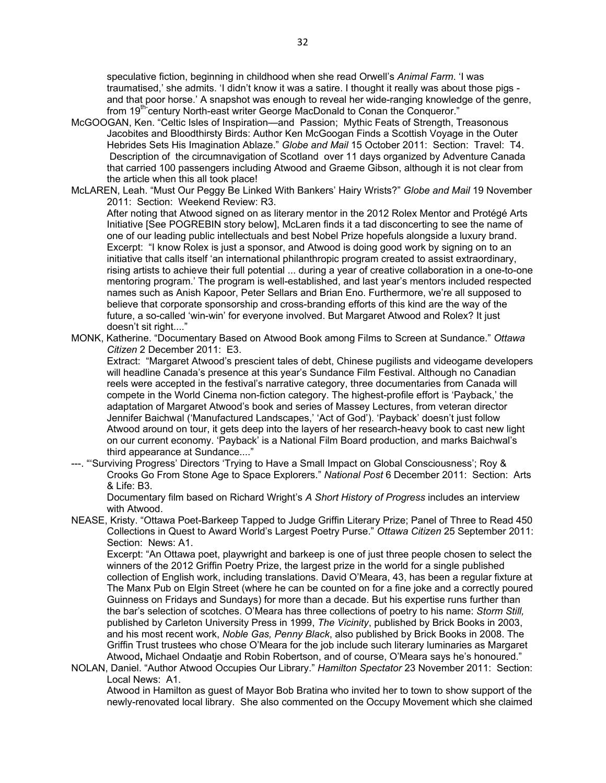speculative fiction, beginning in childhood when she read Orwell's *Animal Farm*. 'I was traumatised,' she admits. 'I didn't know it was a satire. I thought it really was about those pigs and that poor horse.' A snapshot was enough to reveal her wide-ranging knowledge of the genre, from 19<sup>th-</sup>century North-east writer George MacDonald to Conan the Conqueror."

- McGOOGAN, Ken. "Celtic Isles of Inspiration—and Passion; Mythic Feats of Strength, Treasonous Jacobites and Bloodthirsty Birds: Author Ken McGoogan Finds a Scottish Voyage in the Outer Hebrides Sets His Imagination Ablaze." *Globe and Mail* 15 October 2011: Section: Travel: T4. Description of the circumnavigation of Scotland over 11 days organized by Adventure Canada that carried 100 passengers including Atwood and Graeme Gibson, although it is not clear from the article when this all took place!
- McLAREN, Leah. "Must Our Peggy Be Linked With Bankers' Hairy Wrists?" *Globe and Mail* 19 November 2011: Section: Weekend Review: R3.

After noting that Atwood signed on as literary mentor in the 2012 Rolex Mentor and Protégé Arts Initiative [See POGREBIN story below], McLaren finds it a tad disconcerting to see the name of one of our leading public intellectuals and best Nobel Prize hopefuls alongside a luxury brand. Excerpt: "I know Rolex is just a sponsor, and Atwood is doing good work by signing on to an initiative that calls itself 'an international philanthropic program created to assist extraordinary, rising artists to achieve their full potential ... during a year of creative collaboration in a one-to-one mentoring program.' The program is well-established, and last year's mentors included respected names such as Anish Kapoor, Peter Sellars and Brian Eno. Furthermore, we're all supposed to believe that corporate sponsorship and cross-branding efforts of this kind are the way of the future, a so-called 'win-win' for everyone involved. But Margaret Atwood and Rolex? It just doesn't sit right...."

MONK, Katherine. "Documentary Based on Atwood Book among Films to Screen at Sundance." *Ottawa Citizen* 2 December 2011: E3.

Extract: "Margaret Atwood's prescient tales of debt, Chinese pugilists and videogame developers will headline Canada's presence at this year's Sundance Film Festival. Although no Canadian reels were accepted in the festival's narrative category, three documentaries from Canada will compete in the World Cinema non-fiction category. The highest-profile effort is 'Payback,' the adaptation of Margaret Atwood's book and series of Massey Lectures, from veteran director Jennifer Baichwal ('Manufactured Landscapes,' 'Act of God'). 'Payback' doesn't just follow Atwood around on tour, it gets deep into the layers of her research-heavy book to cast new light on our current economy. 'Payback' is a National Film Board production, and marks Baichwal's third appearance at Sundance...."

---. "'Surviving Progress' Directors 'Trying to Have a Small Impact on Global Consciousness'; Roy & Crooks Go From Stone Age to Space Explorers." *National Post* 6 December 2011: Section: Arts & Life: B3.

Documentary film based on Richard Wright's *A Short History of Progress* includes an interview with Atwood.

NEASE, Kristy. "Ottawa Poet-Barkeep Tapped to Judge Griffin Literary Prize; Panel of Three to Read 450 Collections in Quest to Award World's Largest Poetry Purse." *Ottawa Citizen* 25 September 2011: Section: News: A1.

Excerpt: "An Ottawa poet, playwright and barkeep is one of just three people chosen to select the winners of the 2012 Griffin Poetry Prize, the largest prize in the world for a single published collection of English work, including translations. David O'Meara, 43, has been a regular fixture at The Manx Pub on Elgin Street (where he can be counted on for a fine joke and a correctly poured Guinness on Fridays and Sundays) for more than a decade. But his expertise runs further than the bar's selection of scotches. O'Meara has three collections of poetry to his name: *Storm Still,* published by Carleton University Press in 1999, *The Vicinity*, published by Brick Books in 2003, and his most recent work, *Noble Gas, Penny Black*, also published by Brick Books in 2008. The Griffin Trust trustees who chose O'Meara for the job include such literary luminaries as Margaret Atwood**,** Michael Ondaatje and Robin Robertson, and of course, O'Meara says he's honoured."

NOLAN, Daniel. "Author Atwood Occupies Our Library." *Hamilton Spectator* 23 November 2011: Section: Local News: A1.

Atwood in Hamilton as guest of Mayor Bob Bratina who invited her to town to show support of the newly-renovated local library. She also commented on the Occupy Movement which she claimed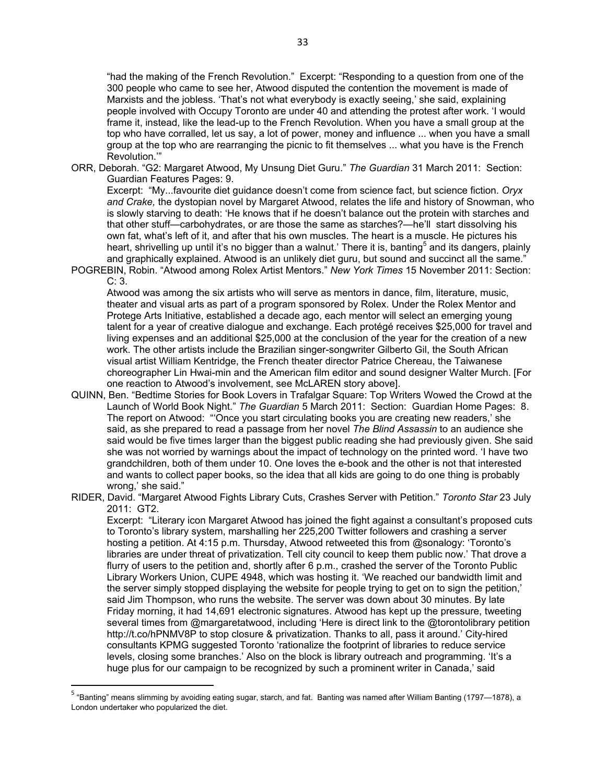"had the making of the French Revolution." Excerpt: "Responding to a question from one of the 300 people who came to see her, Atwood disputed the contention the movement is made of Marxists and the jobless. 'That's not what everybody is exactly seeing,' she said, explaining people involved with Occupy Toronto are under 40 and attending the protest after work. 'I would frame it, instead, like the lead-up to the French Revolution. When you have a small group at the top who have corralled, let us say, a lot of power, money and influence ... when you have a small group at the top who are rearranging the picnic to fit themselves ... what you have is the French Revolution.'"

ORR, Deborah. "G2: Margaret Atwood, My Unsung Diet Guru." *The Guardian* 31 March 2011: Section: Guardian Features Pages: 9.

Excerpt: "My...favourite diet guidance doesn't come from science fact, but science fiction. *Oryx and Crake,* the dystopian novel by Margaret Atwood, relates the life and history of Snowman, who is slowly starving to death: 'He knows that if he doesn't balance out the protein with starches and that other stuff—carbohydrates, or are those the same as starches?—he'll start dissolving his own fat, what's left of it, and after that his own muscles. The heart is a muscle. He pictures his heart, shrivelling up until it's no bigger than a walnut.' There it is, banting<sup>5</sup> and its dangers, plainly and graphically explained. Atwood is an unlikely diet guru, but sound and succinct all the same."

POGREBIN, Robin. "Atwood among Rolex Artist Mentors." *New York Times* 15 November 2011: Section: C: 3.

Atwood was among the six artists who will serve as mentors in dance, film, literature, music, theater and visual arts as part of a program sponsored by Rolex. Under the Rolex Mentor and Protege Arts Initiative, established a decade ago, each mentor will select an emerging young talent for a year of creative dialogue and exchange. Each protégé receives \$25,000 for travel and living expenses and an additional \$25,000 at the conclusion of the year for the creation of a new work. The other artists include the Brazilian singer-songwriter Gilberto Gil, the South African visual artist William Kentridge, the French theater director Patrice Chereau, the Taiwanese choreographer Lin Hwai-min and the American film editor and sound designer Walter Murch. [For one reaction to Atwood's involvement, see McLAREN story above].

- QUINN, Ben. "Bedtime Stories for Book Lovers in Trafalgar Square: Top Writers Wowed the Crowd at the Launch of World Book Night." *The Guardian* 5 March 2011: Section: Guardian Home Pages: 8. The report on Atwood: "'Once you start circulating books you are creating new readers,' she said, as she prepared to read a passage from her novel *The Blind Assassin* to an audience she said would be five times larger than the biggest public reading she had previously given. She said she was not worried by warnings about the impact of technology on the printed word. 'I have two grandchildren, both of them under 10. One loves the e-book and the other is not that interested and wants to collect paper books, so the idea that all kids are going to do one thing is probably wrong,' she said."
- RIDER, David. "Margaret Atwood Fights Library Cuts, Crashes Server with Petition." *Toronto Star* 23 July 2011: GT2.

Excerpt: "Literary icon Margaret Atwood has joined the fight against a consultant's proposed cuts to Toronto's library system, marshalling her 225,200 Twitter followers and crashing a server hosting a petition. At 4:15 p.m. Thursday, Atwood retweeted this from @sonalogy: 'Toronto's libraries are under threat of privatization. Tell city council to keep them public now.' That drove a flurry of users to the petition and, shortly after 6 p.m., crashed the server of the Toronto Public Library Workers Union, CUPE 4948, which was hosting it. 'We reached our bandwidth limit and the server simply stopped displaying the website for people trying to get on to sign the petition,' said Jim Thompson, who runs the website. The server was down about 30 minutes. By late Friday morning, it had 14,691 electronic signatures. Atwood has kept up the pressure, tweeting several times from @margaretatwood, including 'Here is direct link to the @torontolibrary petition http://t.co/hPNMV8P to stop closure & privatization. Thanks to all, pass it around.' City-hired consultants KPMG suggested Toronto 'rationalize the footprint of libraries to reduce service levels, closing some branches.' Also on the block is library outreach and programming. 'It's a huge plus for our campaign to be recognized by such a prominent writer in Canada,' said

<sup>&</sup>lt;sup>5</sup> "Banting" means slimming by avoiding eating sugar, starch, and fat. Banting was named after William Banting (1797—1878), a London undertaker who popularized the diet.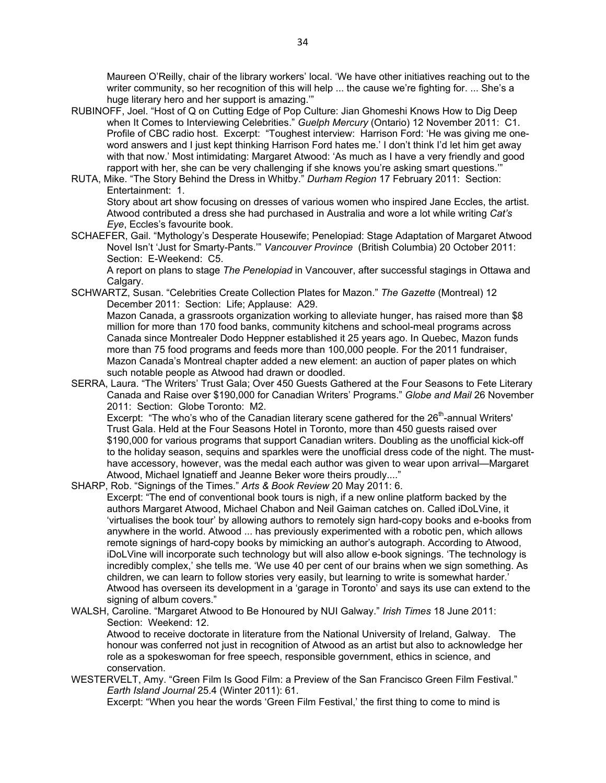Maureen O'Reilly, chair of the library workers' local. 'We have other initiatives reaching out to the writer community, so her recognition of this will help ... the cause we're fighting for. ... She's a huge literary hero and her support is amazing.'"

- RUBINOFF, Joel. "Host of Q on Cutting Edge of Pop Culture: Jian Ghomeshi Knows How to Dig Deep when It Comes to Interviewing Celebrities." *Guelph Mercury* (Ontario) 12 November 2011: C1. Profile of CBC radio host. Excerpt: "Toughest interview: Harrison Ford: 'He was giving me oneword answers and I just kept thinking Harrison Ford hates me.' I don't think I'd let him get away with that now.' Most intimidating: Margaret Atwood: 'As much as I have a very friendly and good rapport with her, she can be very challenging if she knows you're asking smart questions.'"
- RUTA, Mike. "The Story Behind the Dress in Whitby." *Durham Region* 17 February 2011: Section: Entertainment: 1.

Story about art show focusing on dresses of various women who inspired Jane Eccles, the artist. Atwood contributed a dress she had purchased in Australia and wore a lot while writing *Cat's Eye*, Eccles's favourite book.

SCHAEFER, Gail. "Mythology's Desperate Housewife; Penelopiad: Stage Adaptation of Margaret Atwood Novel Isn't 'Just for Smarty-Pants.'" *Vancouver Province* (British Columbia) 20 October 2011: Section: E-Weekend: C5.

A report on plans to stage *The Penelopiad* in Vancouver, after successful stagings in Ottawa and Calgary.

SCHWARTZ, Susan. "Celebrities Create Collection Plates for Mazon." *The Gazette* (Montreal) 12 December 2011: Section: Life; Applause: A29.

Mazon Canada, a grassroots organization working to alleviate hunger, has raised more than \$8 million for more than 170 food banks, community kitchens and school-meal programs across Canada since Montrealer Dodo Heppner established it 25 years ago. In Quebec, Mazon funds more than 75 food programs and feeds more than 100,000 people. For the 2011 fundraiser, Mazon Canada's Montreal chapter added a new element: an auction of paper plates on which such notable people as Atwood had drawn or doodled.

SERRA, Laura. "The Writers' Trust Gala; Over 450 Guests Gathered at the Four Seasons to Fete Literary Canada and Raise over \$190,000 for Canadian Writers' Programs." *Globe and Mail* 26 November 2011: Section: Globe Toronto: M2.

Excerpt: "The who's who of the Canadian literary scene gathered for the  $26<sup>th</sup>$ -annual Writers' Trust Gala. Held at the Four Seasons Hotel in Toronto, more than 450 guests raised over \$190,000 for various programs that support Canadian writers. Doubling as the unofficial kick-off to the holiday season, sequins and sparkles were the unofficial dress code of the night. The musthave accessory, however, was the medal each author was given to wear upon arrival—Margaret Atwood, Michael Ignatieff and Jeanne Beker wore theirs proudly...."

SHARP, Rob. "Signings of the Times." *Arts & Book Review* 20 May 2011: 6.

Excerpt: "The end of conventional book tours is nigh, if a new online platform backed by the authors Margaret Atwood, Michael Chabon and Neil Gaiman catches on. Called iDoLVine, it 'virtualises the book tour' by allowing authors to remotely sign hard-copy books and e-books from anywhere in the world. Atwood ... has previously experimented with a robotic pen, which allows remote signings of hard-copy books by mimicking an author's autograph. According to Atwood, iDoLVine will incorporate such technology but will also allow e-book signings. 'The technology is incredibly complex,' she tells me. 'We use 40 per cent of our brains when we sign something. As children, we can learn to follow stories very easily, but learning to write is somewhat harder. Atwood has overseen its development in a 'garage in Toronto' and says its use can extend to the signing of album covers."

WALSH, Caroline. "Margaret Atwood to Be Honoured by NUI Galway." *Irish Times* 18 June 2011: Section: Weekend: 12.

Atwood to receive doctorate in literature from the National University of Ireland, Galway. The honour was conferred not just in recognition of Atwood as an artist but also to acknowledge her role as a spokeswoman for free speech, responsible government, ethics in science, and conservation.

WESTERVELT, Amy. "Green Film Is Good Film: a Preview of the San Francisco Green Film Festival." *Earth Island Journal* 25.4 (Winter 2011): 61.

Excerpt: "When you hear the words 'Green Film Festival,' the first thing to come to mind is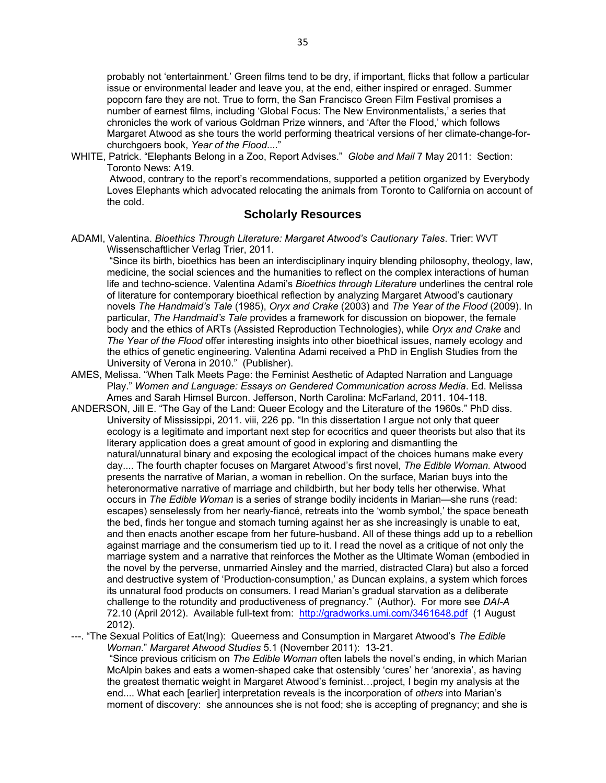probably not 'entertainment.' Green films tend to be dry, if important, flicks that follow a particular issue or environmental leader and leave you, at the end, either inspired or enraged. Summer popcorn fare they are not. True to form, the San Francisco Green Film Festival promises a number of earnest films, including 'Global Focus: The New Environmentalists,' a series that chronicles the work of various Goldman Prize winners, and 'After the Flood,' which follows Margaret Atwood as she tours the world performing theatrical versions of her climate-change-forchurchgoers book, *Year of the Flood*...."

WHITE, Patrick. "Elephants Belong in a Zoo, Report Advises." *Globe and Mail* 7 May 2011: Section: Toronto News: A19.

 Atwood, contrary to the report's recommendations, supported a petition organized by Everybody Loves Elephants which advocated relocating the animals from Toronto to California on account of the cold.

### **Scholarly Resources**

ADAMI, Valentina. *Bioethics Through Literature: Margaret Atwood's Cautionary Tales*. Trier: WVT Wissenschaftlicher Verlag Trier, 2011.

 "Since its birth, bioethics has been an interdisciplinary inquiry blending philosophy, theology, law, medicine, the social sciences and the humanities to reflect on the complex interactions of human life and techno-science. Valentina Adami's *Bioethics through Literature* underlines the central role of literature for contemporary bioethical reflection by analyzing Margaret Atwood's cautionary novels *The Handmaid's Tale* (1985), *Oryx and Crake* (2003) and *The Year of the Flood* (2009). In particular, *The Handmaid's Tale* provides a framework for discussion on biopower, the female body and the ethics of ARTs (Assisted Reproduction Technologies), while *Oryx and Crake* and *The Year of the Flood* offer interesting insights into other bioethical issues, namely ecology and the ethics of genetic engineering. Valentina Adami received a PhD in English Studies from the University of Verona in 2010." (Publisher).

- AMES, Melissa. "When Talk Meets Page: the Feminist Aesthetic of Adapted Narration and Language Play." *Women and Language: Essays on Gendered Communication across Media*. Ed. Melissa Ames and Sarah Himsel Burcon. Jefferson, North Carolina: McFarland, 2011. 104-118.
- ANDERSON, Jill E. "The Gay of the Land: Queer Ecology and the Literature of the 1960s." PhD diss. University of Mississippi, 2011. viii, 226 pp. "In this dissertation I argue not only that queer ecology is a legitimate and important next step for ecocritics and queer theorists but also that its literary application does a great amount of good in exploring and dismantling the natural/unnatural binary and exposing the ecological impact of the choices humans make every day.... The fourth chapter focuses on Margaret Atwood's first novel, *The Edible Woman.* Atwood presents the narrative of Marian, a woman in rebellion. On the surface, Marian buys into the heteronormative narrative of marriage and childbirth, but her body tells her otherwise. What occurs in *The Edible Woman* is a series of strange bodily incidents in Marian—she runs (read: escapes) senselessly from her nearly-fiancé, retreats into the 'womb symbol,' the space beneath the bed, finds her tongue and stomach turning against her as she increasingly is unable to eat, and then enacts another escape from her future-husband. All of these things add up to a rebellion against marriage and the consumerism tied up to it. I read the novel as a critique of not only the marriage system and a narrative that reinforces the Mother as the Ultimate Woman (embodied in the novel by the perverse, unmarried Ainsley and the married, distracted Clara) but also a forced and destructive system of 'Production-consumption,' as Duncan explains, a system which forces its unnatural food products on consumers. I read Marian's gradual starvation as a deliberate challenge to the rotundity and productiveness of pregnancy." (Author). For more see *DAI-A*  72.10 (April 2012). Available full-text from: http://gradworks.umi.com/3461648.pdf (1 August 2012).
- ---. "The Sexual Politics of Eat(Ing): Queerness and Consumption in Margaret Atwood's *The Edible Woman*." *Margaret Atwood Studies* 5.1 (November 2011): 13-21.

 "Since previous criticism on *The Edible Woman* often labels the novel's ending, in which Marian McAlpin bakes and eats a women-shaped cake that ostensibly 'cures' her 'anorexia', as having the greatest thematic weight in Margaret Atwood's feminist…project, I begin my analysis at the end.... What each [earlier] interpretation reveals is the incorporation of *others* into Marian's moment of discovery: she announces she is not food; she is accepting of pregnancy; and she is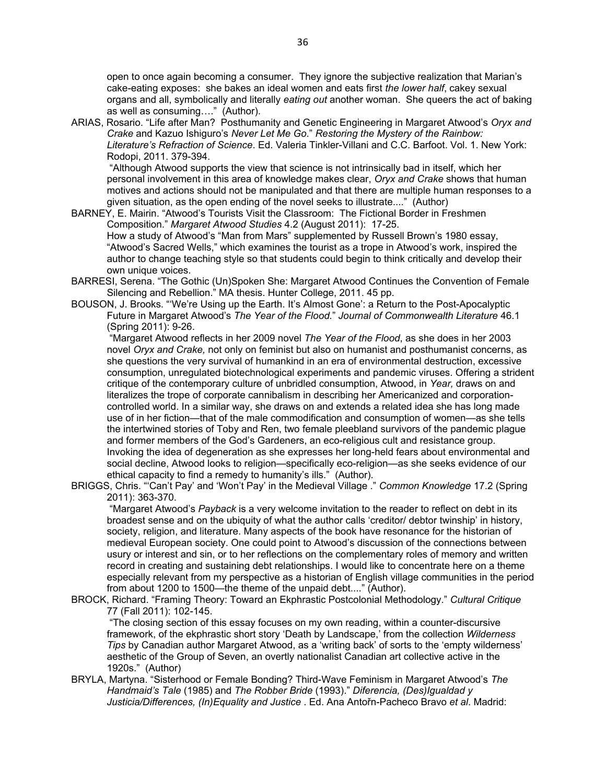open to once again becoming a consumer. They ignore the subjective realization that Marian's cake-eating exposes: she bakes an ideal women and eats first *the lower half*, cakey sexual organs and all, symbolically and literally *eating out* another woman. She queers the act of baking as well as consuming…." (Author).

ARIAS, Rosario. "Life after Man? Posthumanity and Genetic Engineering in Margaret Atwood's *Oryx and Crake* and Kazuo Ishiguro's *Never Let Me Go*." *Restoring the Mystery of the Rainbow: Literature's Refraction of Science*. Ed. Valeria Tinkler-Villani and C.C. Barfoot. Vol. 1. New York: Rodopi, 2011. 379-394.

 "Although Atwood supports the view that science is not intrinsically bad in itself, which her personal involvement in this area of knowledge makes clear, *Oryx and Crake* shows that human motives and actions should not be manipulated and that there are multiple human responses to a given situation, as the open ending of the novel seeks to illustrate...." (Author)

- BARNEY, E. Mairin. "Atwood's Tourists Visit the Classroom: The Fictional Border in Freshmen Composition." *Margaret Atwood Studies* 4.2 (August 2011): 17-25. How a study of Atwood's "Man from Mars" supplemented by Russell Brown's 1980 essay, "Atwood's Sacred Wells," which examines the tourist as a trope in Atwood's work, inspired the author to change teaching style so that students could begin to think critically and develop their own unique voices.
- BARRESI, Serena. "The Gothic (Un)Spoken She: Margaret Atwood Continues the Convention of Female Silencing and Rebellion." MA thesis. Hunter College, 2011. 45 pp.
- BOUSON, J. Brooks. "'We're Using up the Earth. It's Almost Gone': a Return to the Post-Apocalyptic Future in Margaret Atwood's *The Year of the Flood.*" *Journal of Commonwealth Literature* 46.1 (Spring 2011): 9-26.

 "Margaret Atwood reflects in her 2009 novel *The Year of the Flood*, as she does in her 2003 novel *Oryx and Crake,* not only on feminist but also on humanist and posthumanist concerns, as she questions the very survival of humankind in an era of environmental destruction, excessive consumption, unregulated biotechnological experiments and pandemic viruses. Offering a strident critique of the contemporary culture of unbridled consumption, Atwood, in *Year,* draws on and literalizes the trope of corporate cannibalism in describing her Americanized and corporationcontrolled world. In a similar way, she draws on and extends a related idea she has long made use of in her fiction—that of the male commodification and consumption of women—as she tells the intertwined stories of Toby and Ren, two female pleebland survivors of the pandemic plague and former members of the God's Gardeners, an eco-religious cult and resistance group. Invoking the idea of degeneration as she expresses her long-held fears about environmental and social decline, Atwood looks to religion—specifically eco-religion—as she seeks evidence of our ethical capacity to find a remedy to humanity's ills." (Author).

BRIGGS, Chris. "'Can't Pay' and 'Won't Pay' in the Medieval Village ." *Common Knowledge* 17.2 (Spring 2011): 363-370.

 "Margaret Atwood's *Payback* is a very welcome invitation to the reader to reflect on debt in its broadest sense and on the ubiquity of what the author calls 'creditor/ debtor twinship' in history, society, religion, and literature. Many aspects of the book have resonance for the historian of medieval European society. One could point to Atwood's discussion of the connections between usury or interest and sin, or to her reflections on the complementary roles of memory and written record in creating and sustaining debt relationships. I would like to concentrate here on a theme especially relevant from my perspective as a historian of English village communities in the period from about 1200 to 1500—the theme of the unpaid debt...." (Author).

BROCK, Richard. "Framing Theory: Toward an Ekphrastic Postcolonial Methodology." *Cultural Critique* 77 (Fall 2011): 102-145.

 "The closing section of this essay focuses on my own reading, within a counter-discursive framework, of the ekphrastic short story 'Death by Landscape,' from the collection *Wilderness Tips* by Canadian author Margaret Atwood, as a 'writing back' of sorts to the 'empty wilderness' aesthetic of the Group of Seven, an overtly nationalist Canadian art collective active in the 1920s." (Author)

BRYLA, Martyna. "Sisterhood or Female Bonding? Third-Wave Feminism in Margaret Atwood's *The Handmaid's Tale* (1985) and *The Robber Bride* (1993)." *Diferencia, (Des)Igualdad y Justicia/Differences, (In)Equality and Justice* . Ed. Ana Antořn-Pacheco Bravo *et al*. Madrid: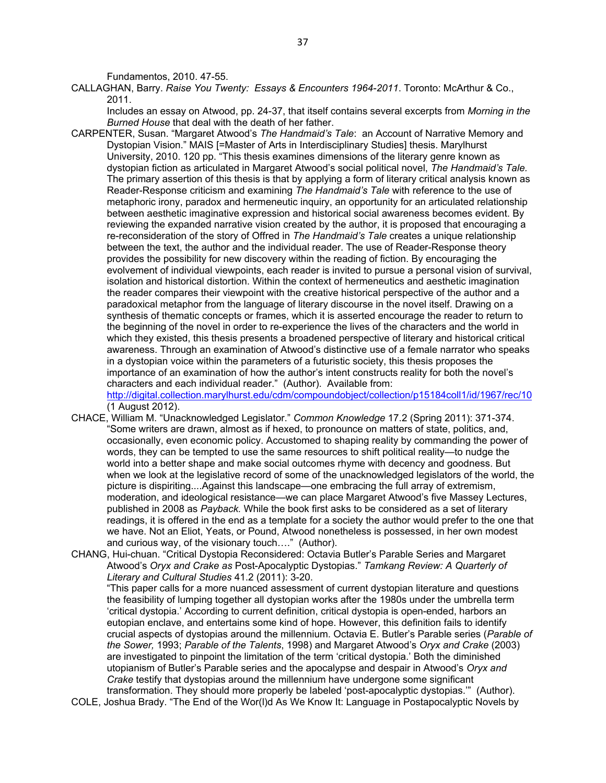Fundamentos, 2010. 47-55.

CALLAGHAN, Barry. *Raise You Twenty: Essays & Encounters 1964-2011*. Toronto: McArthur & Co., 2011.

Includes an essay on Atwood, pp. 24-37, that itself contains several excerpts from *Morning in the Burned House* that deal with the death of her father.

- CARPENTER, Susan. "Margaret Atwood's *The Handmaid's Tale*: an Account of Narrative Memory and Dystopian Vision." MAIS [=Master of Arts in Interdisciplinary Studies] thesis. Marylhurst University, 2010. 120 pp. "This thesis examines dimensions of the literary genre known as dystopian fiction as articulated in Margaret Atwood's social political novel, *The Handmaid's Tale.* The primary assertion of this thesis is that by applying a form of literary critical analysis known as Reader-Response criticism and examining *The Handmaid's Tale* with reference to the use of metaphoric irony, paradox and hermeneutic inquiry, an opportunity for an articulated relationship between aesthetic imaginative expression and historical social awareness becomes evident. By reviewing the expanded narrative vision created by the author, it is proposed that encouraging a re-reconsideration of the story of Offred in *The Handmaid's Tale* creates a unique relationship between the text, the author and the individual reader. The use of Reader-Response theory provides the possibility for new discovery within the reading of fiction. By encouraging the evolvement of individual viewpoints, each reader is invited to pursue a personal vision of survival, isolation and historical distortion. Within the context of hermeneutics and aesthetic imagination the reader compares their viewpoint with the creative historical perspective of the author and a paradoxical metaphor from the language of literary discourse in the novel itself. Drawing on a synthesis of thematic concepts or frames, which it is asserted encourage the reader to return to the beginning of the novel in order to re-experience the lives of the characters and the world in which they existed, this thesis presents a broadened perspective of literary and historical critical awareness. Through an examination of Atwood's distinctive use of a female narrator who speaks in a dystopian voice within the parameters of a futuristic society, this thesis proposes the importance of an examination of how the author's intent constructs reality for both the novel's characters and each individual reader." (Author). Available from: http://digital.collection.marylhurst.edu/cdm/compoundobject/collection/p15184coll1/id/1967/rec/10 (1 August 2012).
- CHACE, William M. "Unacknowledged Legislator." *Common Knowledge* 17.2 (Spring 2011): 371-374. "Some writers are drawn, almost as if hexed, to pronounce on matters of state, politics, and, occasionally, even economic policy. Accustomed to shaping reality by commanding the power of words, they can be tempted to use the same resources to shift political reality—to nudge the world into a better shape and make social outcomes rhyme with decency and goodness. But when we look at the legislative record of some of the unacknowledged legislators of the world, the picture is dispiriting....Against this landscape—one embracing the full array of extremism, moderation, and ideological resistance—we can place Margaret Atwood's five Massey Lectures, published in 2008 as *Payback.* While the book first asks to be considered as a set of literary readings, it is offered in the end as a template for a society the author would prefer to the one that we have. Not an Eliot, Yeats, or Pound, Atwood nonetheless is possessed, in her own modest and curious way, of the visionary touch…." (Author).
- CHANG, Hui-chuan. "Critical Dystopia Reconsidered: Octavia Butler's Parable Series and Margaret Atwood's *Oryx and Crake as* Post-Apocalyptic Dystopias." *Tamkang Review: A Quarterly of Literary and Cultural Studies* 41.2 (2011): 3-20.

"This paper calls for a more nuanced assessment of current dystopian literature and questions the feasibility of lumping together all dystopian works after the 1980s under the umbrella term 'critical dystopia.' According to current definition, critical dystopia is open-ended, harbors an eutopian enclave, and entertains some kind of hope. However, this definition fails to identify crucial aspects of dystopias around the millennium. Octavia E. Butler's Parable series (*Parable of the Sower,* 1993; *Parable of the Talents*, 1998) and Margaret Atwood's *Oryx and Crake* (2003) are investigated to pinpoint the limitation of the term 'critical dystopia.' Both the diminished utopianism of Butler's Parable series and the apocalypse and despair in Atwood's *Oryx and Crake* testify that dystopias around the millennium have undergone some significant transformation. They should more properly be labeled 'post-apocalyptic dystopias.'" (Author).

COLE, Joshua Brady. "The End of the Wor(l)d As We Know It: Language in Postapocalyptic Novels by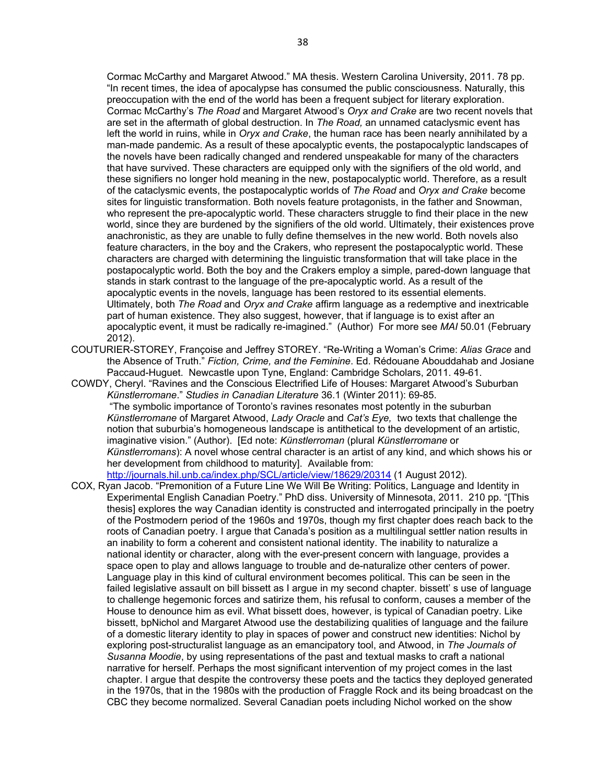Cormac McCarthy and Margaret Atwood." MA thesis. Western Carolina University, 2011. 78 pp. "In recent times, the idea of apocalypse has consumed the public consciousness. Naturally, this preoccupation with the end of the world has been a frequent subject for literary exploration. Cormac McCarthy's *The Road* and Margaret Atwood's *Oryx and Crake* are two recent novels that are set in the aftermath of global destruction. In *The Road,* an unnamed cataclysmic event has left the world in ruins, while in *Oryx and Crake*, the human race has been nearly annihilated by a man-made pandemic. As a result of these apocalyptic events, the postapocalyptic landscapes of the novels have been radically changed and rendered unspeakable for many of the characters that have survived. These characters are equipped only with the signifiers of the old world, and these signifiers no longer hold meaning in the new, postapocalyptic world. Therefore, as a result of the cataclysmic events, the postapocalyptic worlds of *The Road* and *Oryx and Crake* become sites for linguistic transformation. Both novels feature protagonists, in the father and Snowman, who represent the pre-apocalyptic world. These characters struggle to find their place in the new world, since they are burdened by the signifiers of the old world. Ultimately, their existences prove anachronistic, as they are unable to fully define themselves in the new world. Both novels also feature characters, in the boy and the Crakers, who represent the postapocalyptic world. These characters are charged with determining the linguistic transformation that will take place in the postapocalyptic world. Both the boy and the Crakers employ a simple, pared-down language that stands in stark contrast to the language of the pre-apocalyptic world. As a result of the apocalyptic events in the novels, language has been restored to its essential elements. Ultimately, both *The Road* and *Oryx and Crake* affirm language as a redemptive and inextricable part of human existence. They also suggest, however, that if language is to exist after an apocalyptic event, it must be radically re-imagined." (Author) For more see *MAI* 50.01 (February 2012).

- COUTURIER-STOREY, Françoise and Jeffrey STOREY. "Re-Writing a Woman's Crime: *Alias Grace* and the Absence of Truth." *Fiction, Crime, and the Feminine*. Ed. Rédouane Abouddahab and Josiane Paccaud-Huguet. Newcastle upon Tyne, England: Cambridge Scholars, 2011. 49-61.
- COWDY, Cheryl. "Ravines and the Conscious Electrified Life of Houses: Margaret Atwood's Suburban *Künstlerromane*." *Studies in Canadian Literature* 36.1 (Winter 2011): 69-85. "The symbolic importance of Toronto's ravines resonates most potently in the suburban *Künstlerromane* of Margaret Atwood, *Lady Oracle* and *Cat's Eye,* two texts that challenge the notion that suburbia's homogeneous landscape is antithetical to the development of an artistic, imaginative vision." (Author). [Ed note: *Künstlerroman* (plural *Künstlerromane* or *Künstlerromans*): A novel whose central character is an artist of any kind, and which shows his or her development from childhood to maturity]. Available from:
- http://journals.hil.unb.ca/index.php/SCL/article/view/18629/20314 (1 August 2012).
- COX, Ryan Jacob. "Premonition of a Future Line We Will Be Writing: Politics, Language and Identity in Experimental English Canadian Poetry." PhD diss. University of Minnesota, 2011. 210 pp. "[This thesis] explores the way Canadian identity is constructed and interrogated principally in the poetry of the Postmodern period of the 1960s and 1970s, though my first chapter does reach back to the roots of Canadian poetry. I argue that Canada's position as a multilingual settler nation results in an inability to form a coherent and consistent national identity. The inability to naturalize a national identity or character, along with the ever-present concern with language, provides a space open to play and allows language to trouble and de-naturalize other centers of power. Language play in this kind of cultural environment becomes political. This can be seen in the failed legislative assault on bill bissett as I argue in my second chapter. bissett' s use of language to challenge hegemonic forces and satirize them, his refusal to conform, causes a member of the House to denounce him as evil. What bissett does, however, is typical of Canadian poetry. Like bissett, bpNichol and Margaret Atwood use the destabilizing qualities of language and the failure of a domestic literary identity to play in spaces of power and construct new identities: Nichol by exploring post-structuralist language as an emancipatory tool, and Atwood, in *The Journals of Susanna Moodie*, by using representations of the past and textual masks to craft a national narrative for herself. Perhaps the most significant intervention of my project comes in the last chapter. I argue that despite the controversy these poets and the tactics they deployed generated in the 1970s, that in the 1980s with the production of Fraggle Rock and its being broadcast on the CBC they become normalized. Several Canadian poets including Nichol worked on the show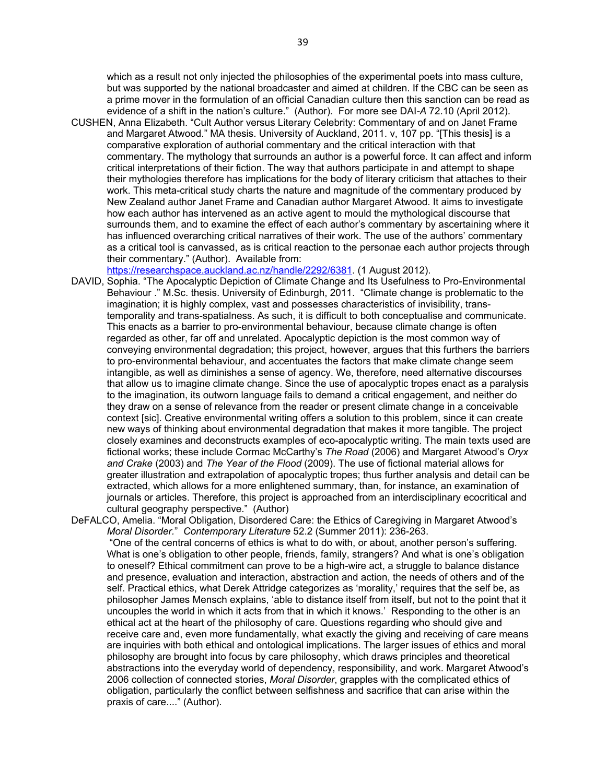which as a result not only injected the philosophies of the experimental poets into mass culture, but was supported by the national broadcaster and aimed at children. If the CBC can be seen as a prime mover in the formulation of an official Canadian culture then this sanction can be read as evidence of a shift in the nation's culture." (Author). For more see DAI*-A* 72.10 (April 2012).

CUSHEN, Anna Elizabeth. "Cult Author versus Literary Celebrity: Commentary of and on Janet Frame and Margaret Atwood." MA thesis. University of Auckland, 2011. v, 107 pp. "[This thesis] is a comparative exploration of authorial commentary and the critical interaction with that commentary. The mythology that surrounds an author is a powerful force. It can affect and inform critical interpretations of their fiction. The way that authors participate in and attempt to shape their mythologies therefore has implications for the body of literary criticism that attaches to their work. This meta-critical study charts the nature and magnitude of the commentary produced by New Zealand author Janet Frame and Canadian author Margaret Atwood. It aims to investigate how each author has intervened as an active agent to mould the mythological discourse that surrounds them, and to examine the effect of each author's commentary by ascertaining where it has influenced overarching critical narratives of their work. The use of the authors' commentary as a critical tool is canvassed, as is critical reaction to the personae each author projects through their commentary." (Author). Available from:

https://researchspace.auckland.ac.nz/handle/2292/6381. (1 August 2012).

- DAVID, Sophia. "The Apocalyptic Depiction of Climate Change and Its Usefulness to Pro-Environmental Behaviour ." M.Sc. thesis. University of Edinburgh, 2011. "Climate change is problematic to the imagination; it is highly complex, vast and possesses characteristics of invisibility, transtemporality and trans-spatialness. As such, it is difficult to both conceptualise and communicate. This enacts as a barrier to pro-environmental behaviour, because climate change is often regarded as other, far off and unrelated. Apocalyptic depiction is the most common way of conveying environmental degradation; this project, however, argues that this furthers the barriers to pro-environmental behaviour, and accentuates the factors that make climate change seem intangible, as well as diminishes a sense of agency. We, therefore, need alternative discourses that allow us to imagine climate change. Since the use of apocalyptic tropes enact as a paralysis to the imagination, its outworn language fails to demand a critical engagement, and neither do they draw on a sense of relevance from the reader or present climate change in a conceivable context [sic]. Creative environmental writing offers a solution to this problem, since it can create new ways of thinking about environmental degradation that makes it more tangible. The project closely examines and deconstructs examples of eco-apocalyptic writing. The main texts used are fictional works; these include Cormac McCarthy's *The Road* (2006) and Margaret Atwood's *Oryx and Crake* (2003) and *The Year of the Flood* (2009). The use of fictional material allows for greater illustration and extrapolation of apocalyptic tropes; thus further analysis and detail can be extracted, which allows for a more enlightened summary, than, for instance, an examination of journals or articles. Therefore, this project is approached from an interdisciplinary ecocritical and cultural geography perspective." (Author)
- DeFALCO, Amelia. "Moral Obligation, Disordered Care: the Ethics of Caregiving in Margaret Atwood's *Moral Disorder.*" *Contemporary Literature* 52.2 (Summer 2011): 236-263.

 "One of the central concerns of ethics is what to do with, or about, another person's suffering. What is one's obligation to other people, friends, family, strangers? And what is one's obligation to oneself? Ethical commitment can prove to be a high-wire act, a struggle to balance distance and presence, evaluation and interaction, abstraction and action, the needs of others and of the self. Practical ethics, what Derek Attridge categorizes as 'morality,' requires that the self be, as philosopher James Mensch explains, 'able to distance itself from itself, but not to the point that it uncouples the world in which it acts from that in which it knows.' Responding to the other is an ethical act at the heart of the philosophy of care. Questions regarding who should give and receive care and, even more fundamentally, what exactly the giving and receiving of care means are inquiries with both ethical and ontological implications. The larger issues of ethics and moral philosophy are brought into focus by care philosophy, which draws principles and theoretical abstractions into the everyday world of dependency, responsibility, and work. Margaret Atwood's 2006 collection of connected stories, *Moral Disorder*, grapples with the complicated ethics of obligation, particularly the conflict between selfishness and sacrifice that can arise within the praxis of care...." (Author).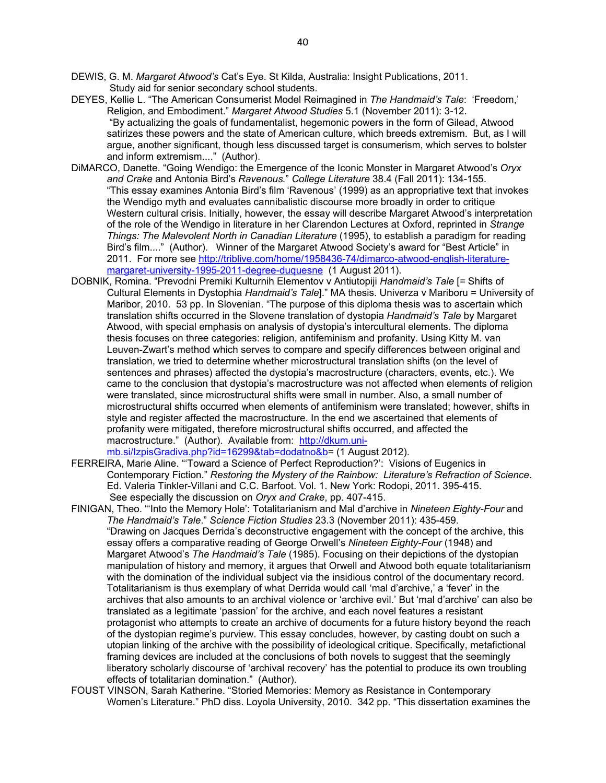- DEWIS, G. M. *Margaret Atwood's* Cat's Eye. St Kilda, Australia: Insight Publications, 2011. Study aid for senior secondary school students.
- DEYES, Kellie L. "The American Consumerist Model Reimagined in *The Handmaid's Tale*: 'Freedom,' Religion, and Embodiment." *Margaret Atwood Studies* 5.1 (November 2011): 3-12. "By actualizing the goals of fundamentalist, hegemonic powers in the form of Gilead, Atwood satirizes these powers and the state of American culture, which breeds extremism. But, as I will argue, another significant, though less discussed target is consumerism, which serves to bolster and inform extremism...." (Author).
- DiMARCO, Danette. "Going Wendigo: the Emergence of the Iconic Monster in Margaret Atwood's *Oryx and Crake* and Antonia Bird's *Ravenous.*" *College Literature* 38.4 (Fall 2011): 134-155. "This essay examines Antonia Bird's film 'Ravenous' (1999) as an appropriative text that invokes the Wendigo myth and evaluates cannibalistic discourse more broadly in order to critique Western cultural crisis. Initially, however, the essay will describe Margaret Atwood's interpretation of the role of the Wendigo in literature in her Clarendon Lectures at Oxford, reprinted in *Strange Things: The Malevolent North in Canadian Literature* (1995), to establish a paradigm for reading Bird's film...." (Author). Winner of the Margaret Atwood Society's award for "Best Article" in 2011. For more see http://triblive.com/home/1958436-74/dimarco-atwood-english-literaturemargaret-university-1995-2011-degree-duquesne (1 August 2011).
- DOBNIK, Romina. "Prevodni Premiki Kulturnih Elementov v Antiutopiji *Handmaid's Tale* [*=* Shifts of Cultural Elements in Dystophia *Handmaid's Tale*]." MA thesis. Univerza v Mariboru = University of Maribor, 2010. 53 pp. In Slovenian. "The purpose of this diploma thesis was to ascertain which translation shifts occurred in the Slovene translation of dystopia *Handmaid's Tale* by Margaret Atwood, with special emphasis on analysis of dystopia's intercultural elements. The diploma thesis focuses on three categories: religion, antifeminism and profanity. Using Kitty M. van Leuven-Zwart's method which serves to compare and specify differences between original and translation, we tried to determine whether microstructural translation shifts (on the level of sentences and phrases) affected the dystopia's macrostructure (characters, events, etc.). We came to the conclusion that dystopia's macrostructure was not affected when elements of religion were translated, since microstructural shifts were small in number. Also, a small number of microstructural shifts occurred when elements of antifeminism were translated; however, shifts in style and register affected the macrostructure. In the end we ascertained that elements of profanity were mitigated, therefore microstructural shifts occurred, and affected the macrostructure." (Author). Available from: http://dkum.unimb.si/IzpisGradiva.php?id=16299&tab=dodatno&b= (1 August 2012).
- FERREIRA, Marie Aline. "'Toward a Science of Perfect Reproduction?': Visions of Eugenics in Contemporary Fiction." *Restoring the Mystery of the Rainbow: Literature's Refraction of Science*. Ed. Valeria Tinkler-Villani and C.C. Barfoot. Vol. 1. New York: Rodopi, 2011. 395-415. See especially the discussion on *Oryx and Crake*, pp. 407-415.
- FINIGAN, Theo. "'Into the Memory Hole': Totalitarianism and Mal d'archive in *Nineteen Eighty-Four* and *The Handmaid's Tale*." *Science Fiction Studies* 23.3 (November 2011): 435-459. "Drawing on Jacques Derrida's deconstructive engagement with the concept of the archive, this essay offers a comparative reading of George Orwell's *Nineteen Eighty-Four* (1948) and Margaret Atwood's *The Handmaid's Tale* (1985). Focusing on their depictions of the dystopian manipulation of history and memory, it argues that Orwell and Atwood both equate totalitarianism with the domination of the individual subject via the insidious control of the documentary record. Totalitarianism is thus exemplary of what Derrida would call 'mal d'archive,' a 'fever' in the archives that also amounts to an archival violence or 'archive evil.' But 'mal d'archive' can also be translated as a legitimate 'passion' for the archive, and each novel features a resistant protagonist who attempts to create an archive of documents for a future history beyond the reach of the dystopian regime's purview. This essay concludes, however, by casting doubt on such a utopian linking of the archive with the possibility of ideological critique. Specifically, metafictional framing devices are included at the conclusions of both novels to suggest that the seemingly liberatory scholarly discourse of 'archival recovery' has the potential to produce its own troubling effects of totalitarian domination." (Author).
- FOUST VINSON, Sarah Katherine. "Storied Memories: Memory as Resistance in Contemporary Women's Literature." PhD diss. Loyola University, 2010. 342 pp. "This dissertation examines the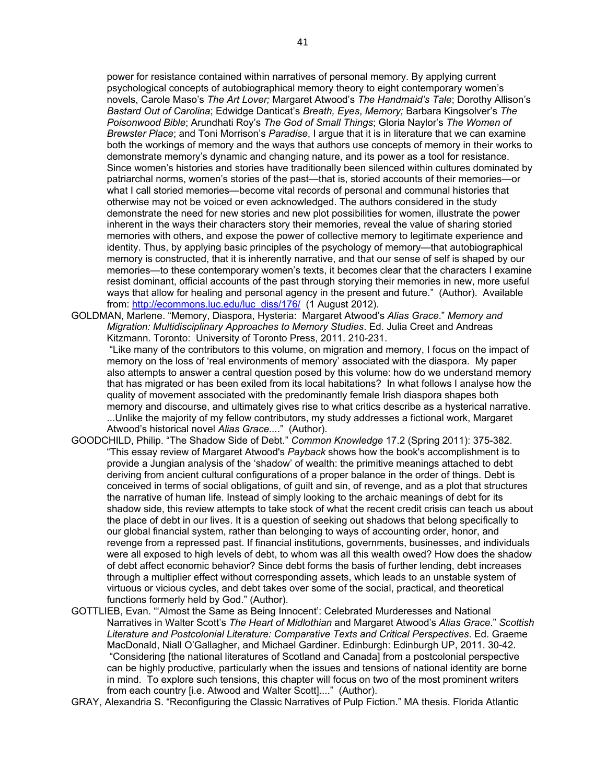power for resistance contained within narratives of personal memory. By applying current psychological concepts of autobiographical memory theory to eight contemporary women's novels, Carole Maso's *The Art Lover;* Margaret Atwood's *The Handmaid's Tale*; Dorothy Allison's *Bastard Out of Carolina*; Edwidge Danticat's *Breath, Eyes*, *Memory;* Barbara Kingsolver's *The Poisonwood Bible*; Arundhati Roy's *The God of Small Things*; Gloria Naylor's *The Women of Brewster Place*; and Toni Morrison's *Paradise*, I argue that it is in literature that we can examine both the workings of memory and the ways that authors use concepts of memory in their works to demonstrate memory's dynamic and changing nature, and its power as a tool for resistance. Since women's histories and stories have traditionally been silenced within cultures dominated by patriarchal norms, women's stories of the past—that is, storied accounts of their memories—or what I call storied memories—become vital records of personal and communal histories that otherwise may not be voiced or even acknowledged. The authors considered in the study demonstrate the need for new stories and new plot possibilities for women, illustrate the power inherent in the ways their characters story their memories, reveal the value of sharing storied memories with others, and expose the power of collective memory to legitimate experience and identity. Thus, by applying basic principles of the psychology of memory—that autobiographical memory is constructed, that it is inherently narrative, and that our sense of self is shaped by our memories—to these contemporary women's texts, it becomes clear that the characters I examine resist dominant, official accounts of the past through storying their memories in new, more useful ways that allow for healing and personal agency in the present and future." (Author). Available from: http://ecommons.luc.edu/luc\_diss/176/ (1 August 2012).

GOLDMAN, Marlene. "Memory, Diaspora, Hysteria: Margaret Atwood's *Alias Grace*." *Memory and Migration: Multidisciplinary Approaches to Memory Studies*. Ed. Julia Creet and Andreas Kitzmann. Toronto: University of Toronto Press, 2011. 210-231.

 "Like many of the contributors to this volume, on migration and memory, I focus on the impact of memory on the loss of 'real environments of memory' associated with the diaspora. My paper also attempts to answer a central question posed by this volume: how do we understand memory that has migrated or has been exiled from its local habitations? In what follows I analyse how the quality of movement associated with the predominantly female Irish diaspora shapes both memory and discourse, and ultimately gives rise to what critics describe as a hysterical narrative. ...Unlike the majority of my fellow contributors, my study addresses a fictional work, Margaret Atwood's historical novel *Alias Grace...*." (Author).

- GOODCHILD, Philip. "The Shadow Side of Debt." *Common Knowledge* 17.2 (Spring 2011): 375-382. "This essay review of Margaret Atwood's *Payback* shows how the book's accomplishment is to provide a Jungian analysis of the 'shadow' of wealth: the primitive meanings attached to debt deriving from ancient cultural configurations of a proper balance in the order of things. Debt is conceived in terms of social obligations, of guilt and sin, of revenge, and as a plot that structures the narrative of human life. Instead of simply looking to the archaic meanings of debt for its shadow side, this review attempts to take stock of what the recent credit crisis can teach us about the place of debt in our lives. It is a question of seeking out shadows that belong specifically to our global financial system, rather than belonging to ways of accounting order, honor, and revenge from a repressed past. If financial institutions, governments, businesses, and individuals were all exposed to high levels of debt, to whom was all this wealth owed? How does the shadow of debt affect economic behavior? Since debt forms the basis of further lending, debt increases through a multiplier effect without corresponding assets, which leads to an unstable system of virtuous or vicious cycles, and debt takes over some of the social, practical, and theoretical functions formerly held by God." (Author).
- GOTTLIEB, Evan. "'Almost the Same as Being Innocent': Celebrated Murderesses and National Narratives in Walter Scott's *The Heart of Midlothian* and Margaret Atwood's *Alias Grace*." *Scottish Literature and Postcolonial Literature: Comparative Texts and Critical Perspectives*. Ed. Graeme MacDonald, Niall O'Gallagher, and Michael Gardiner. Edinburgh: Edinburgh UP, 2011. 30-42. "Considering [the national literatures of Scotland and Canada] from a postcolonial perspective can be highly productive, particularly when the issues and tensions of national identity are borne in mind. To explore such tensions, this chapter will focus on two of the most prominent writers from each country [i.e. Atwood and Walter Scott]...." (Author).
- GRAY, Alexandria S. "Reconfiguring the Classic Narratives of Pulp Fiction." MA thesis. Florida Atlantic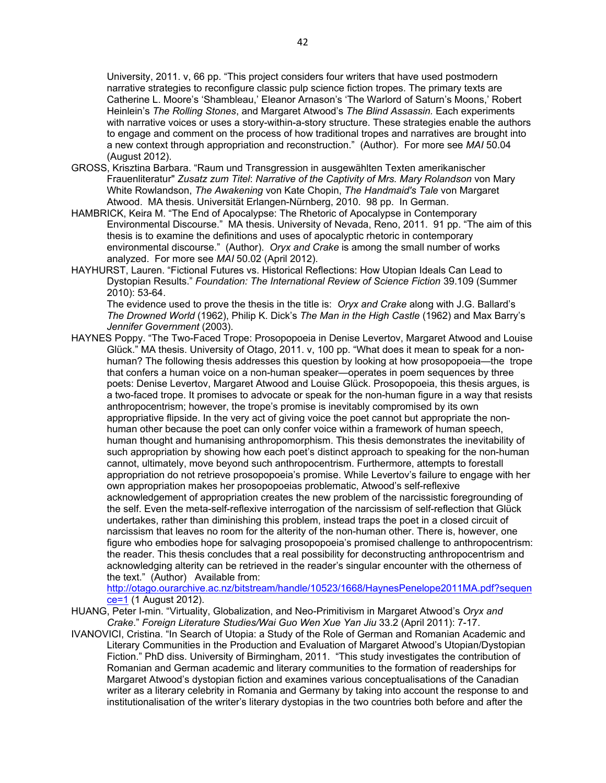University, 2011. v, 66 pp. "This project considers four writers that have used postmodern narrative strategies to reconfigure classic pulp science fiction tropes. The primary texts are Catherine L. Moore's 'Shambleau,' Eleanor Arnason's 'The Warlord of Saturn's Moons,' Robert Heinlein's *The Rolling Stones*, and Margaret Atwood's *The Blind Assassin.* Each experiments with narrative voices or uses a story-within-a-story structure. These strategies enable the authors to engage and comment on the process of how traditional tropes and narratives are brought into a new context through appropriation and reconstruction." (Author). For more see *MAI* 50.04 (August 2012).

- GROSS, Krisztina Barbara. "Raum und Transgression in ausgewählten Texten amerikanischer Frauenliteratur" *Zusatz zum Titel*: *Narrative of the Captivity of Mrs. Mary Rolandson* von Mary White Rowlandson, *The Awakening* von Kate Chopin, *The Handmaid's Tale* von Margaret Atwood. MA thesis. Universität Erlangen-Nürnberg, 2010. 98 pp. In German.
- HAMBRICK, Keira M. "The End of Apocalypse: The Rhetoric of Apocalypse in Contemporary Environmental Discourse." MA thesis. University of Nevada, Reno, 2011. 91 pp. "The aim of this thesis is to examine the definitions and uses of apocalyptic rhetoric in contemporary environmental discourse." (Author). *Oryx and Crake* is among the small number of works analyzed. For more see *MAI* 50.02 (April 2012).
- HAYHURST, Lauren. "Fictional Futures vs. Historical Reflections: How Utopian Ideals Can Lead to Dystopian Results." *Foundation: The International Review of Science Fiction* 39.109 (Summer 2010): 53-64.

The evidence used to prove the thesis in the title is: *Oryx and Crake* along with J.G. Ballard's *The Drowned World* (1962), Philip K. Dick's *The Man in the High Castle* (1962) and Max Barry's *Jennifer Government* (2003).

HAYNES Poppy. "The Two-Faced Trope: Prosopopoeia in Denise Levertov, Margaret Atwood and Louise Glück." MA thesis. University of Otago, 2011. v, 100 pp. "What does it mean to speak for a nonhuman? The following thesis addresses this question by looking at how prosopopoeia—the trope that confers a human voice on a non-human speaker—operates in poem sequences by three poets: Denise Levertov, Margaret Atwood and Louise Glück. Prosopopoeia, this thesis argues, is a two-faced trope. It promises to advocate or speak for the non-human figure in a way that resists anthropocentrism; however, the trope's promise is inevitably compromised by its own appropriative flipside. In the very act of giving voice the poet cannot but appropriate the nonhuman other because the poet can only confer voice within a framework of human speech, human thought and humanising anthropomorphism. This thesis demonstrates the inevitability of such appropriation by showing how each poet's distinct approach to speaking for the non-human cannot, ultimately, move beyond such anthropocentrism. Furthermore, attempts to forestall appropriation do not retrieve prosopopoeia's promise. While Levertov's failure to engage with her own appropriation makes her prosopopoeias problematic, Atwood's self-reflexive acknowledgement of appropriation creates the new problem of the narcissistic foregrounding of the self. Even the meta-self-reflexive interrogation of the narcissism of self-reflection that Glück undertakes, rather than diminishing this problem, instead traps the poet in a closed circuit of narcissism that leaves no room for the alterity of the non-human other. There is, however, one figure who embodies hope for salvaging prosopopoeia's promised challenge to anthropocentrism: the reader. This thesis concludes that a real possibility for deconstructing anthropocentrism and acknowledging alterity can be retrieved in the reader's singular encounter with the otherness of the text." (Author) Available from:

http://otago.ourarchive.ac.nz/bitstream/handle/10523/1668/HaynesPenelope2011MA.pdf?sequen ce=1 (1 August 2012).

- HUANG, Peter I-min. "Virtuality, Globalization, and Neo-Primitivism in Margaret Atwood's *Oryx and Crake*." *Foreign Literature Studies/Wai Guo Wen Xue Yan Jiu* 33.2 (April 2011): 7-17.
- IVANOVICI, Cristina. "In Search of Utopia: a Study of the Role of German and Romanian Academic and Literary Communities in the Production and Evaluation of Margaret Atwood's Utopian/Dystopian Fiction." PhD diss. University of Birmingham, 2011. "This study investigates the contribution of Romanian and German academic and literary communities to the formation of readerships for Margaret Atwood's dystopian fiction and examines various conceptualisations of the Canadian writer as a literary celebrity in Romania and Germany by taking into account the response to and institutionalisation of the writer's literary dystopias in the two countries both before and after the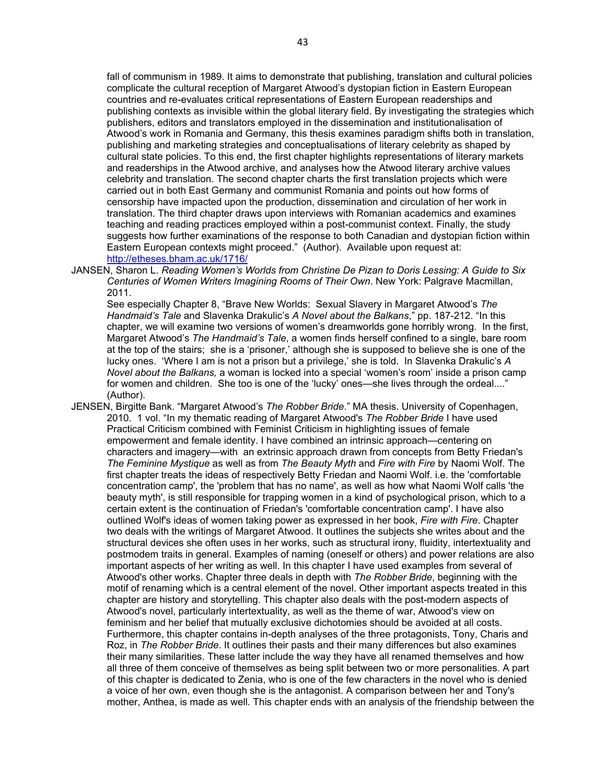fall of communism in 1989. It aims to demonstrate that publishing, translation and cultural policies complicate the cultural reception of Margaret Atwood's dystopian fiction in Eastern European countries and re-evaluates critical representations of Eastern European readerships and publishing contexts as invisible within the global literary field. By investigating the strategies which publishers, editors and translators employed in the dissemination and institutionalisation of Atwood's work in Romania and Germany, this thesis examines paradigm shifts both in translation, publishing and marketing strategies and conceptualisations of literary celebrity as shaped by cultural state policies. To this end, the first chapter highlights representations of literary markets and readerships in the Atwood archive, and analyses how the Atwood literary archive values celebrity and translation. The second chapter charts the first translation projects which were carried out in both East Germany and communist Romania and points out how forms of censorship have impacted upon the production, dissemination and circulation of her work in translation. The third chapter draws upon interviews with Romanian academics and examines teaching and reading practices employed within a post-communist context. Finally, the study suggests how further examinations of the response to both Canadian and dystopian fiction within Eastern European contexts might proceed." (Author). Available upon request at: http://etheses.bham.ac.uk/1716/

JANSEN, Sharon L. *Reading Women's Worlds from Christine De Pizan to Doris Lessing: A Guide to Six Centuries of Women Writers Imagining Rooms of Their Own*. New York: Palgrave Macmillan, 2011.

See especially Chapter 8, "Brave New Worlds: Sexual Slavery in Margaret Atwood's *The Handmaid's Tale* and Slavenka Drakulic's *A Novel about the Balkans*," pp. 187-212. "In this chapter, we will examine two versions of women's dreamworlds gone horribly wrong. In the first, Margaret Atwood's *The Handmaid's Tale*, a women finds herself confined to a single, bare room at the top of the stairs; she is a 'prisoner,' although she is supposed to believe she is one of the lucky ones. 'Where I am is not a prison but a privilege,' she is told. In Slavenka Drakulic's *A Novel about the Balkans,* a woman is locked into a special 'women's room' inside a prison camp for women and children. She too is one of the 'lucky' ones—she lives through the ordeal...." (Author).

JENSEN, Birgitte Bank. "Margaret Atwood's *The Robber Bride*." MA thesis. University of Copenhagen, 2010. 1 vol. "In my thematic reading of Margaret Atwood's *The Robber Bride* I have used Practical Criticism combined with Feminist Criticism in highlighting issues of female empowerment and female identity. I have combined an intrinsic approach—centering on characters and imagery—with an extrinsic approach drawn from concepts from Betty Friedan's *The Feminine Mystique* as well as from *The Beauty Myth* and *Fire with Fire* by Naomi Wolf. The first chapter treats the ideas of respectively Betty Friedan and Naomi Wolf. i.e. the 'comfortable concentration camp', the 'problem that has no name', as well as how what Naomi Wolf calls 'the beauty myth', is still responsible for trapping women in a kind of psychological prison, which to a certain extent is the continuation of Friedan's 'comfortable concentration camp'. I have also outlined Wolf's ideas of women taking power as expressed in her book, *Fire with Fire*. Chapter two deals with the writings of Margaret Atwood. It outlines the subjects she writes about and the structural devices she often uses in her works, such as structural irony, fluidity, intertextuality and postmodem traits in general. Examples of naming (oneself or others) and power relations are also important aspects of her writing as well. In this chapter I have used examples from several of Atwood's other works. Chapter three deals in depth with *The Robber Bride*, beginning with the motif of renaming which is a central element of the novel. Other important aspects treated in this chapter are history and storytelling. This chapter also deals with the post-modern aspects of Atwood's novel, particularly intertextuality, as well as the theme of war, Atwood's view on feminism and her belief that mutually exclusive dichotomies should be avoided at all costs. Furthermore, this chapter contains in-depth analyses of the three protagonists, Tony, Charis and Roz, in *The Robber Bride*. It outlines their pasts and their many differences but also examines their many similarities. These latter include the way they have all renamed themselves and how all three of them conceive of themselves as being split between two or more personalities. A part of this chapter is dedicated to Zenia, who is one of the few characters in the novel who is denied a voice of her own, even though she is the antagonist. A comparison between her and Tony's mother, Anthea, is made as well. This chapter ends with an analysis of the friendship between the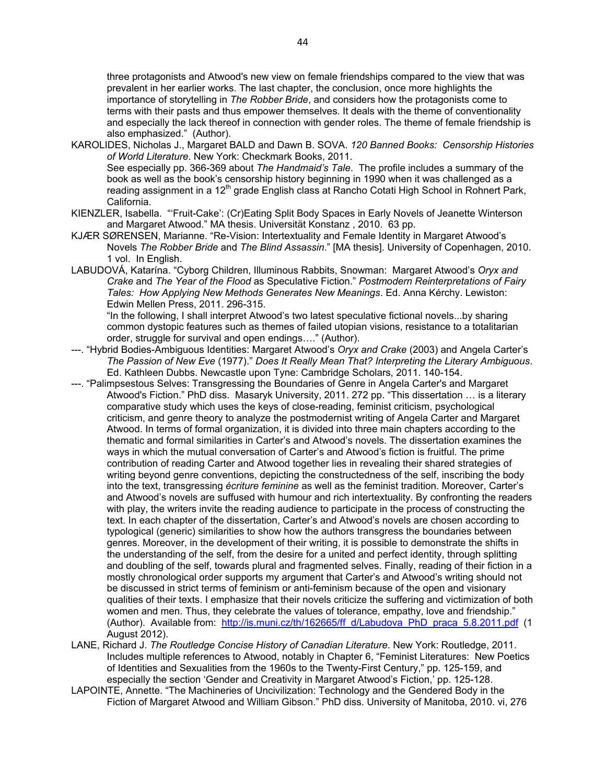three protagonists and Atwood's new view on female friendships compared to the view that was prevalent in her earlier works. The last chapter, the conclusion, once more highlights the importance of storytelling in *The Robber Bride*, and considers how the protagonists come to terms with their pasts and thus empower themselves. It deals with the theme of conventionality and especially the lack thereof in connection with gender roles. The theme of female friendship is also emphasized." (Author).

- KAROLIDES, Nicholas J., Margaret BALD and Dawn B. SOVA. *120 Banned Books: Censorship Histories of World Literature*. New York: Checkmark Books, 2011. See especially pp. 366-369 about *The Handmaid's Tale*. The profile includes a summary of the book as well as the book's censorship history beginning in 1990 when it was challenged as a reading assignment in a  $12<sup>th</sup>$  grade English class at Rancho Cotati High School in Rohnert Park, California.
- KIENZLER, Isabella. "'Fruit-Cake': (Cr)Eating Split Body Spaces in Early Novels of Jeanette Winterson and Margaret Atwood." MA thesis. Universität Konstanz , 2010. 63 pp.
- KJÆR SØRENSEN, Marianne. "Re-Vision: Intertextuality and Female Identity in Margaret Atwood's Novels *The Robber Bride* and *The Blind Assassin*." [MA thesis]. University of Copenhagen, 2010. 1 vol. In English.
- LABUDOVÁ, Katarína. "Cyborg Children, Illuminous Rabbits, Snowman: Margaret Atwood's *Oryx and Crake* and *The Year of the Flood* as Speculative Fiction." *Postmodern Reinterpretations of Fairy Tales: How Applying New Methods Generates New Meanings*. Ed. Anna Kérchy. Lewiston: Edwin Mellen Press, 2011. 296-315.

"In the following, I shall interpret Atwood's two latest speculative fictional novels...by sharing common dystopic features such as themes of failed utopian visions, resistance to a totalitarian order, struggle for survival and open endings…." (Author).

- ---. "Hybrid Bodies-Ambiguous Identities: Margaret Atwood's *Oryx and Crake* (2003) and Angela Carter's *The Passion of New Eve* (1977)." *Does It Really Mean That? Interpreting the Literary Ambiguous*. Ed. Kathleen Dubbs. Newcastle upon Tyne: Cambridge Scholars, 2011. 140-154.
- ---. "Palimpsestous Selves: Transgressing the Boundaries of Genre in Angela Carter's and Margaret Atwood's Fiction." PhD diss. Masaryk University, 2011. 272 pp. "This dissertation … is a literary comparative study which uses the keys of close-reading, feminist criticism, psychological criticism, and genre theory to analyze the postmodernist writing of Angela Carter and Margaret Atwood. In terms of formal organization, it is divided into three main chapters according to the thematic and formal similarities in Carter's and Atwood's novels. The dissertation examines the ways in which the mutual conversation of Carter's and Atwood's fiction is fruitful. The prime contribution of reading Carter and Atwood together lies in revealing their shared strategies of writing beyond genre conventions, depicting the constructedness of the self, inscribing the body into the text, transgressing *écriture feminine* as well as the feminist tradition. Moreover, Carter's and Atwood's novels are suffused with humour and rich intertextuality. By confronting the readers with play, the writers invite the reading audience to participate in the process of constructing the text. In each chapter of the dissertation, Carter's and Atwood's novels are chosen according to typological (generic) similarities to show how the authors transgress the boundaries between genres. Moreover, in the development of their writing, it is possible to demonstrate the shifts in the understanding of the self, from the desire for a united and perfect identity, through splitting and doubling of the self, towards plural and fragmented selves. Finally, reading of their fiction in a mostly chronological order supports my argument that Carter's and Atwood's writing should not be discussed in strict terms of feminism or anti-feminism because of the open and visionary qualities of their texts. I emphasize that their novels criticize the suffering and victimization of both women and men. Thus, they celebrate the values of tolerance, empathy, love and friendship." (Author). Available from: http://is.muni.cz/th/162665/ff\_d/Labudova\_PhD\_praca\_5.8.2011.pdf (1 August 2012).
- LANE, Richard J. *The Routledge Concise History of Canadian Literature*. New York: Routledge, 2011. Includes multiple references to Atwood, notably in Chapter 6, "Feminist Literatures: New Poetics of Identities and Sexualities from the 1960s to the Twenty-First Century," pp. 125-159, and especially the section 'Gender and Creativity in Margaret Atwood's Fiction,' pp. 125-128.
- LAPOINTE, Annette. "The Machineries of Uncivilization: Technology and the Gendered Body in the Fiction of Margaret Atwood and William Gibson." PhD diss. University of Manitoba, 2010. vi, 276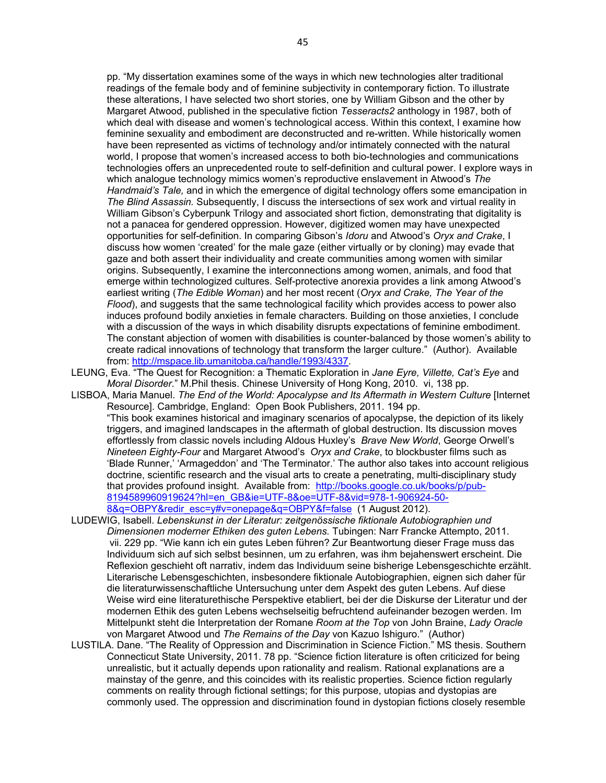pp. "My dissertation examines some of the ways in which new technologies alter traditional readings of the female body and of feminine subjectivity in contemporary fiction. To illustrate these alterations, I have selected two short stories, one by William Gibson and the other by Margaret Atwood, published in the speculative fiction *Tesseracts2* anthology in 1987, both of which deal with disease and women's technological access. Within this context, I examine how feminine sexuality and embodiment are deconstructed and re-written. While historically women have been represented as victims of technology and/or intimately connected with the natural world, I propose that women's increased access to both bio-technologies and communications technologies offers an unprecedented route to self-definition and cultural power. I explore ways in which analogue technology mimics women's reproductive enslavement in Atwood's *The Handmaid's Tale,* and in which the emergence of digital technology offers some emancipation in *The Blind Assassin.* Subsequently, I discuss the intersections of sex work and virtual reality in William Gibson's Cyberpunk Trilogy and associated short fiction, demonstrating that digitality is not a panacea for gendered oppression. However, digitized women may have unexpected opportunities for self-definition. In comparing Gibson's *Idoru* and Atwood's *Oryx and Crake*, I discuss how women 'created' for the male gaze (either virtually or by cloning) may evade that gaze and both assert their individuality and create communities among women with similar origins. Subsequently, I examine the interconnections among women, animals, and food that emerge within technologized cultures. Self-protective anorexia provides a link among Atwood's earliest writing (*The Edible Woman*) and her most recent (*Oryx and Crake, The Year of the Flood*), and suggests that the same technological facility which provides access to power also induces profound bodily anxieties in female characters. Building on those anxieties, I conclude with a discussion of the ways in which disability disrupts expectations of feminine embodiment. The constant abjection of women with disabilities is counter-balanced by those women's ability to create radical innovations of technology that transform the larger culture." (Author). Available from: http://mspace.lib.umanitoba.ca/handle/1993/4337.

- LEUNG, Eva. "The Quest for Recognition: a Thematic Exploration in *Jane Eyre, Villette, Cat's Eye* and *Moral Disorder.*" M.Phil thesis. Chinese University of Hong Kong, 2010. vi, 138 pp.
- LISBOA, Maria Manuel. *The End of the World: Apocalypse and Its Aftermath in Western Culture* [Internet Resource]. Cambridge, England: Open Book Publishers, 2011. 194 pp. "This book examines historical and imaginary scenarios of apocalypse, the depiction of its likely triggers, and imagined landscapes in the aftermath of global destruction. Its discussion moves effortlessly from classic novels including Aldous Huxley's *Brave New World*, George Orwell's *Nineteen Eighty-Four* and Margaret Atwood's *Oryx and Crake*, to blockbuster films such as 'Blade Runner,' 'Armageddon' and 'The Terminator.' The author also takes into account religious doctrine, scientific research and the visual arts to create a penetrating, multi-disciplinary study that provides profound insight. Available from: http://books.google.co.uk/books/p/pub-8194589960919624?hl=en\_GB&ie=UTF-8&oe=UTF-8&vid=978-1-906924-50- 8&q=OBPY&redir\_esc=y#v=onepage&q=OBPY&f=false (1 August 2012).
- LUDEWIG, Isabell. *Lebenskunst in der Literatur: zeitgenössische fiktionale Autobiographien und Dimensionen moderner Ethiken des guten Lebens.* Tubingen: Narr Francke Attempto, 2011. vii. 229 pp. "Wie kann ich ein gutes Leben führen? Zur Beantwortung dieser Frage muss das Individuum sich auf sich selbst besinnen, um zu erfahren, was ihm bejahenswert erscheint. Die Reflexion geschieht oft narrativ, indem das Individuum seine bisherige Lebensgeschichte erzählt. Literarische Lebensgeschichten, insbesondere fiktionale Autobiographien, eignen sich daher für die literaturwissenschaftliche Untersuchung unter dem Aspekt des guten Lebens. Auf diese Weise wird eine literaturethische Perspektive etabliert, bei der die Diskurse der Literatur und der modernen Ethik des guten Lebens wechselseitig befruchtend aufeinander bezogen werden. Im Mittelpunkt steht die Interpretation der Romane *Room at the Top* von John Braine, *Lady Oracle* von Margaret Atwood und *The Remains of the Day* von Kazuo Ishiguro." (Author)
- LUSTILA. Dane. "The Reality of Oppression and Discrimination in Science Fiction." MS thesis. Southern Connecticut State University, 2011. 78 pp. "Science fiction literature is often criticized for being unrealistic, but it actually depends upon rationality and realism. Rational explanations are a mainstay of the genre, and this coincides with its realistic properties. Science fiction regularly comments on reality through fictional settings; for this purpose, utopias and dystopias are commonly used. The oppression and discrimination found in dystopian fictions closely resemble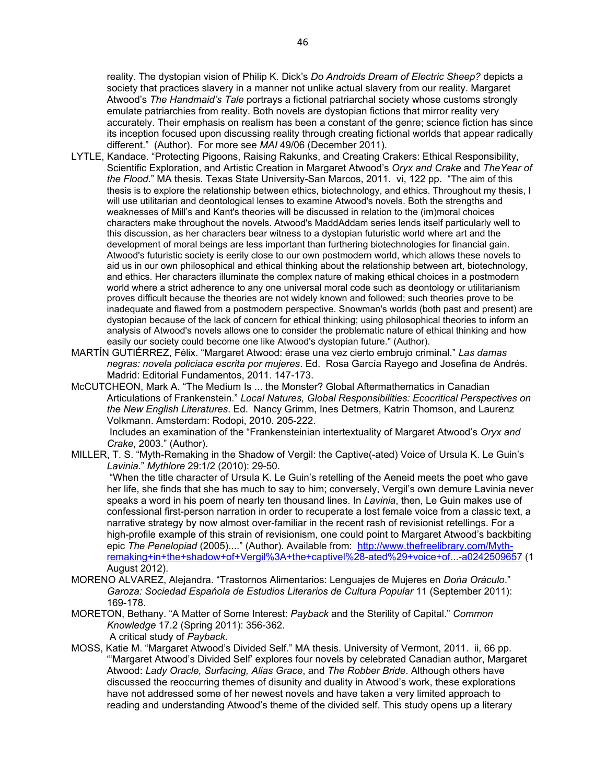reality. The dystopian vision of Philip K. Dick's *Do Androids Dream of Electric Sheep?* depicts a society that practices slavery in a manner not unlike actual slavery from our reality. Margaret Atwood's *The Handmaid's Tale* portrays a fictional patriarchal society whose customs strongly emulate patriarchies from reality. Both novels are dystopian fictions that mirror reality very accurately. Their emphasis on realism has been a constant of the genre; science fiction has since its inception focused upon discussing reality through creating fictional worlds that appear radically different." (Author). For more see *MAI* 49/06 (December 2011).

- LYTLE, Kandace. "Protecting Pigoons, Raising Rakunks, and Creating Crakers: Ethical Responsibility, Scientific Exploration, and Artistic Creation in Margaret Atwood's *Oryx and Crake* and *TheYear of the Flood*." MA thesis. Texas State University-San Marcos, 2011. vi, 122 pp. "The aim of this thesis is to explore the relationship between ethics, biotechnology, and ethics. Throughout my thesis, I will use utilitarian and deontological lenses to examine Atwood's novels. Both the strengths and weaknesses of Mill's and Kant's theories will be discussed in relation to the (im)moral choices characters make throughout the novels. Atwood's MaddAddam series lends itself particularly well to this discussion, as her characters bear witness to a dystopian futuristic world where art and the development of moral beings are less important than furthering biotechnologies for financial gain. Atwood's futuristic society is eerily close to our own postmodern world, which allows these novels to aid us in our own philosophical and ethical thinking about the relationship between art, biotechnology, and ethics. Her characters illuminate the complex nature of making ethical choices in a postmodern world where a strict adherence to any one universal moral code such as deontology or utilitarianism proves difficult because the theories are not widely known and followed; such theories prove to be inadequate and flawed from a postmodern perspective. Snowman's worlds (both past and present) are dystopian because of the lack of concern for ethical thinking; using philosophical theories to inform an analysis of Atwood's novels allows one to consider the problematic nature of ethical thinking and how easily our society could become one like Atwood's dystopian future." (Author).
- MARTÍN GUTIÉRREZ, Félix. "Margaret Atwood: érase una vez cierto embrujo criminal." *Las damas negras: novela policiaca escrita por mujeres*. Ed. Rosa García Rayego and Josefina de Andrés. Madrid: Editorial Fundamentos, 2011. 147-173.
- McCUTCHEON, Mark A. "The Medium Is ... the Monster? Global Aftermathematics in Canadian Articulations of Frankenstein." *Local Natures, Global Responsibilities: Ecocritical Perspectives on the New English Literatures*. Ed. Nancy Grimm, Ines Detmers, Katrin Thomson, and Laurenz Volkmann. Amsterdam: Rodopi, 2010. 205-222.

 Includes an examination of the "Frankensteinian intertextuality of Margaret Atwood's *Oryx and Crake*, 2003." (Author).

MILLER, T. S. "Myth-Remaking in the Shadow of Vergil: the Captive(-ated) Voice of Ursula K. Le Guin's *Lavinia*." *Mythlore* 29:1/2 (2010): 29-50.

 "When the title character of Ursula K. Le Guin's retelling of the Aeneid meets the poet who gave her life, she finds that she has much to say to him; conversely, Vergil's own demure Lavinia never speaks a word in his poem of nearly ten thousand lines. In *Lavinia*, then, Le Guin makes use of confessional first-person narration in order to recuperate a lost female voice from a classic text, a narrative strategy by now almost over-familiar in the recent rash of revisionist retellings. For a high-profile example of this strain of revisionism, one could point to Margaret Atwood's backbiting epic *The Penelopiad* (2005)...." (Author). Available from: http://www.thefreelibrary.com/Mythremaking+in+the+shadow+of+Vergil%3A+the+captivel%28-ated%29+voice+of...-a0242509657 (1 August 2012).

- MORENO ALVAREZ, Alejandra. "Trastornos Alimentarios: Lenguajes de Mujeres en *Dońa Oráculo*." *Garoza: Sociedad Espańola de Estudios Literarios de Cultura Popular* 11 (September 2011): 169-178.
- MORETON, Bethany. "A Matter of Some Interest: *Payback* and the Sterility of Capital." *Common Knowledge* 17.2 (Spring 2011): 356-362. A critical study of *Payback.*
- MOSS, Katie M. "Margaret Atwood's Divided Self." MA thesis. University of Vermont, 2011. ii, 66 pp. "'Margaret Atwood's Divided Self' explores four novels by celebrated Canadian author, Margaret Atwood: *Lady Oracle, Surfacing, Alias Grace*, and *The Robber Bride*. Although others have discussed the reoccurring themes of disunity and duality in Atwood's work, these explorations have not addressed some of her newest novels and have taken a very limited approach to reading and understanding Atwood's theme of the divided self. This study opens up a literary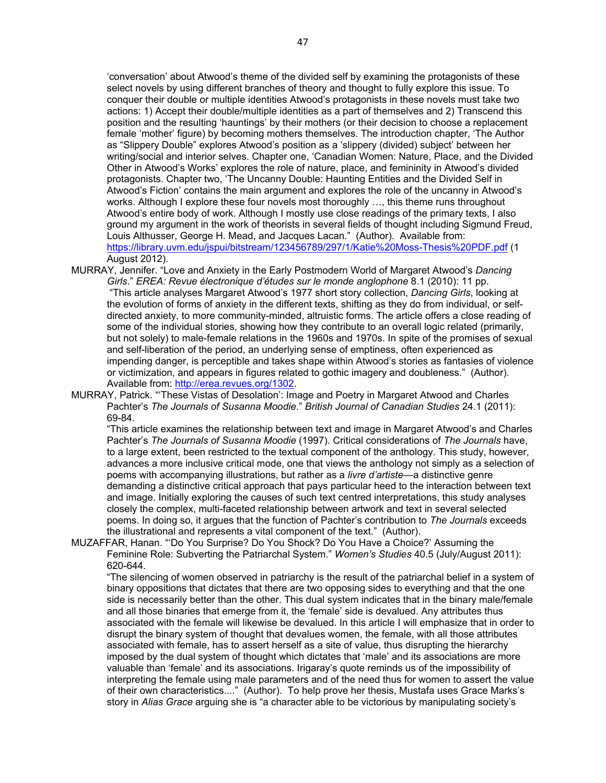'conversation' about Atwood's theme of the divided self by examining the protagonists of these select novels by using different branches of theory and thought to fully explore this issue. To conquer their double or multiple identities Atwood's protagonists in these novels must take two actions: 1) Accept their double/multiple identities as a part of themselves and 2) Transcend this position and the resulting 'hauntings' by their mothers (or their decision to choose a replacement female 'mother' figure) by becoming mothers themselves. The introduction chapter, 'The Author as "Slippery Double" explores Atwood's position as a 'slippery (divided) subject' between her writing/social and interior selves. Chapter one, 'Canadian Women: Nature, Place, and the Divided Other in Atwood's Works' explores the role of nature, place, and femininity in Atwood's divided protagonists. Chapter two, 'The Uncanny Double: Haunting Entities and the Divided Self in Atwood's Fiction' contains the main argument and explores the role of the uncanny in Atwood's works. Although I explore these four novels most thoroughly …, this theme runs throughout Atwood's entire body of work. Although I mostly use close readings of the primary texts, I also ground my argument in the work of theorists in several fields of thought including Sigmund Freud, Louis Althusser, George H. Mead, and Jacques Lacan." (Author). Available from: https://library.uvm.edu/jspui/bitstream/123456789/297/1/Katie%20Moss-Thesis%20PDF.pdf (1 August 2012).

- MURRAY, Jennifer. "Love and Anxiety in the Early Postmodern World of Margaret Atwood's *Dancing Girls*." *EREA: Revue électronique d'études sur le monde anglophone* 8.1 (2010): 11 pp. "This article analyses Margaret Atwood's 1977 short story collection, *Dancing Girls*, looking at the evolution of forms of anxiety in the different texts, shifting as they do from individual, or selfdirected anxiety, to more community-minded, altruistic forms. The article offers a close reading of some of the individual stories, showing how they contribute to an overall logic related (primarily, but not solely) to male-female relations in the 1960s and 1970s. In spite of the promises of sexual and self-liberation of the period, an underlying sense of emptiness, often experienced as impending danger, is perceptible and takes shape within Atwood's stories as fantasies of violence or victimization, and appears in figures related to gothic imagery and doubleness." (Author). Available from: http://erea.revues.org/1302.
- MURRAY, Patrick. "'These Vistas of Desolation': Image and Poetry in Margaret Atwood and Charles Pachter's *The Journals of Susanna Moodie*." *British Journal of Canadian Studies* 24.1 (2011): 69-84.

"This article examines the relationship between text and image in Margaret Atwood's and Charles Pachter's *The Journals of Susanna Moodie* (1997). Critical considerations of *The Journals* have, to a large extent, been restricted to the textual component of the anthology. This study, however, advances a more inclusive critical mode, one that views the anthology not simply as a selection of poems with accompanying illustrations, but rather as a *livre d'artiste*—a distinctive genre demanding a distinctive critical approach that pays particular heed to the interaction between text and image. Initially exploring the causes of such text centred interpretations, this study analyses closely the complex, multi-faceted relationship between artwork and text in several selected poems. In doing so, it argues that the function of Pachter's contribution to *The Journals* exceeds the illustrational and represents a vital component of the text." (Author).

MUZAFFAR, Hanan. "'Do You Surprise? Do You Shock? Do You Have a Choice?' Assuming the Feminine Role: Subverting the Patriarchal System." *Women's Studies* 40.5 (July/August 2011): 620-644.

"The silencing of women observed in patriarchy is the result of the patriarchal belief in a system of binary oppositions that dictates that there are two opposing sides to everything and that the one side is necessarily better than the other. This dual system indicates that in the binary male/female and all those binaries that emerge from it, the 'female' side is devalued. Any attributes thus associated with the female will likewise be devalued. In this article I will emphasize that in order to disrupt the binary system of thought that devalues women, the female, with all those attributes associated with female, has to assert herself as a site of value, thus disrupting the hierarchy imposed by the dual system of thought which dictates that 'male' and its associations are more valuable than 'female' and its associations. Irigaray's quote reminds us of the impossibility of interpreting the female using male parameters and of the need thus for women to assert the value of their own characteristics...." (Author). To help prove her thesis, Mustafa uses Grace Marks's story in *Alias Grace* arguing she is "a character able to be victorious by manipulating society's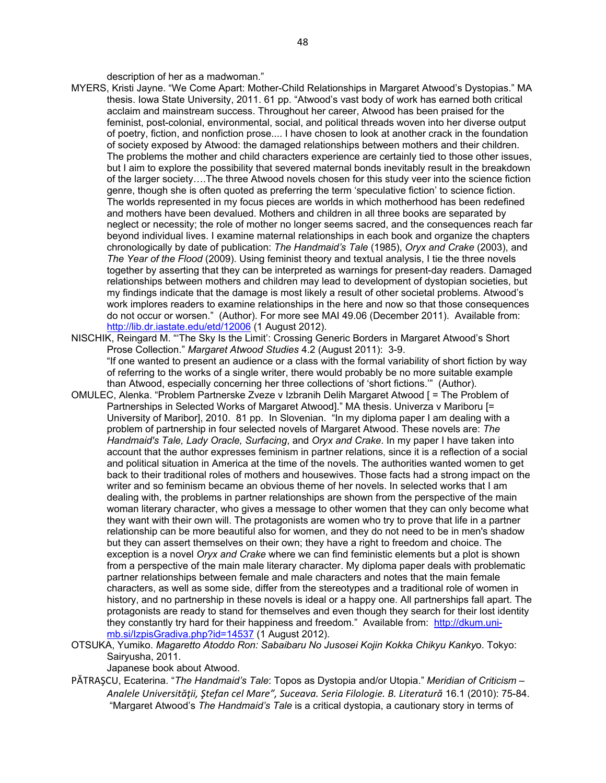description of her as a madwoman."

- MYERS, Kristi Jayne. "We Come Apart: Mother-Child Relationships in Margaret Atwood's Dystopias." MA thesis. Iowa State University, 2011. 61 pp. "Atwood's vast body of work has earned both critical acclaim and mainstream success. Throughout her career, Atwood has been praised for the feminist, post-colonial, environmental, social, and political threads woven into her diverse output of poetry, fiction, and nonfiction prose.... I have chosen to look at another crack in the foundation of society exposed by Atwood: the damaged relationships between mothers and their children. The problems the mother and child characters experience are certainly tied to those other issues, but I aim to explore the possibility that severed maternal bonds inevitably result in the breakdown of the larger society….The three Atwood novels chosen for this study veer into the science fiction genre, though she is often quoted as preferring the term 'speculative fiction' to science fiction. The worlds represented in my focus pieces are worlds in which motherhood has been redefined and mothers have been devalued. Mothers and children in all three books are separated by neglect or necessity; the role of mother no longer seems sacred, and the consequences reach far beyond individual lives. I examine maternal relationships in each book and organize the chapters chronologically by date of publication: *The Handmaid's Tale* (1985), *Oryx and Crake* (2003), and *The Year of the Flood* (2009). Using feminist theory and textual analysis, I tie the three novels together by asserting that they can be interpreted as warnings for present-day readers. Damaged relationships between mothers and children may lead to development of dystopian societies, but my findings indicate that the damage is most likely a result of other societal problems. Atwood's work implores readers to examine relationships in the here and now so that those consequences do not occur or worsen." (Author). For more see MAI 49.06 (December 2011). Available from: http://lib.dr.iastate.edu/etd/12006 (1 August 2012).
- NISCHIK, Reingard M. "'The Sky Is the Limit': Crossing Generic Borders in Margaret Atwood's Short Prose Collection." *Margaret Atwood Studies* 4.2 (August 2011): 3-9. "If one wanted to present an audience or a class with the formal variability of short fiction by way of referring to the works of a single writer, there would probably be no more suitable example than Atwood, especially concerning her three collections of 'short fictions.'" (Author).
- OMULEC, Alenka. "Problem Partnerske Zveze v Izbranih Delih Margaret Atwood [ = The Problem of Partnerships in Selected Works of Margaret Atwood]." MA thesis. Univerza v Mariboru [= University of Maribor], 2010. 81 pp. In Slovenian. "In my diploma paper I am dealing with a problem of partnership in four selected novels of Margaret Atwood. These novels are: *The Handmaid's Tale, Lady Oracle, Surfacing*, and *Oryx and Crake*. In my paper I have taken into account that the author expresses feminism in partner relations, since it is a reflection of a social and political situation in America at the time of the novels. The authorities wanted women to get back to their traditional roles of mothers and housewives. Those facts had a strong impact on the writer and so feminism became an obvious theme of her novels. In selected works that I am dealing with, the problems in partner relationships are shown from the perspective of the main woman literary character, who gives a message to other women that they can only become what they want with their own will. The protagonists are women who try to prove that life in a partner relationship can be more beautiful also for women, and they do not need to be in men's shadow but they can assert themselves on their own; they have a right to freedom and choice. The exception is a novel *Oryx and Crake* where we can find feministic elements but a plot is shown from a perspective of the main male literary character. My diploma paper deals with problematic partner relationships between female and male characters and notes that the main female characters, as well as some side, differ from the stereotypes and a traditional role of women in history, and no partnership in these novels is ideal or a happy one. All partnerships fall apart. The protagonists are ready to stand for themselves and even though they search for their lost identity they constantly try hard for their happiness and freedom." Available from: http://dkum.unimb.si/IzpisGradiva.php?id=14537 (1 August 2012).
- OTSUKA, Yumiko. *Magaretto Atoddo Ron: Sabaibaru No Jusosei Kojin Kokka Chikyu Kanky*o. Tokyo: Sairyusha, 2011.

Japanese book about Atwood.

PĂTRAŞCU, Ecaterina. "*The Handmaid's Tale*: Topos as Dystopia and/or Utopia." *Meridian of Criticism – Analele Universităţii, Ştefan cel Mare", Suceava. Seria Filologie. B. Literatură* 16.1 (2010): 75-84. "Margaret Atwood's *The Handmaid's Tale* is a critical dystopia, a cautionary story in terms of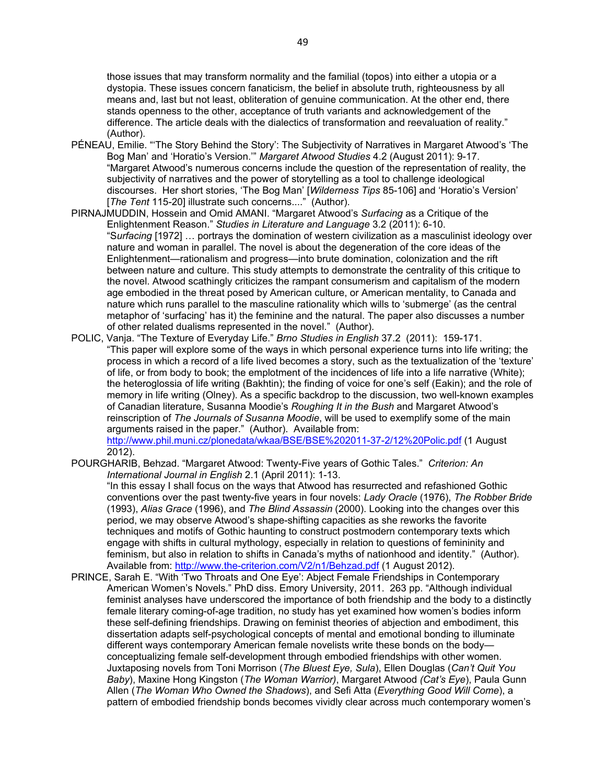those issues that may transform normality and the familial (topos) into either a utopia or a dystopia. These issues concern fanaticism, the belief in absolute truth, righteousness by all means and, last but not least, obliteration of genuine communication. At the other end, there stands openness to the other, acceptance of truth variants and acknowledgement of the difference. The article deals with the dialectics of transformation and reevaluation of reality." (Author).

- PÉNEAU, Emilie. "'The Story Behind the Story': The Subjectivity of Narratives in Margaret Atwood's 'The Bog Man' and 'Horatio's Version.'" *Margaret Atwood Studies* 4.2 (August 2011): 9-17. "Margaret Atwood's numerous concerns include the question of the representation of reality, the subjectivity of narratives and the power of storytelling as a tool to challenge ideological discourses. Her short stories, 'The Bog Man' [*Wilderness Tips* 85-106] and 'Horatio's Version' [*The Tent* 115-20] illustrate such concerns...." (Author).
- PIRNAJMUDDIN, Hossein and Omid AMANI. "Margaret Atwood's *Surfacing* as a Critique of the Enlightenment Reason." *Studies in Literature and Language* 3.2 (2011): 6-10. "S*urfacing* [1972] … portrays the domination of western civilization as a masculinist ideology over nature and woman in parallel. The novel is about the degeneration of the core ideas of the Enlightenment—rationalism and progress—into brute domination, colonization and the rift between nature and culture. This study attempts to demonstrate the centrality of this critique to the novel. Atwood scathingly criticizes the rampant consumerism and capitalism of the modern age embodied in the threat posed by American culture, or American mentality, to Canada and nature which runs parallel to the masculine rationality which wills to 'submerge' (as the central metaphor of 'surfacing' has it) the feminine and the natural. The paper also discusses a number of other related dualisms represented in the novel." (Author).
- POLIC, Vanja. "The Texture of Everyday Life." *Brno Studies in English* 37.2 (2011): 159-171. "This paper will explore some of the ways in which personal experience turns into life writing; the process in which a record of a life lived becomes a story, such as the textualization of the 'texture' of life, or from body to book; the emplotment of the incidences of life into a life narrative (White); the heteroglossia of life writing (Bakhtin); the finding of voice for one's self (Eakin); and the role of memory in life writing (Olney). As a specific backdrop to the discussion, two well-known examples of Canadian literature, Susanna Moodie's *Roughing It in the Bush* and Margaret Atwood's reinscription of *The Journals of Susanna Moodie*, will be used to exemplify some of the main arguments raised in the paper." (Author). Available from:

http://www.phil.muni.cz/plonedata/wkaa/BSE/BSE%202011-37-2/12%20Polic.pdf (1 August 2012).

POURGHARIB, Behzad. "Margaret Atwood: Twenty-Five years of Gothic Tales." *Criterion: An International Journal in English* 2.1 (April 2011): 1-13.

"In this essay I shall focus on the ways that Atwood has resurrected and refashioned Gothic conventions over the past twenty-five years in four novels: *Lady Oracle* (1976), *The Robber Bride* (1993), *Alias Grace* (1996), and *The Blind Assassin* (2000). Looking into the changes over this period, we may observe Atwood's shape-shifting capacities as she reworks the favorite techniques and motifs of Gothic haunting to construct postmodern contemporary texts which engage with shifts in cultural mythology, especially in relation to questions of femininity and feminism, but also in relation to shifts in Canada's myths of nationhood and identity." (Author). Available from: http://www.the-criterion.com/V2/n1/Behzad.pdf (1 August 2012).

PRINCE, Sarah E. "With 'Two Throats and One Eye': Abject Female Friendships in Contemporary American Women's Novels." PhD diss. Emory University, 2011. 263 pp. "Although individual feminist analyses have underscored the importance of both friendship and the body to a distinctly female literary coming-of-age tradition, no study has yet examined how women's bodies inform these self-defining friendships. Drawing on feminist theories of abjection and embodiment, this dissertation adapts self-psychological concepts of mental and emotional bonding to illuminate different ways contemporary American female novelists write these bonds on the body conceptualizing female self-development through embodied friendships with other women. Juxtaposing novels from Toni Morrison (*The Bluest Eye, Sula*), Ellen Douglas (*Can't Quit You Baby*), Maxine Hong Kingston (*The Woman Warrior)*, Margaret Atwood *(Cat's Eye*), Paula Gunn Allen (*The Woman Who Owned the Shadows*), and Sefi Atta (*Everything Good Will Come*), a pattern of embodied friendship bonds becomes vividly clear across much contemporary women's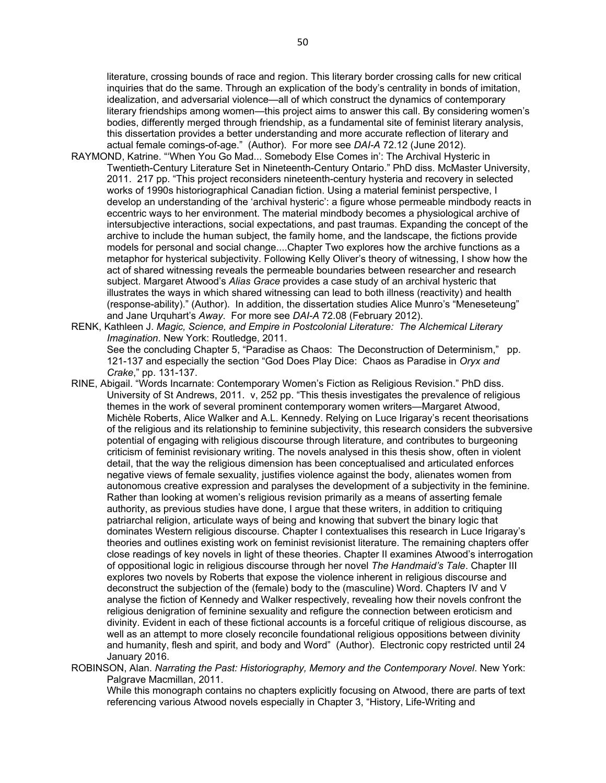literature, crossing bounds of race and region. This literary border crossing calls for new critical inquiries that do the same. Through an explication of the body's centrality in bonds of imitation, idealization, and adversarial violence—all of which construct the dynamics of contemporary literary friendships among women—this project aims to answer this call. By considering women's bodies, differently merged through friendship, as a fundamental site of feminist literary analysis, this dissertation provides a better understanding and more accurate reflection of literary and actual female comings-of-age." (Author). For more see *DAI-A* 72.12 (June 2012).

- RAYMOND, Katrine. "'When You Go Mad... Somebody Else Comes in': The Archival Hysteric in Twentieth-Century Literature Set in Nineteenth-Century Ontario." PhD diss. McMaster University, 2011. 217 pp. "This project reconsiders nineteenth-century hysteria and recovery in selected works of 1990s historiographical Canadian fiction. Using a material feminist perspective, I develop an understanding of the 'archival hysteric': a figure whose permeable mindbody reacts in eccentric ways to her environment. The material mindbody becomes a physiological archive of intersubjective interactions, social expectations, and past traumas. Expanding the concept of the archive to include the human subject, the family home, and the landscape, the fictions provide models for personal and social change....Chapter Two explores how the archive functions as a metaphor for hysterical subjectivity. Following Kelly Oliver's theory of witnessing, I show how the act of shared witnessing reveals the permeable boundaries between researcher and research subject. Margaret Atwood's *Alias Grace* provides a case study of an archival hysteric that illustrates the ways in which shared witnessing can lead to both illness (reactivity) and health (response-ability)." (Author). In addition, the dissertation studies Alice Munro's "Meneseteung" and Jane Urquhart's *Away.* For more see *DAI-A* 72.08 (February 2012).
- RENK, Kathleen J. *Magic, Science, and Empire in Postcolonial Literature: The Alchemical Literary Imagination*. New York: Routledge, 2011. See the concluding Chapter 5, "Paradise as Chaos: The Deconstruction of Determinism," pp. 121-137 and especially the section "God Does Play Dice: Chaos as Paradise in *Oryx and Crake*," pp. 131-137.
- RINE, Abigail. "Words Incarnate: Contemporary Women's Fiction as Religious Revision." PhD diss. University of St Andrews, 2011. v, 252 pp. "This thesis investigates the prevalence of religious themes in the work of several prominent contemporary women writers—Margaret Atwood, Michèle Roberts, Alice Walker and A.L. Kennedy. Relying on Luce Irigaray's recent theorisations of the religious and its relationship to feminine subjectivity, this research considers the subversive potential of engaging with religious discourse through literature, and contributes to burgeoning criticism of feminist revisionary writing. The novels analysed in this thesis show, often in violent detail, that the way the religious dimension has been conceptualised and articulated enforces negative views of female sexuality, justifies violence against the body, alienates women from autonomous creative expression and paralyses the development of a subjectivity in the feminine. Rather than looking at women's religious revision primarily as a means of asserting female authority, as previous studies have done, I argue that these writers, in addition to critiquing patriarchal religion, articulate ways of being and knowing that subvert the binary logic that dominates Western religious discourse. Chapter I contextualises this research in Luce Irigaray's theories and outlines existing work on feminist revisionist literature. The remaining chapters offer close readings of key novels in light of these theories. Chapter II examines Atwood's interrogation of oppositional logic in religious discourse through her novel *The Handmaid's Tale*. Chapter III explores two novels by Roberts that expose the violence inherent in religious discourse and deconstruct the subjection of the (female) body to the (masculine) Word. Chapters IV and V analyse the fiction of Kennedy and Walker respectively, revealing how their novels confront the religious denigration of feminine sexuality and refigure the connection between eroticism and divinity. Evident in each of these fictional accounts is a forceful critique of religious discourse, as well as an attempt to more closely reconcile foundational religious oppositions between divinity and humanity, flesh and spirit, and body and Word" (Author). Electronic copy restricted until 24 January 2016.
- ROBINSON, Alan. *Narrating the Past: Historiography, Memory and the Contemporary Novel*. New York: Palgrave Macmillan, 2011.

While this monograph contains no chapters explicitly focusing on Atwood, there are parts of text referencing various Atwood novels especially in Chapter 3, "History, Life-Writing and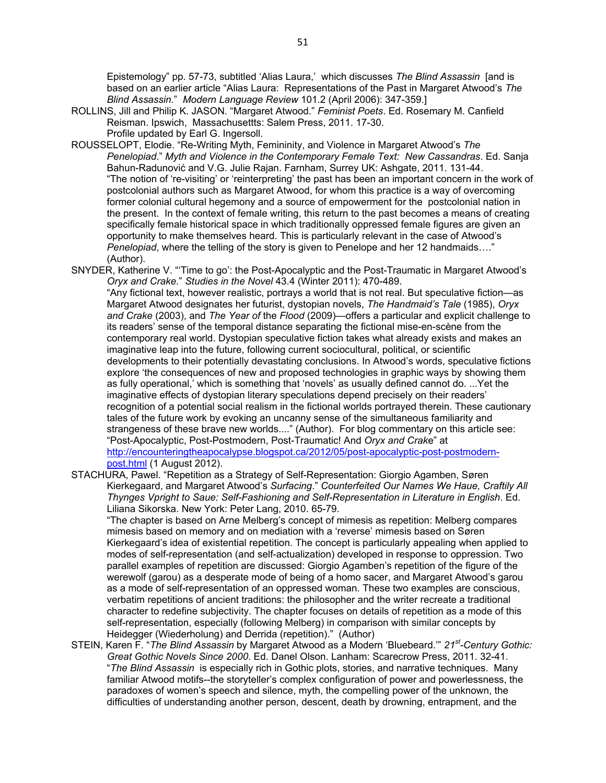Epistemology" pp. 57-73, subtitled 'Alias Laura,' which discusses *The Blind Assassin* [and is based on an earlier article "Alias Laura: Representations of the Past in Margaret Atwood's *The Blind Assassin.*" *Modern Language Review* 101.2 (April 2006): 347-359.]

- ROLLINS, Jill and Philip K. JASON. "Margaret Atwood." *Feminist Poets*. Ed. Rosemary M. Canfield Reisman. Ipswich, Massachusettts: Salem Press, 2011. 17-30.
- Profile updated by Earl G. Ingersoll.
- ROUSSELOPT, Elodie. "Re-Writing Myth, Femininity, and Violence in Margaret Atwood's *The Penelopiad*." *Myth and Violence in the Contemporary Female Text: New Cassandras*. Ed. Sanja Bahun-Radunović and V.G. Julie Rajan. Farnham, Surrey UK: Ashgate, 2011. 131-44. "The notion of 're-visiting' or 'reinterpreting' the past has been an important concern in the work of postcolonial authors such as Margaret Atwood, for whom this practice is a way of overcoming former colonial cultural hegemony and a source of empowerment for the postcolonial nation in the present. In the context of female writing, this return to the past becomes a means of creating specifically female historical space in which traditionally oppressed female figures are given an opportunity to make themselves heard. This is particularly relevant in the case of Atwood's *Penelopiad*, where the telling of the story is given to Penelope and her 12 handmaids…." (Author).
- SNYDER, Katherine V. "'Time to go': the Post-Apocalyptic and the Post-Traumatic in Margaret Atwood's *Oryx and Crake.*" *Studies in the Novel* 43.4 (Winter 2011): 470-489.

"Any fictional text, however realistic, portrays a world that is not real. But speculative fiction—as Margaret Atwood designates her futurist, dystopian novels, *The Handmaid's Tale* (1985), *Oryx and Crake* (2003), and *The Year of* the *Flood* (2009)—offers a particular and explicit challenge to its readers' sense of the temporal distance separating the fictional mise-en-scène from the contemporary real world. Dystopian speculative fiction takes what already exists and makes an imaginative leap into the future, following current sociocultural, political, or scientific developments to their potentially devastating conclusions. In Atwood's words, speculative fictions explore 'the consequences of new and proposed technologies in graphic ways by showing them as fully operational,' which is something that 'novels' as usually defined cannot do. ...Yet the imaginative effects of dystopian literary speculations depend precisely on their readers' recognition of a potential social realism in the fictional worlds portrayed therein. These cautionary tales of the future work by evoking an uncanny sense of the simultaneous familiarity and strangeness of these brave new worlds...." (Author). For blog commentary on this article see: "Post-Apocalyptic, Post-Postmodern, Post-Traumatic! And *Oryx and Crak*e" at http://encounteringtheapocalypse.blogspot.ca/2012/05/post-apocalyptic-post-postmodernpost.html (1 August 2012).

STACHURA, Pawel. "Repetition as a Strategy of Self-Representation: Giorgio Agamben, Søren Kierkegaard, and Margaret Atwood's *Surfacing*." *Counterfeited Our Names We Haue, Craftily All Thynges Vpright to Saue: Self-Fashioning and Self-Representation in Literature in English*. Ed. Liliana Sikorska. New York: Peter Lang, 2010. 65-79.

"The chapter is based on Arne Melberg's concept of mimesis as repetition: Melberg compares mimesis based on memory and on mediation with a 'reverse' mimesis based on Søren Kierkegaard's idea of existential repetition. The concept is particularly appealing when applied to modes of self-representation (and self-actualization) developed in response to oppression. Two parallel examples of repetition are discussed: Giorgio Agamben's repetition of the figure of the werewolf (garou) as a desperate mode of being of a homo sacer, and Margaret Atwood's garou as a mode of self-representation of an oppressed woman. These two examples are conscious, verbatim repetitions of ancient traditions: the philosopher and the writer recreate a traditional character to redefine subjectivity. The chapter focuses on details of repetition as a mode of this self-representation, especially (following Melberg) in comparison with similar concepts by Heidegger (Wiederholung) and Derrida (repetition)." (Author)

STEIN, Karen F. "*The Blind Assassin* by Margaret Atwood as a Modern 'Bluebeard.'" *21st-Century Gothic: Great Gothic Novels Since 2000*. Ed. Danel Olson. Lanham: Scarecrow Press, 2011. 32-41. "*The Blind Assassin* is especially rich in Gothic plots, stories, and narrative techniques. Many familiar Atwood motifs--the storyteller's complex configuration of power and powerlessness, the paradoxes of women's speech and silence, myth, the compelling power of the unknown, the difficulties of understanding another person, descent, death by drowning, entrapment, and the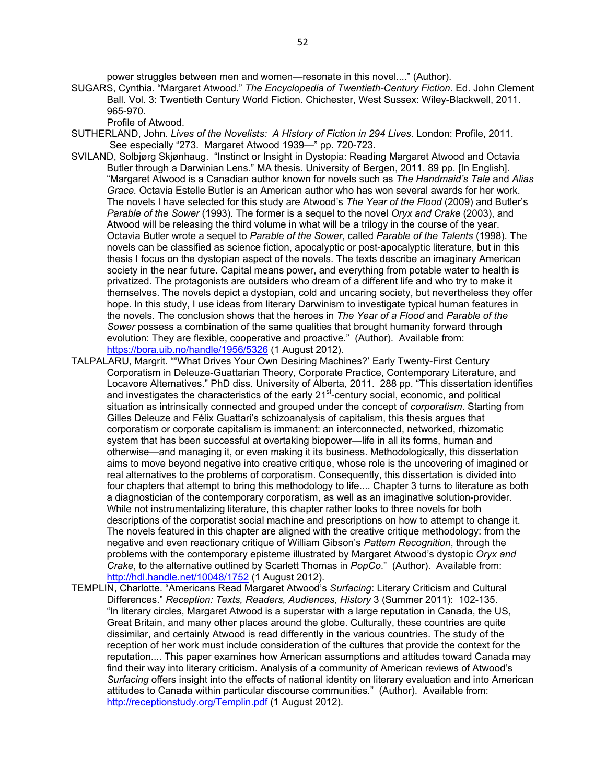power struggles between men and women—resonate in this novel...." (Author).

SUGARS, Cynthia. "Margaret Atwood." *The Encyclopedia of Twentieth-Century Fiction*. Ed. John Clement Ball. Vol. 3: Twentieth Century World Fiction. Chichester, West Sussex: Wiley-Blackwell, 2011. 965-970.

Profile of Atwood.

- SUTHERLAND, John. *Lives of the Novelists: A History of Fiction in 294 Lives*. London: Profile, 2011. See especially "273. Margaret Atwood 1939—" pp. 720-723.
- SVILAND, Solbjørg Skjønhaug. "Instinct or Insight in Dystopia: Reading Margaret Atwood and Octavia Butler through a Darwinian Lens." MA thesis. University of Bergen, 2011. 89 pp. [In English]. "Margaret Atwood is a Canadian author known for novels such as *The Handmaid's Tale* and *Alias Grace.* Octavia Estelle Butler is an American author who has won several awards for her work. The novels I have selected for this study are Atwood's *The Year of the Flood* (2009) and Butler's *Parable of the Sower* (1993). The former is a sequel to the novel *Oryx and Crake* (2003), and Atwood will be releasing the third volume in what will be a trilogy in the course of the year. Octavia Butler wrote a sequel to *Parable of the Sower*, called *Parable of the Talents* (1998). The novels can be classified as science fiction, apocalyptic or post-apocalyptic literature, but in this thesis I focus on the dystopian aspect of the novels. The texts describe an imaginary American society in the near future. Capital means power, and everything from potable water to health is privatized. The protagonists are outsiders who dream of a different life and who try to make it themselves. The novels depict a dystopian, cold and uncaring society, but nevertheless they offer hope. In this study, I use ideas from literary Darwinism to investigate typical human features in the novels. The conclusion shows that the heroes in *The Year of a Flood* and *Parable of the Sower* possess a combination of the same qualities that brought humanity forward through evolution: They are flexible, cooperative and proactive." (Author). Available from: https://bora.uib.no/handle/1956/5326 (1 August 2012).
- TALPALARU, Margrit. ""What Drives Your Own Desiring Machines?' Early Twenty-First Century Corporatism in Deleuze-Guattarian Theory, Corporate Practice, Contemporary Literature, and Locavore Alternatives." PhD diss. University of Alberta, 2011. 288 pp. "This dissertation identifies and investigates the characteristics of the early  $21<sup>st</sup>$ -century social, economic, and political situation as intrinsically connected and grouped under the concept of *corporatism*. Starting from Gilles Deleuze and Félix Guattari's schizoanalysis of capitalism, this thesis argues that corporatism or corporate capitalism is immanent: an interconnected, networked, rhizomatic system that has been successful at overtaking biopower—life in all its forms, human and otherwise—and managing it, or even making it its business. Methodologically, this dissertation aims to move beyond negative into creative critique, whose role is the uncovering of imagined or real alternatives to the problems of corporatism. Consequently, this dissertation is divided into four chapters that attempt to bring this methodology to life.... Chapter 3 turns to literature as both a diagnostician of the contemporary corporatism, as well as an imaginative solution-provider. While not instrumentalizing literature, this chapter rather looks to three novels for both descriptions of the corporatist social machine and prescriptions on how to attempt to change it. The novels featured in this chapter are aligned with the creative critique methodology: from the negative and even reactionary critique of William Gibson's *Pattern Recognition*, through the problems with the contemporary episteme illustrated by Margaret Atwood's dystopic *Oryx and Crake*, to the alternative outlined by Scarlett Thomas in *PopCo*." (Author). Available from: http://hdl.handle.net/10048/1752 (1 August 2012).
- TEMPLIN, Charlotte. "Americans Read Margaret Atwood's *Surfacing*: Literary Criticism and Cultural Differences." *Reception: Texts, Readers, Audiences, History* 3 (Summer 2011): 102-135. "In literary circles, Margaret Atwood is a superstar with a large reputation in Canada, the US, Great Britain, and many other places around the globe. Culturally, these countries are quite dissimilar, and certainly Atwood is read differently in the various countries. The study of the reception of her work must include consideration of the cultures that provide the context for the reputation.... This paper examines how American assumptions and attitudes toward Canada may find their way into literary criticism. Analysis of a community of American reviews of Atwood's *Surfacing* offers insight into the effects of national identity on literary evaluation and into American attitudes to Canada within particular discourse communities." (Author). Available from: http://receptionstudy.org/Templin.pdf (1 August 2012).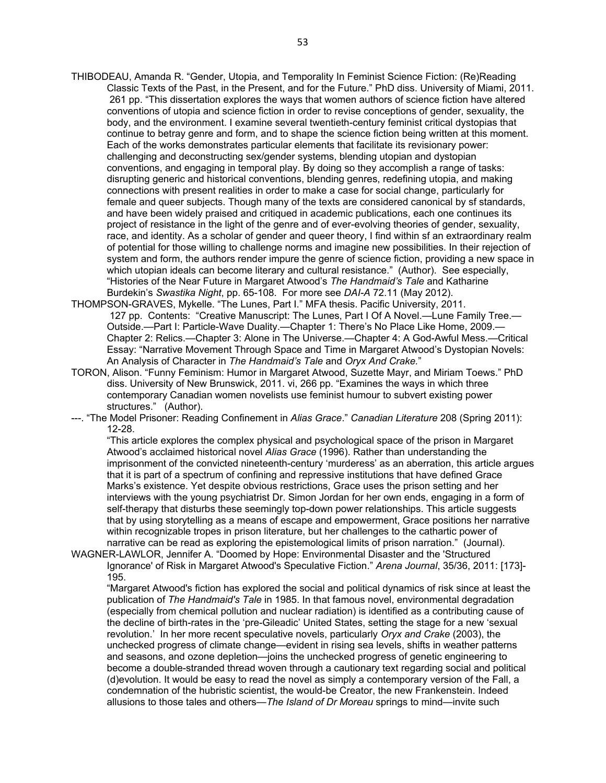- THIBODEAU, Amanda R. "Gender, Utopia, and Temporality In Feminist Science Fiction: (Re)Reading Classic Texts of the Past, in the Present, and for the Future." PhD diss. University of Miami, 2011. 261 pp. "This dissertation explores the ways that women authors of science fiction have altered conventions of utopia and science fiction in order to revise conceptions of gender, sexuality, the body, and the environment. I examine several twentieth-century feminist critical dystopias that continue to betray genre and form, and to shape the science fiction being written at this moment. Each of the works demonstrates particular elements that facilitate its revisionary power: challenging and deconstructing sex/gender systems, blending utopian and dystopian conventions, and engaging in temporal play. By doing so they accomplish a range of tasks: disrupting generic and historical conventions, blending genres, redefining utopia, and making connections with present realities in order to make a case for social change, particularly for female and queer subjects. Though many of the texts are considered canonical by sf standards, and have been widely praised and critiqued in academic publications, each one continues its project of resistance in the light of the genre and of ever-evolving theories of gender, sexuality, race, and identity. As a scholar of gender and queer theory, I find within sf an extraordinary realm of potential for those willing to challenge norms and imagine new possibilities. In their rejection of system and form, the authors render impure the genre of science fiction, providing a new space in which utopian ideals can become literary and cultural resistance." (Author). See especially, "Histories of the Near Future in Margaret Atwood's *The Handmaid's Tale* and Katharine Burdekin's *Swastika Night*, pp. 65-108. For more see *DAI-A* 72.11 (May 2012).
- THOMPSON-GRAVES, Mykelle. "The Lunes, Part I." MFA thesis. Pacific University, 2011. 127 pp. Contents: "Creative Manuscript: The Lunes, Part I Of A Novel.—Lune Family Tree.— Outside.—Part I: Particle-Wave Duality.—Chapter 1: There's No Place Like Home, 2009.— Chapter 2: Relics.—Chapter 3: Alone in The Universe.—Chapter 4: A God-Awful Mess.—Critical Essay: "Narrative Movement Through Space and Time in Margaret Atwood's Dystopian Novels: An Analysis of Character in *The Handmaid's Tale* and *Oryx And Crake.*"
- TORON, Alison. "Funny Feminism: Humor in Margaret Atwood, Suzette Mayr, and Miriam Toews." PhD diss. University of New Brunswick, 2011. vi, 266 pp. "Examines the ways in which three contemporary Canadian women novelists use feminist humour to subvert existing power structures." (Author).
- ---. "The Model Prisoner: Reading Confinement in *Alias Grace*." *Canadian Literature* 208 (Spring 2011): 12-28.

"This article explores the complex physical and psychological space of the prison in Margaret Atwood's acclaimed historical novel *Alias Grace* (1996). Rather than understanding the imprisonment of the convicted nineteenth-century 'murderess' as an aberration, this article argues that it is part of a spectrum of confining and repressive institutions that have defined Grace Marks's existence. Yet despite obvious restrictions, Grace uses the prison setting and her interviews with the young psychiatrist Dr. Simon Jordan for her own ends, engaging in a form of self-therapy that disturbs these seemingly top-down power relationships. This article suggests that by using storytelling as a means of escape and empowerment, Grace positions her narrative within recognizable tropes in prison literature, but her challenges to the cathartic power of narrative can be read as exploring the epistemological limits of prison narration." (Journal).

WAGNER-LAWLOR, Jennifer A. "Doomed by Hope: Environmental Disaster and the 'Structured Ignorance' of Risk in Margaret Atwood's Speculative Fiction." *Arena Journal*, 35/36, 2011: [173]- 195.

"Margaret Atwood's fiction has explored the social and political dynamics of risk since at least the publication of *The Handmaid's Tale* in 1985. In that famous novel, environmental degradation (especially from chemical pollution and nuclear radiation) is identified as a contributing cause of the decline of birth-rates in the 'pre-Gileadic' United States, setting the stage for a new 'sexual revolution.' In her more recent speculative novels, particularly *Oryx and Crake* (2003), the unchecked progress of climate change—evident in rising sea levels, shifts in weather patterns and seasons, and ozone depletion—joins the unchecked progress of genetic engineering to become a double-stranded thread woven through a cautionary text regarding social and political (d)evolution. It would be easy to read the novel as simply a contemporary version of the Fall, a condemnation of the hubristic scientist, the would-be Creator, the new Frankenstein. Indeed allusions to those tales and others—*The Island of Dr Moreau* springs to mind—invite such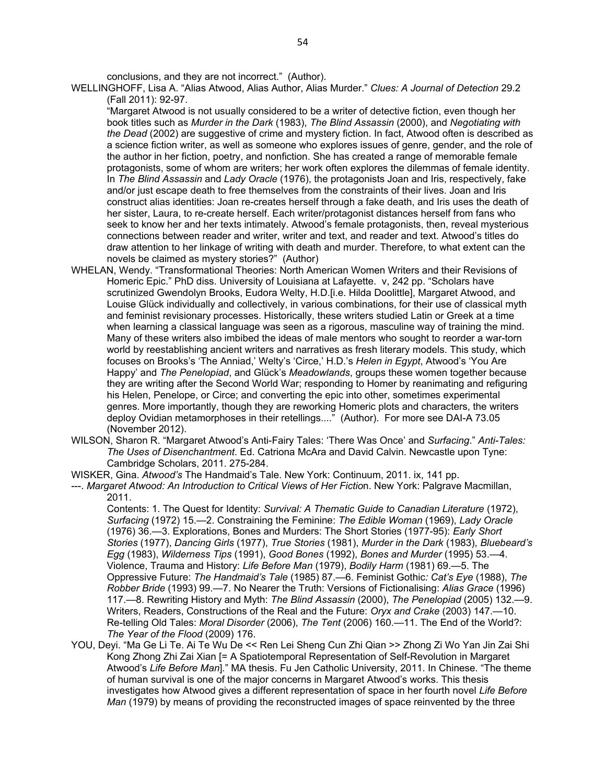conclusions, and they are not incorrect." (Author).

WELLINGHOFF, Lisa A. "Alias Atwood, Alias Author, Alias Murder." *Clues: A Journal of Detection* 29.2 (Fall 2011): 92-97.

"Margaret Atwood is not usually considered to be a writer of detective fiction, even though her book titles such as *Murder in the Dark* (1983), *The Blind Assassin* (2000), and *Negotiating with the Dead* (2002) are suggestive of crime and mystery fiction. In fact, Atwood often is described as a science fiction writer, as well as someone who explores issues of genre, gender, and the role of the author in her fiction, poetry, and nonfiction. She has created a range of memorable female protagonists, some of whom are writers; her work often explores the dilemmas of female identity. In *The Blind Assassin* and *Lady Oracle* (1976), the protagonists Joan and Iris, respectively, fake and/or just escape death to free themselves from the constraints of their lives. Joan and Iris construct alias identities: Joan re-creates herself through a fake death, and Iris uses the death of her sister, Laura, to re-create herself. Each writer/protagonist distances herself from fans who seek to know her and her texts intimately. Atwood's female protagonists, then, reveal mysterious connections between reader and writer, writer and text, and reader and text. Atwood's titles do draw attention to her linkage of writing with death and murder. Therefore, to what extent can the novels be claimed as mystery stories?" (Author)

- WHELAN, Wendy. "Transformational Theories: North American Women Writers and their Revisions of Homeric Epic." PhD diss. University of Louisiana at Lafayette. v, 242 pp. "Scholars have scrutinized Gwendolyn Brooks, Eudora Welty, H.D.[i.e. Hilda Doolittle], Margaret Atwood, and Louise Glück individually and collectively, in various combinations, for their use of classical myth and feminist revisionary processes. Historically, these writers studied Latin or Greek at a time when learning a classical language was seen as a rigorous, masculine way of training the mind. Many of these writers also imbibed the ideas of male mentors who sought to reorder a war-torn world by reestablishing ancient writers and narratives as fresh literary models. This study, which focuses on Brooks's 'The Anniad,' Welty's 'Circe,' H.D.'s *Helen in Egypt*, Atwood's 'You Are Happy' and *The Penelopiad*, and Glück's *Meadowlands*, groups these women together because they are writing after the Second World War; responding to Homer by reanimating and refiguring his Helen, Penelope, or Circe; and converting the epic into other, sometimes experimental genres. More importantly, though they are reworking Homeric plots and characters, the writers deploy Ovidian metamorphoses in their retellings...." (Author). For more see DAI-A 73.05 (November 2012).
- WILSON, Sharon R. "Margaret Atwood's Anti-Fairy Tales: 'There Was Once' and *Surfacing*." *Anti-Tales: The Uses of Disenchantment*. Ed. Catriona McAra and David Calvin. Newcastle upon Tyne: Cambridge Scholars, 2011. 275-284.

WISKER, Gina. *Atwood's* The Handmaid's Tale. New York: Continuum, 2011. ix, 141 pp.

---. *Margaret Atwood: An Introduction to Critical Views of Her Fictio*n. New York: Palgrave Macmillan, 2011.

Contents: 1. The Quest for Identity: *Survival: A Thematic Guide to Canadian Literature* (1972), *Surfacing* (1972) 15.—2. Constraining the Feminine: *The Edible Woman* (1969), *Lady Oracle* (1976) 36.—3. Explorations, Bones and Murders: The Short Stories (1977-95): *Early Short Stories* (1977), *Dancing Girls* (1977), *True Stories* (1981), *Murder in the Dark* (1983), *Bluebeard's Egg* (1983), *Wilderness Tips* (1991), *Good Bones* (1992), *Bones and Murder* (1995) 53.—4. Violence, Trauma and History: *Life Before Man* (1979), *Bodily Harm* (1981) 69.—5. The Oppressive Future: *The Handmaid's Tale* (1985) 87.—6. Feminist Gothic*: Cat's Eye* (1988), *The Robber Bride* (1993) 99.—7. No Nearer the Truth: Versions of Fictionalising: *Alias Grace* (1996) 117.—8. Rewriting History and Myth: *The Blind Assassin* (2000), *The Penelopiad* (2005) 132.—9. Writers, Readers, Constructions of the Real and the Future: *Oryx and Crake* (2003) 147.—10. Re-telling Old Tales: *Moral Disorder* (2006), *The Tent* (2006) 160.—11. The End of the World?: *The Year of the Flood* (2009) 176.

YOU, Deyi. "Ma Ge Li Te. Ai Te Wu De << Ren Lei Sheng Cun Zhi Qian >> Zhong Zi Wo Yan Jin Zai Shi Kong Zhong Zhi Zai Xian [= A Spatiotemporal Representation of Self-Revolution in Margaret Atwood's *Life Before Man*]*.*" MA thesis. Fu Jen Catholic University, 2011. In Chinese. "The theme of human survival is one of the major concerns in Margaret Atwood's works. This thesis investigates how Atwood gives a different representation of space in her fourth novel *Life Before Man* (1979) by means of providing the reconstructed images of space reinvented by the three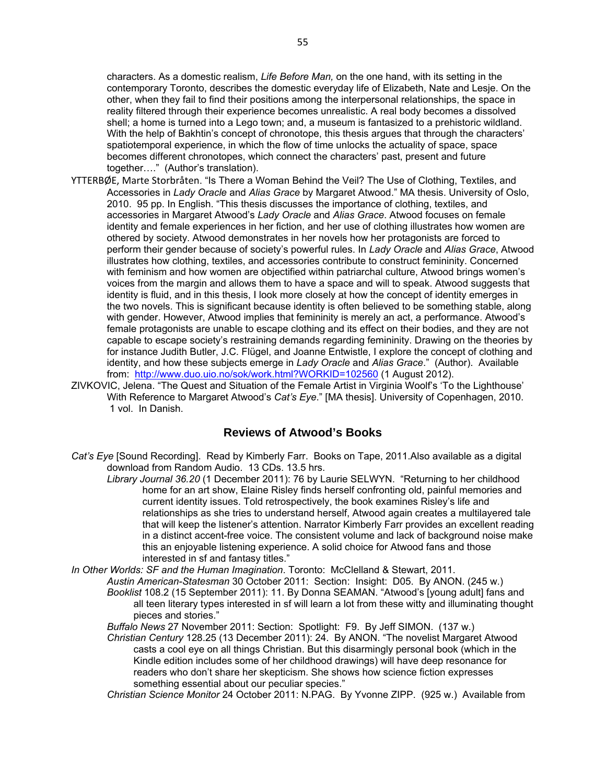characters. As a domestic realism, *Life Before Man,* on the one hand, with its setting in the contemporary Toronto, describes the domestic everyday life of Elizabeth, Nate and Lesje. On the other, when they fail to find their positions among the interpersonal relationships, the space in reality filtered through their experience becomes unrealistic. A real body becomes a dissolved shell; a home is turned into a Lego town; and, a museum is fantasized to a prehistoric wildland. With the help of Bakhtin's concept of chronotope, this thesis argues that through the characters' spatiotemporal experience, in which the flow of time unlocks the actuality of space, space becomes different chronotopes, which connect the characters' past, present and future together…." (Author's translation).

- YTTERBØE, Marte Storbråten. "Is There a Woman Behind the Veil? The Use of Clothing, Textiles, and Accessories in *Lady Oracle* and *Alias Grace* by Margaret Atwood." MA thesis. University of Oslo, 2010. 95 pp. In English. "This thesis discusses the importance of clothing, textiles, and accessories in Margaret Atwood's *Lady Oracle* and *Alias Grace*. Atwood focuses on female identity and female experiences in her fiction, and her use of clothing illustrates how women are othered by society. Atwood demonstrates in her novels how her protagonists are forced to perform their gender because of society's powerful rules. In *Lady Oracle* and *Alias Grace*, Atwood illustrates how clothing, textiles, and accessories contribute to construct femininity. Concerned with feminism and how women are objectified within patriarchal culture, Atwood brings women's voices from the margin and allows them to have a space and will to speak. Atwood suggests that identity is fluid, and in this thesis, I look more closely at how the concept of identity emerges in the two novels. This is significant because identity is often believed to be something stable, along with gender. However, Atwood implies that femininity is merely an act, a performance. Atwood's female protagonists are unable to escape clothing and its effect on their bodies, and they are not capable to escape society's restraining demands regarding femininity. Drawing on the theories by for instance Judith Butler, J.C. Flügel, and Joanne Entwistle, I explore the concept of clothing and identity, and how these subjects emerge in *Lady Oracle* and *Alias Grace*." (Author). Available from: http://www.duo.uio.no/sok/work.html?WORKID=102560 (1 August 2012).
- ZIVKOVIC, Jelena. "The Quest and Situation of the Female Artist in Virginia Woolf's 'To the Lighthouse' With Reference to Margaret Atwood's *Cat's Eye*." [MA thesis]. University of Copenhagen, 2010. 1 vol. In Danish.

# **Reviews of Atwood's Books**

*Cat's Eye* [Sound Recording]. Read by Kimberly Farr. Books on Tape, 2011.Also available as a digital download from Random Audio. 13 CDs. 13.5 hrs.

*Library Journal 36.20* (1 December 2011): 76 by Laurie SELWYN. "Returning to her childhood home for an art show, Elaine Risley finds herself confronting old, painful memories and current identity issues. Told retrospectively, the book examines Risley's life and relationships as she tries to understand herself, Atwood again creates a multilayered tale that will keep the listener's attention. Narrator Kimberly Farr provides an excellent reading in a distinct accent-free voice. The consistent volume and lack of background noise make this an enjoyable listening experience. A solid choice for Atwood fans and those interested in sf and fantasy titles."

*In Other Worlds: SF and the Human Imagination*. Toronto: McClelland & Stewart, 2011.

*Austin American-Statesman* 30 October 2011: Section: Insight: D05. By ANON. (245 w.) *Booklist* 108.2 (15 September 2011): 11. By Donna SEAMAN. "Atwood's [young adult] fans and all teen literary types interested in sf will learn a lot from these witty and illuminating thought pieces and stories."

*Buffalo News* 27 November 2011: Section: Spotlight: F9. By Jeff SIMON. (137 w.)

*Christian Century* 128.25 (13 December 2011): 24. By ANON. "The novelist Margaret Atwood casts a cool eye on all things Christian. But this disarmingly personal book (which in the Kindle edition includes some of her childhood drawings) will have deep resonance for readers who don't share her skepticism. She shows how science fiction expresses something essential about our peculiar species."

*Christian Science Monitor* 24 October 2011: N.PAG. By Yvonne ZIPP. (925 w.) Available from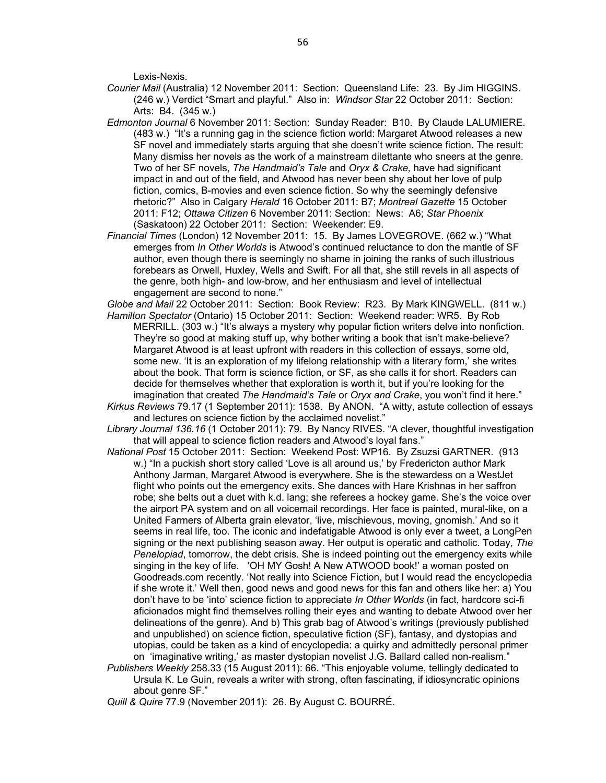Lexis-Nexis.

*Courier Mail* (Australia) 12 November 2011: Section: Queensland Life: 23. By Jim HIGGINS. (246 w.) Verdict "Smart and playful." Also in: *Windsor Star* 22 October 2011: Section: Arts: B4. (345 w.)

- *Edmonton Journal* 6 November 2011: Section: Sunday Reader: B10. By Claude LALUMIERE. (483 w.) "It's a running gag in the science fiction world: Margaret Atwood releases a new SF novel and immediately starts arguing that she doesn't write science fiction. The result: Many dismiss her novels as the work of a mainstream dilettante who sneers at the genre. Two of her SF novels, *The Handmaid's Tale* and *Oryx & Crake,* have had significant impact in and out of the field, and Atwood has never been shy about her love of pulp fiction, comics, B-movies and even science fiction. So why the seemingly defensive rhetoric?" Also in Calgary *Herald* 16 October 2011: B7; *Montreal Gazette* 15 October 2011: F12; *Ottawa Citizen* 6 November 2011: Section: News: A6; *Star Phoenix* (Saskatoon) 22 October 2011: Section: Weekender: E9.
- *Financial Times* (London) 12 November 2011: 15. By James LOVEGROVE. (662 w.) "What emerges from *In Other Worlds* is Atwood's continued reluctance to don the mantle of SF author, even though there is seemingly no shame in joining the ranks of such illustrious forebears as Orwell, Huxley, Wells and Swift. For all that, she still revels in all aspects of the genre, both high- and low-brow, and her enthusiasm and level of intellectual engagement are second to none."

*Globe and Mail* 22 October 2011: Section: Book Review: R23. By Mark KINGWELL. (811 w.)

- *Hamilton Spectator* (Ontario) 15 October 2011: Section: Weekend reader: WR5. By Rob MERRILL. (303 w.) "It's always a mystery why popular fiction writers delve into nonfiction. They're so good at making stuff up, why bother writing a book that isn't make-believe? Margaret Atwood is at least upfront with readers in this collection of essays, some old, some new. 'It is an exploration of my lifelong relationship with a literary form,' she writes about the book. That form is science fiction, or SF, as she calls it for short. Readers can decide for themselves whether that exploration is worth it, but if you're looking for the imagination that created *The Handmaid's Tale* or *Oryx and Crake*, you won't find it here."
- *Kirkus Reviews* 79.17 (1 September 2011): 1538. By ANON. "A witty, astute collection of essays and lectures on science fiction by the acclaimed novelist."
- *Library Journal 136.16* (1 October 2011): 79. By Nancy RIVES. "A clever, thoughtful investigation that will appeal to science fiction readers and Atwood's loyal fans."
- *National Post* 15 October 2011: Section: Weekend Post: WP16. By Zsuzsi GARTNER. (913 w.) "In a puckish short story called 'Love is all around us,' by Fredericton author Mark Anthony Jarman, Margaret Atwood is everywhere. She is the stewardess on a WestJet flight who points out the emergency exits. She dances with Hare Krishnas in her saffron robe; she belts out a duet with k.d. lang; she referees a hockey game. She's the voice over the airport PA system and on all voicemail recordings. Her face is painted, mural-like, on a United Farmers of Alberta grain elevator, 'live, mischievous, moving, gnomish.' And so it seems in real life, too. The iconic and indefatigable Atwood is only ever a tweet, a LongPen signing or the next publishing season away. Her output is operatic and catholic. Today, *The Penelopiad*, tomorrow, the debt crisis. She is indeed pointing out the emergency exits while singing in the key of life. 'OH MY Gosh! A New ATWOOD book!' a woman posted on Goodreads.com recently. 'Not really into Science Fiction, but I would read the encyclopedia if she wrote it.' Well then, good news and good news for this fan and others like her: a) You don't have to be 'into' science fiction to appreciate *In Other Worlds* (in fact, hardcore sci-fi aficionados might find themselves rolling their eyes and wanting to debate Atwood over her delineations of the genre). And b) This grab bag of Atwood's writings (previously published and unpublished) on science fiction, speculative fiction (SF), fantasy, and dystopias and utopias, could be taken as a kind of encyclopedia: a quirky and admittedly personal primer on 'imaginative writing,' as master dystopian novelist J.G. Ballard called non-realism."
- *Publishers Weekly* 258.33 (15 August 2011): 66. "This enjoyable volume, tellingly dedicated to Ursula K. Le Guin, reveals a writer with strong, often fascinating, if idiosyncratic opinions about genre SF."
- *Quill & Quire* 77.9 (November 2011): 26. By August C. BOURRÉ.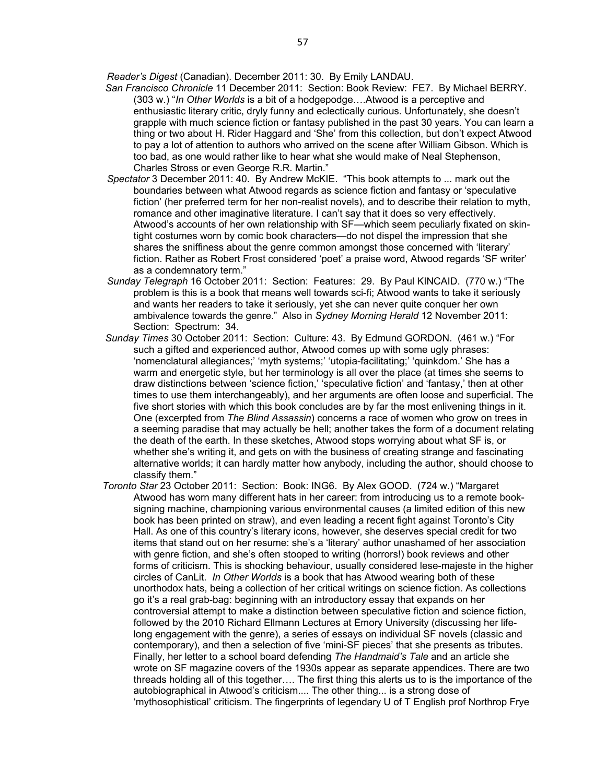*Reader's Digest* (Canadian). December 2011: 30. By Emily LANDAU.

- *San Francisco Chronicle* 11 December 2011: Section: Book Review: FE7. By Michael BERRY. (303 w.) "*In Other Worlds* is a bit of a hodgepodge….Atwood is a perceptive and enthusiastic literary critic, dryly funny and eclectically curious. Unfortunately, she doesn't grapple with much science fiction or fantasy published in the past 30 years. You can learn a thing or two about H. Rider Haggard and 'She' from this collection, but don't expect Atwood to pay a lot of attention to authors who arrived on the scene after William Gibson. Which is too bad, as one would rather like to hear what she would make of Neal Stephenson, Charles Stross or even George R.R. Martin."
- *Spectator* 3 December 2011: 40. By Andrew McKIE. "This book attempts to ... mark out the boundaries between what Atwood regards as science fiction and fantasy or 'speculative fiction' (her preferred term for her non-realist novels), and to describe their relation to myth, romance and other imaginative literature. I can't say that it does so very effectively. Atwood's accounts of her own relationship with SF—which seem peculiarly fixated on skintight costumes worn by comic book characters—do not dispel the impression that she shares the sniffiness about the genre common amongst those concerned with 'literary' fiction. Rather as Robert Frost considered 'poet' a praise word, Atwood regards 'SF writer' as a condemnatory term."
- *Sunday Telegraph* 16 October 2011: Section: Features: 29. By Paul KINCAID. (770 w.) "The problem is this is a book that means well towards sci-fi; Atwood wants to take it seriously and wants her readers to take it seriously, yet she can never quite conquer her own ambivalence towards the genre." Also in *Sydney Morning Herald* 12 November 2011: Section: Spectrum: 34.
- *Sunday Times* 30 October 2011: Section: Culture: 43. By Edmund GORDON. (461 w.) "For such a gifted and experienced author, Atwood comes up with some ugly phrases: 'nomenclatural allegiances;' 'myth systems;' 'utopia-facilitating;' 'quinkdom.' She has a warm and energetic style, but her terminology is all over the place (at times she seems to draw distinctions between 'science fiction,' 'speculative fiction' and 'fantasy,' then at other times to use them interchangeably), and her arguments are often loose and superficial. The five short stories with which this book concludes are by far the most enlivening things in it. One (excerpted from *The Blind Assassin*) concerns a race of women who grow on trees in a seeming paradise that may actually be hell; another takes the form of a document relating the death of the earth. In these sketches, Atwood stops worrying about what SF is, or whether she's writing it, and gets on with the business of creating strange and fascinating alternative worlds; it can hardly matter how anybody, including the author, should choose to classify them."
- *Toronto Star* 23 October 2011: Section: Book: ING6. By Alex GOOD. (724 w.) "Margaret Atwood has worn many different hats in her career: from introducing us to a remote booksigning machine, championing various environmental causes (a limited edition of this new book has been printed on straw), and even leading a recent fight against Toronto's City Hall. As one of this country's literary icons, however, she deserves special credit for two items that stand out on her resume: she's a 'literary' author unashamed of her association with genre fiction, and she's often stooped to writing (horrors!) book reviews and other forms of criticism. This is shocking behaviour, usually considered lese-majeste in the higher circles of CanLit. *In Other Worlds* is a book that has Atwood wearing both of these unorthodox hats, being a collection of her critical writings on science fiction. As collections go it's a real grab-bag: beginning with an introductory essay that expands on her controversial attempt to make a distinction between speculative fiction and science fiction, followed by the 2010 Richard Ellmann Lectures at Emory University (discussing her lifelong engagement with the genre), a series of essays on individual SF novels (classic and contemporary), and then a selection of five 'mini-SF pieces' that she presents as tributes. Finally, her letter to a school board defending *The Handmaid's Tale* and an article she wrote on SF magazine covers of the 1930s appear as separate appendices. There are two threads holding all of this together…. The first thing this alerts us to is the importance of the autobiographical in Atwood's criticism.... The other thing... is a strong dose of 'mythosophistical' criticism. The fingerprints of legendary U of T English prof Northrop Frye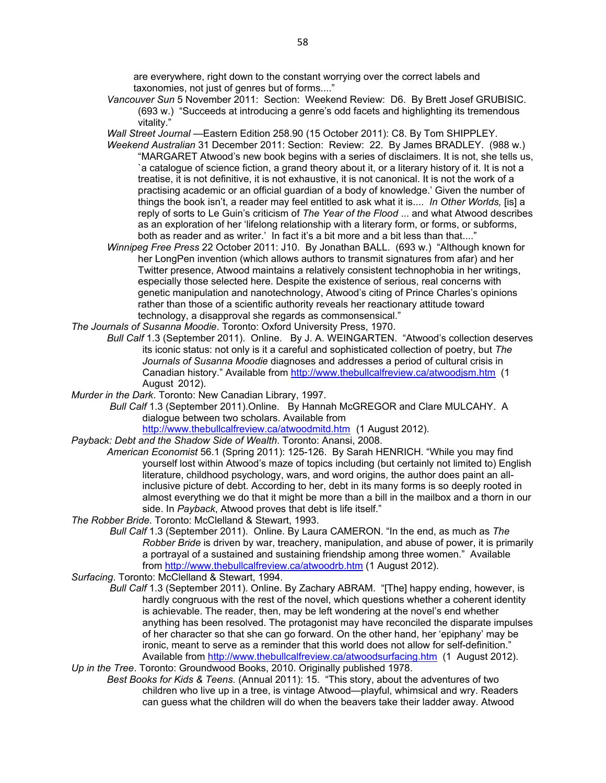are everywhere, right down to the constant worrying over the correct labels and taxonomies, not just of genres but of forms...."

*Vancouver Sun* 5 November 2011: Section: Weekend Review: D6. By Brett Josef GRUBISIC. (693 w.) "Succeeds at introducing a genre's odd facets and highlighting its tremendous vitality."

*Wall Street Journal* —Eastern Edition 258.90 (15 October 2011): C8. By Tom SHIPPLEY.

- *Weekend Australian* 31 December 2011: Section: Review: 22. By James BRADLEY. (988 w.) "MARGARET Atwood's new book begins with a series of disclaimers. It is not, she tells us, `a catalogue of science fiction, a grand theory about it, or a literary history of it. It is not a treatise, it is not definitive, it is not exhaustive, it is not canonical. It is not the work of a practising academic or an official guardian of a body of knowledge.' Given the number of things the book isn't, a reader may feel entitled to ask what it is.... *In Other Worlds,* [is] a reply of sorts to Le Guin's criticism of *The Year of the Flood* ... and what Atwood describes as an exploration of her 'lifelong relationship with a literary form, or forms, or subforms, both as reader and as writer.' In fact it's a bit more and a bit less than that...."
- *Winnipeg Free Press* 22 October 2011: J10. By Jonathan BALL. (693 w.) "Although known for her LongPen invention (which allows authors to transmit signatures from afar) and her Twitter presence, Atwood maintains a relatively consistent technophobia in her writings, especially those selected here. Despite the existence of serious, real concerns with genetic manipulation and nanotechnology, Atwood's citing of Prince Charles's opinions rather than those of a scientific authority reveals her reactionary attitude toward technology, a disapproval she regards as commonsensical."
- *The Journals of Susanna Moodie*. Toronto: Oxford University Press, 1970.
	- *Bull Calf* 1.3 (September 2011). Online. By J. A. WEINGARTEN. "Atwood's collection deserves its iconic status: not only is it a careful and sophisticated collection of poetry, but *The Journals of Susanna Moodie* diagnoses and addresses a period of cultural crisis in Canadian history." Available from http://www.thebullcalfreview.ca/atwoodjsm.htm (1 August 2012).
- *Murder in the Dark*. Toronto: New Canadian Library, 1997.
	- *Bull Calf* 1.3 (September 2011).Online. By Hannah McGREGOR and Clare MULCAHY. A dialogue between two scholars. Available from

http://www.thebullcalfreview.ca/atwoodmitd.htm (1 August 2012).

*Payback: Debt and the Shadow Side of Wealth*. Toronto: Anansi, 2008.

*American Economist* 56.1 (Spring 2011): 125-126. By Sarah HENRICH. "While you may find yourself lost within Atwood's maze of topics including (but certainly not limited to) English literature, childhood psychology, wars, and word origins, the author does paint an allinclusive picture of debt. According to her, debt in its many forms is so deeply rooted in almost everything we do that it might be more than a bill in the mailbox and a thorn in our side. In *Payback*, Atwood proves that debt is life itself."

*The Robber Bride*. Toronto: McClelland & Stewart, 1993.

*Bull Calf* 1.3 (September 2011). Online. By Laura CAMERON. "In the end, as much as *The Robber Bride* is driven by war, treachery, manipulation, and abuse of power, it is primarily a portrayal of a sustained and sustaining friendship among three women." Available from http://www.thebullcalfreview.ca/atwoodrb.htm (1 August 2012).

*Surfacing*. Toronto: McClelland & Stewart, 1994.

*Bull Calf* 1.3 (September 2011). Online. By Zachary ABRAM. "[The] happy ending, however, is hardly congruous with the rest of the novel, which questions whether a coherent identity is achievable. The reader, then, may be left wondering at the novel's end whether anything has been resolved. The protagonist may have reconciled the disparate impulses of her character so that she can go forward. On the other hand, her 'epiphany' may be ironic, meant to serve as a reminder that this world does not allow for self-definition." Available from http://www.thebullcalfreview.ca/atwoodsurfacing.htm (1 August 2012).

*Up in the Tree*. Toronto: Groundwood Books, 2010. Originally published 1978.

*Best Books for Kids & Teens.* (Annual 2011): 15. "This story, about the adventures of two children who live up in a tree, is vintage Atwood—playful, whimsical and wry. Readers can guess what the children will do when the beavers take their ladder away. Atwood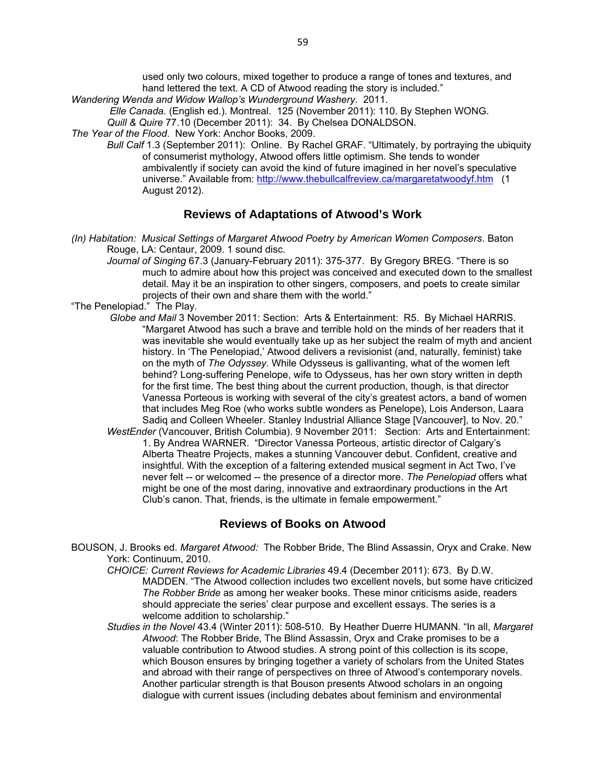used only two colours, mixed together to produce a range of tones and textures, and hand lettered the text. A CD of Atwood reading the story is included."

*Wandering Wenda and Widow Wallop's Wunderground Washery*. 2011.

*Elle Canada.* (English ed.). Montreal. 125 (November 2011): 110. By Stephen WONG.

*Quill & Quire* 77.10 (December 2011): 34. By Chelsea DONALDSON.

*The Year of the Flood*. New York: Anchor Books, 2009.

*Bull Calf* 1.3 (September 2011): Online. By Rachel GRAF. "Ultimately, by portraying the ubiquity of consumerist mythology, Atwood offers little optimism. She tends to wonder ambivalently if society can avoid the kind of future imagined in her novel's speculative universe." Available from: http://www.thebullcalfreview.ca/margaretatwoodyf.htm (1 August 2012).

# **Reviews of Adaptations of Atwood's Work**

- *(In) Habitation: Musical Settings of Margaret Atwood Poetry by American Women Composers*. Baton Rouge, LA: Centaur, 2009. 1 sound disc.
	- *Journal of Singing* 67.3 (January-February 2011): 375-377. By Gregory BREG. "There is so much to admire about how this project was conceived and executed down to the smallest detail. May it be an inspiration to other singers, composers, and poets to create similar projects of their own and share them with the world."

"The Penelopiad." The Play.

- *Globe and Mail* 3 November 2011: Section: Arts & Entertainment: R5. By Michael HARRIS. "Margaret Atwood has such a brave and terrible hold on the minds of her readers that it was inevitable she would eventually take up as her subject the realm of myth and ancient history. In 'The Penelopiad,' Atwood delivers a revisionist (and, naturally, feminist) take on the myth of *The Odyssey*. While Odysseus is gallivanting, what of the women left behind? Long-suffering Penelope, wife to Odysseus, has her own story written in depth for the first time. The best thing about the current production, though, is that director Vanessa Porteous is working with several of the city's greatest actors, a band of women that includes Meg Roe (who works subtle wonders as Penelope), Lois Anderson, Laara Sadiq and Colleen Wheeler. Stanley Industrial Alliance Stage [Vancouver], to Nov. 20."
	- *WestEnder* (Vancouver, British Columbia). 9 November 2011: Section: Arts and Entertainment: 1. By Andrea WARNER. "Director Vanessa Porteous, artistic director of Calgary's Alberta Theatre Projects, makes a stunning Vancouver debut. Confident, creative and insightful. With the exception of a faltering extended musical segment in Act Two, I've never felt -- or welcomed -- the presence of a director more. *The Penelopiad* offers what might be one of the most daring, innovative and extraordinary productions in the Art Club's canon. That, friends, is the ultimate in female empowerment."

# **Reviews of Books on Atwood**

- BOUSON, J. Brooks ed. *Margaret Atwood:* The Robber Bride, The Blind Assassin, Oryx and Crake. New York: Continuum, 2010.
	- *CHOICE: Current Reviews for Academic Libraries* 49.4 (December 2011): 673. By D.W. MADDEN. "The Atwood collection includes two excellent novels, but some have criticized *The Robber Bride* as among her weaker books. These minor criticisms aside, readers should appreciate the series' clear purpose and excellent essays. The series is a welcome addition to scholarship."
	- *Studies in the Novel* 43.4 (Winter 2011): 508-510. By Heather Duerre HUMANN. "In all, *Margaret Atwood*: The Robber Bride, The Blind Assassin, Oryx and Crake promises to be a valuable contribution to Atwood studies. A strong point of this collection is its scope, which Bouson ensures by bringing together a variety of scholars from the United States and abroad with their range of perspectives on three of Atwood's contemporary novels. Another particular strength is that Bouson presents Atwood scholars in an ongoing dialogue with current issues (including debates about feminism and environmental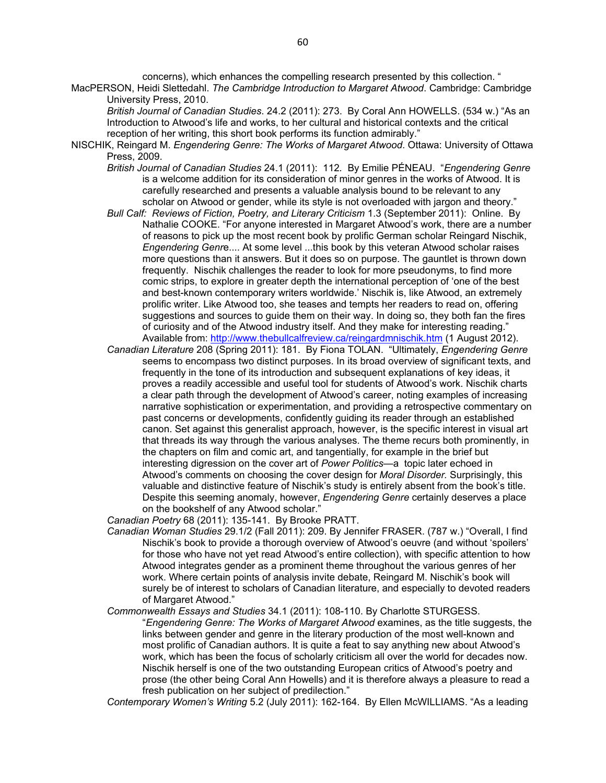concerns), which enhances the compelling research presented by this collection. "

MacPERSON, Heidi Slettedahl. *The Cambridge Introduction to Margaret Atwood*. Cambridge: Cambridge University Press, 2010.

*British Journal of Canadian Studies*. 24.2 (2011): 273. By Coral Ann HOWELLS. (534 w.) "As an Introduction to Atwood's life and works, to her cultural and historical contexts and the critical reception of her writing, this short book performs its function admirably."

- NISCHIK, Reingard M. *Engendering Genre: The Works of Margaret Atwood*. Ottawa: University of Ottawa Press, 2009.
	- *British Journal of Canadian Studies* 24.1 (2011): 112*.* By Emilie PÉNEAU. "*Engendering Genre* is a welcome addition for its consideration of minor genres in the works of Atwood. It is carefully researched and presents a valuable analysis bound to be relevant to any scholar on Atwood or gender, while its style is not overloaded with jargon and theory."
	- *Bull Calf: Reviews of Fiction, Poetry, and Literary Criticism* 1.3 (September 2011): Online. By Nathalie COOKE. "For anyone interested in Margaret Atwood's work, there are a number of reasons to pick up the most recent book by prolific German scholar Reingard Nischik, *Engendering Genr*e.... At some level ...this book by this veteran Atwood scholar raises more questions than it answers. But it does so on purpose. The gauntlet is thrown down frequently. Nischik challenges the reader to look for more pseudonyms, to find more comic strips, to explore in greater depth the international perception of 'one of the best and best-known contemporary writers worldwide.' Nischik is, like Atwood, an extremely prolific writer. Like Atwood too, she teases and tempts her readers to read on, offering suggestions and sources to guide them on their way. In doing so, they both fan the fires of curiosity and of the Atwood industry itself. And they make for interesting reading." Available from: http://www.thebullcalfreview.ca/reingardmnischik.htm (1 August 2012).
	- *Canadian Literature* 208 (Spring 2011): 181. By Fiona TOLAN. "Ultimately, *Engendering Genre*  seems to encompass two distinct purposes. In its broad overview of significant texts, and frequently in the tone of its introduction and subsequent explanations of key ideas, it proves a readily accessible and useful tool for students of Atwood's work. Nischik charts a clear path through the development of Atwood's career, noting examples of increasing narrative sophistication or experimentation, and providing a retrospective commentary on past concerns or developments, confidently guiding its reader through an established canon. Set against this generalist approach, however, is the specific interest in visual art that threads its way through the various analyses. The theme recurs both prominently, in the chapters on film and comic art, and tangentially, for example in the brief but interesting digression on the cover art of *Power Politics*—a topic later echoed in Atwood's comments on choosing the cover design for *Moral Disorder.* Surprisingly, this valuable and distinctive feature of Nischik's study is entirely absent from the book's title. Despite this seeming anomaly, however, *Engendering Genre* certainly deserves a place on the bookshelf of any Atwood scholar."

*Canadian Poetry* 68 (2011): 135-141. By Brooke PRATT.

*Canadian Woman Studies* 29.1/2 (Fall 2011): 209. By Jennifer FRASER. (787 w.) "Overall, I find Nischik's book to provide a thorough overview of Atwood's oeuvre (and without 'spoilers' for those who have not yet read Atwood's entire collection), with specific attention to how Atwood integrates gender as a prominent theme throughout the various genres of her work. Where certain points of analysis invite debate, Reingard M. Nischik's book will surely be of interest to scholars of Canadian literature, and especially to devoted readers of Margaret Atwood."

*Commonwealth Essays and Studies* 34.1 (2011): 108-110. By Charlotte STURGESS. "*Engendering Genre: The Works of Margaret Atwood* examines, as the title suggests, the links between gender and genre in the literary production of the most well-known and most prolific of Canadian authors. It is quite a feat to say anything new about Atwood's work, which has been the focus of scholarly criticism all over the world for decades now. Nischik herself is one of the two outstanding European critics of Atwood's poetry and prose (the other being Coral Ann Howells) and it is therefore always a pleasure to read a fresh publication on her subject of predilection."

*Contemporary Women's Writing* 5.2 (July 2011): 162-164. By Ellen McWILLIAMS. "As a leading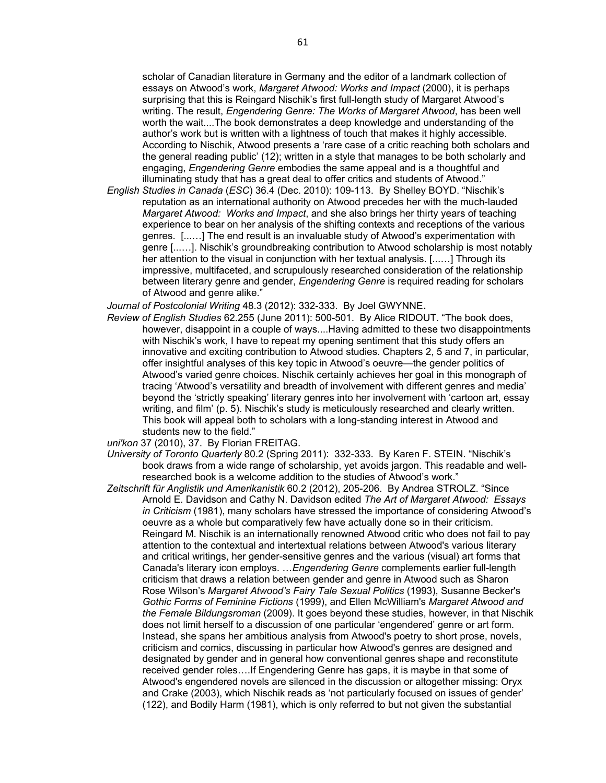scholar of Canadian literature in Germany and the editor of a landmark collection of essays on Atwood's work, *Margaret Atwood: Works and Impact* (2000), it is perhaps surprising that this is Reingard Nischik's first full-length study of Margaret Atwood's writing. The result, *Engendering Genre: The Works of Margaret Atwood*, has been well worth the wait....The book demonstrates a deep knowledge and understanding of the author's work but is written with a lightness of touch that makes it highly accessible. According to Nischik, Atwood presents a 'rare case of a critic reaching both scholars and the general reading public' (12); written in a style that manages to be both scholarly and engaging, *Engendering Genre* embodies the same appeal and is a thoughtful and illuminating study that has a great deal to offer critics and students of Atwood."

*English Studies in Canada* (*ESC*) 36.4 (Dec. 2010): 109-113. By Shelley BOYD. "Nischik's reputation as an international authority on Atwood precedes her with the much-lauded *Margaret Atwood: Works and Impact*, and she also brings her thirty years of teaching experience to bear on her analysis of the shifting contexts and receptions of the various genres. [...…] The end result is an invaluable study of Atwood's experimentation with genre [...…]. Nischik's groundbreaking contribution to Atwood scholarship is most notably her attention to the visual in conjunction with her textual analysis. [...…] Through its impressive, multifaceted, and scrupulously researched consideration of the relationship between literary genre and gender, *Engendering Genre* is required reading for scholars of Atwood and genre alike."

*Journal of Postcolonial Writing* 48.3 (2012): 332-333. By Joel GWYNNE.

*Review of English Studies* 62.255 (June 2011): 500-501. By Alice RIDOUT. "The book does, however, disappoint in a couple of ways....Having admitted to these two disappointments with Nischik's work, I have to repeat my opening sentiment that this study offers an innovative and exciting contribution to Atwood studies. Chapters 2, 5 and 7, in particular, offer insightful analyses of this key topic in Atwood's oeuvre—the gender politics of Atwood's varied genre choices. Nischik certainly achieves her goal in this monograph of tracing 'Atwood's versatility and breadth of involvement with different genres and media' beyond the 'strictly speaking' literary genres into her involvement with 'cartoon art, essay writing, and film' (p. 5). Nischik's study is meticulously researched and clearly written. This book will appeal both to scholars with a long-standing interest in Atwood and students new to the field."

*uni'kon* 37 (2010), 37. By Florian FREITAG.

- *University of Toronto Quarterly* 80.2 (Spring 2011): 332-333. By Karen F. STEIN. "Nischik's book draws from a wide range of scholarship, yet avoids jargon. This readable and wellresearched book is a welcome addition to the studies of Atwood's work."
- *Zeitschrift für Anglistik und Amerikanistik* 60.2 (2012), 205-206. By Andrea STROLZ. "Since Arnold E. Davidson and Cathy N. Davidson edited *The Art of Margaret Atwood: Essays in Criticism* (1981), many scholars have stressed the importance of considering Atwood's oeuvre as a whole but comparatively few have actually done so in their criticism. Reingard M. Nischik is an internationally renowned Atwood critic who does not fail to pay attention to the contextual and intertextual relations between Atwood's various literary and critical writings, her gender-sensitive genres and the various (visual) art forms that Canada's literary icon employs. …*Engendering Genre* complements earlier full-length criticism that draws a relation between gender and genre in Atwood such as Sharon Rose Wilson's *Margaret Atwood's Fairy Tale Sexual Politics* (1993), Susanne Becker's *Gothic Forms of Feminine Fictions* (1999), and Ellen McWilliam's *Margaret Atwood and the Female Bildungsroman* (2009). It goes beyond these studies, however, in that Nischik does not limit herself to a discussion of one particular 'engendered' genre or art form. Instead, she spans her ambitious analysis from Atwood's poetry to short prose, novels, criticism and comics, discussing in particular how Atwood's genres are designed and designated by gender and in general how conventional genres shape and reconstitute received gender roles….If Engendering Genre has gaps, it is maybe in that some of Atwood's engendered novels are silenced in the discussion or altogether missing: Oryx and Crake (2003), which Nischik reads as 'not particularly focused on issues of gender' (122), and Bodily Harm (1981), which is only referred to but not given the substantial